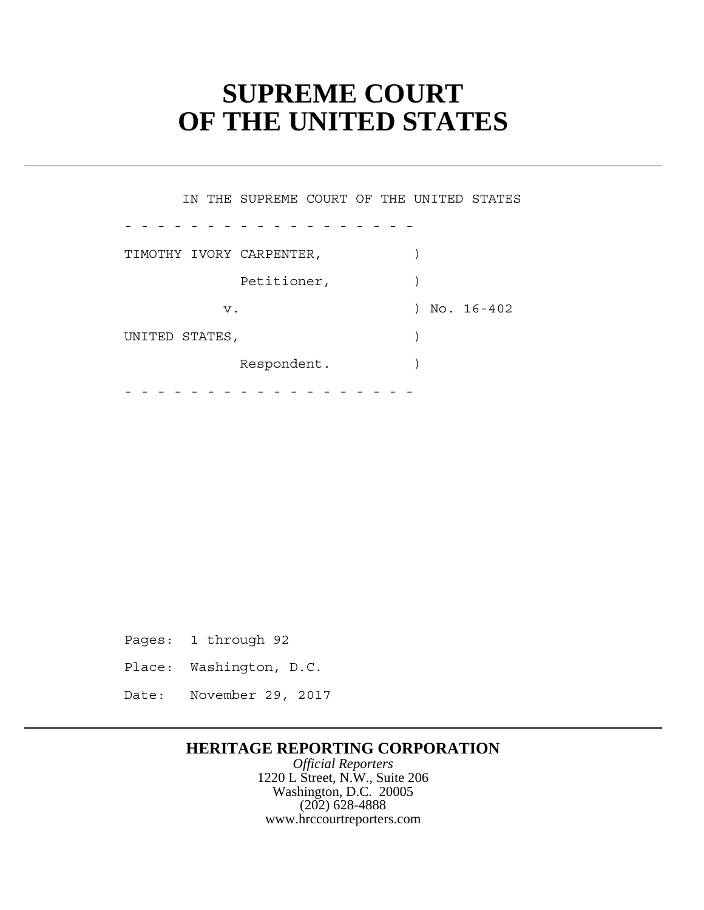# **SUPREME COURT OF THE UNITED STATES**

 Petitioner, ) Respondent. ) - - - - - - - - - - - - - - - - - - - - - - - - - - - - - - - - - - - - IN THE SUPREME COURT OF THE UNITED STATES TIMOTHY IVORY CARPENTER,  $)$ v. 16-402 UNITED STATES,  $\qquad \qquad$ 

Pages: 1 through 92

- Place: Washington, D.C.
- Date: November 29, 2017

# **HERITAGE REPORTING CORPORATION**

*Official Reporters* 1220 L Street, N.W., Suite 206 Washington, D.C. 20005 (202) 628-4888 www.hrccourtreporters.com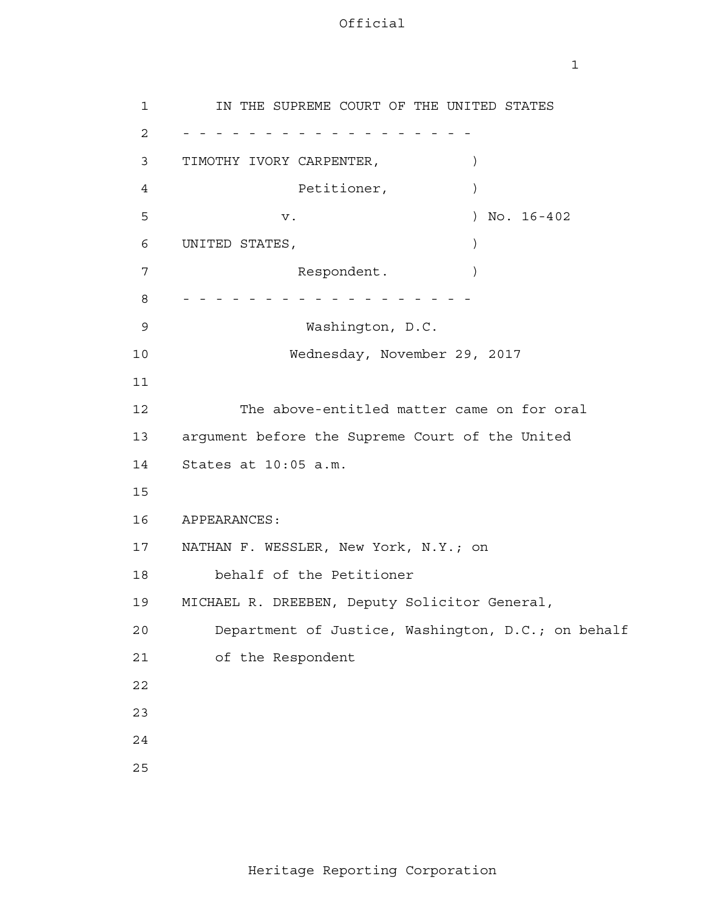| ۰, |  |
|----|--|
|    |  |

3 TIMOTHY IVORY CARPENTER,  $\qquad \qquad$  UNITED STATES, ) 13 argument before the Supreme Court of the United 14 States at 10:05 a.m. APPEARANCES: 17 NATHAN F. WESSLER, New York, N.Y.; on 1 2 - - - - - - - - - - - - - - - - - - 4 **5**  6 7 8 - - - - - - - - - - - - - - - - - - 9 10 11 12 15 16 18 19 20 21 22 23 24 25 IN THE SUPREME COURT OF THE UNITED STATES Petitioner,  $)$ v. ) No. 16-402 Respondent. Washington, D.C. Wednesday, November 29, 2017 The above-entitled matter came on for oral behalf of the Petitioner MICHAEL R. DREEBEN, Deputy Solicitor General, Department of Justice, Washington, D.C.; on behalf of the Respondent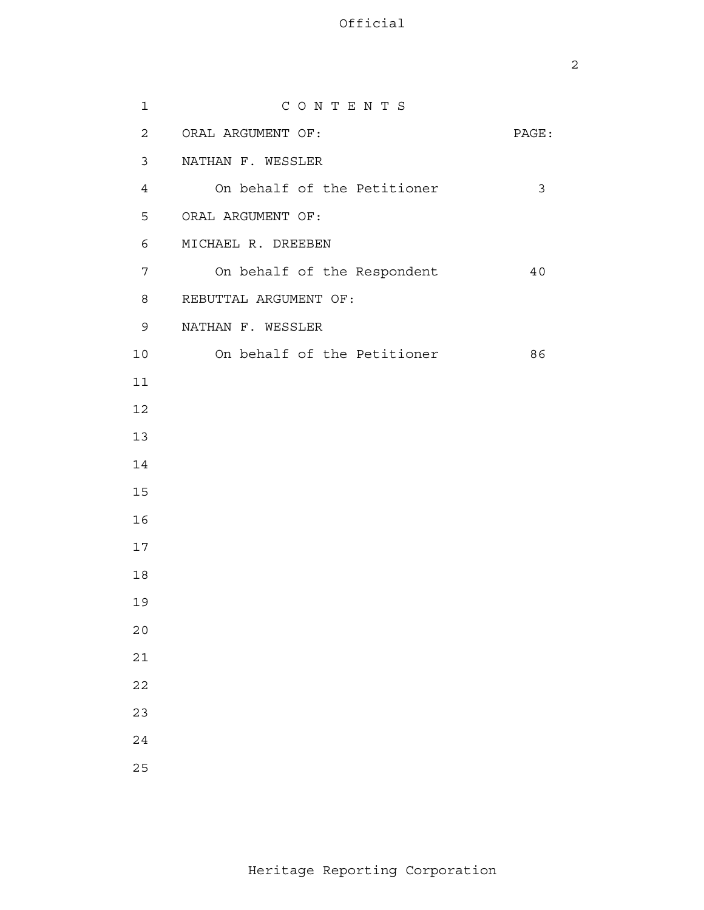| $\mathbf{1}$   | CONTENTS                    |       |
|----------------|-----------------------------|-------|
| $\overline{2}$ | ORAL ARGUMENT OF:           | PAGE: |
| $\mathsf{3}$   | NATHAN F. WESSLER           |       |
| $\overline{4}$ | On behalf of the Petitioner | 3     |
| 5              | ORAL ARGUMENT OF:           |       |
| 6              | MICHAEL R. DREEBEN          |       |
| 7              | On behalf of the Respondent | 40    |
| 8              | REBUTTAL ARGUMENT OF:       |       |
| 9              | NATHAN F. WESSLER           |       |
| 10             | On behalf of the Petitioner | 86    |
| 11             |                             |       |
| 12             |                             |       |
| 13             |                             |       |
| 14             |                             |       |
| 15             |                             |       |
| 16             |                             |       |
| 17             |                             |       |
| $18\,$         |                             |       |
| 19             |                             |       |
| $20$           |                             |       |
| $2\sqrt{1}$    |                             |       |
| $2\sqrt{2}$    |                             |       |
| 23             |                             |       |
| $2\sqrt{4}$    |                             |       |
| 25             |                             |       |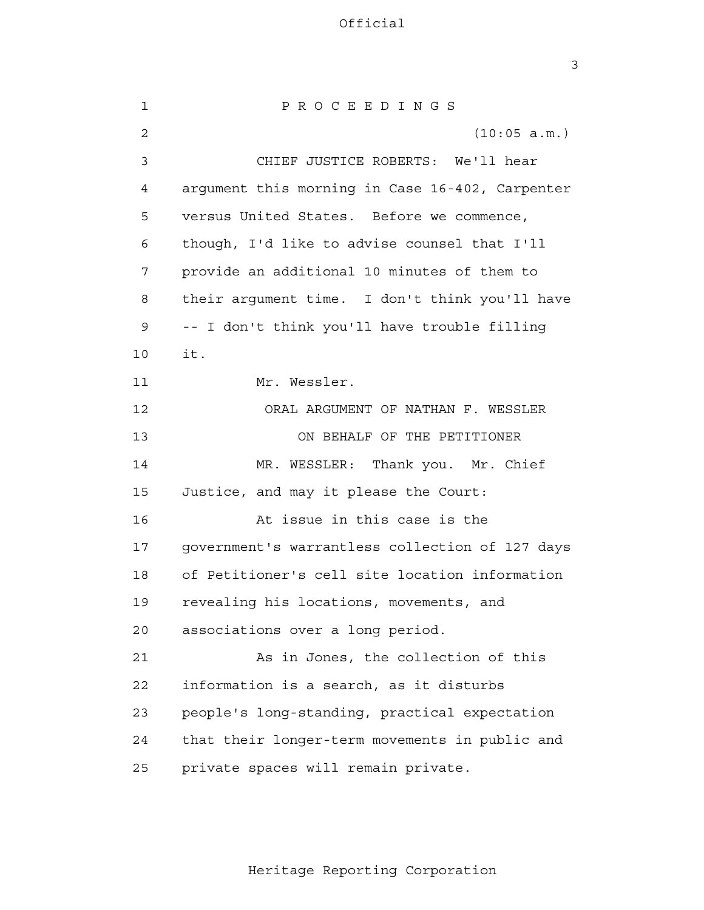3

 1 2 3 4 **5**  6 7 8 9 10 11 12 13 14 15 16 17 18 19 20 21 22 23 24 25 P R O C E E D I N G S (10:05 a.m.) CHIEF JUSTICE ROBERTS: We'll hear argument this morning in Case 16-402, Carpenter versus United States. Before we commence, though, I'd like to advise counsel that I'll provide an additional 10 minutes of them to their argument time. I don't think you'll have -- I don't think you'll have trouble filling it. Mr. Wessler. ORAL ARGUMENT OF NATHAN F. WESSLER ON BEHALF OF THE PETITIONER MR. WESSLER: Thank you. Mr. Chief Justice, and may it please the Court: At issue in this case is the government's warrantless collection of 127 days of Petitioner's cell site location information revealing his locations, movements, and associations over a long period. As in Jones, the collection of this information is a search, as it disturbs people's long-standing, practical expectation that their longer-term movements in public and private spaces will remain private.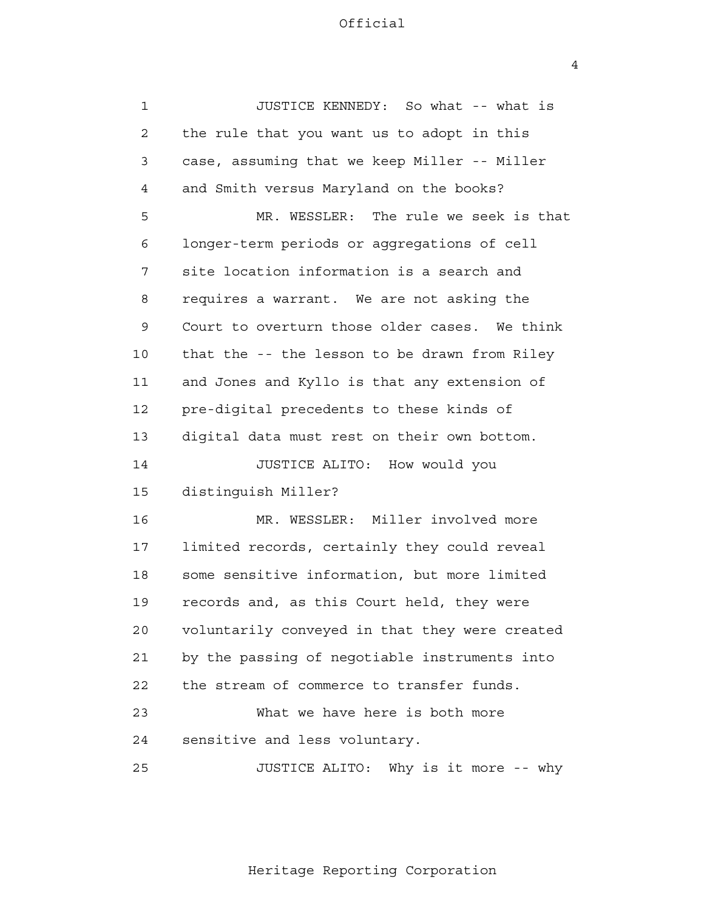4

| $\mathbf 1$    | JUSTICE KENNEDY: So what -- what is            |
|----------------|------------------------------------------------|
| $\overline{2}$ | the rule that you want us to adopt in this     |
| 3              | case, assuming that we keep Miller -- Miller   |
| 4              | and Smith versus Maryland on the books?        |
| 5              | MR. WESSLER: The rule we seek is that          |
| 6              | longer-term periods or aggregations of cell    |
| 7              | site location information is a search and      |
| 8              | requires a warrant. We are not asking the      |
| 9              | Court to overturn those older cases. We think  |
| 10             | that the -- the lesson to be drawn from Riley  |
| 11             | and Jones and Kyllo is that any extension of   |
| 12             | pre-digital precedents to these kinds of       |
| 13             | digital data must rest on their own bottom.    |
| 14             | JUSTICE ALITO: How would you                   |
| 15             | distinguish Miller?                            |
| 16             | MR. WESSLER: Miller involved more              |
| 17             | limited records, certainly they could reveal   |
| 18             | some sensitive information, but more limited   |
| 19             | records and, as this Court held, they were     |
| 20             | voluntarily conveyed in that they were created |
| 21             | by the passing of negotiable instruments into  |
| 22             | the stream of commerce to transfer funds.      |
| 23             | What we have here is both more                 |
| 24             | sensitive and less voluntary.                  |
| 25             | JUSTICE ALITO:<br>Why is it more -- why        |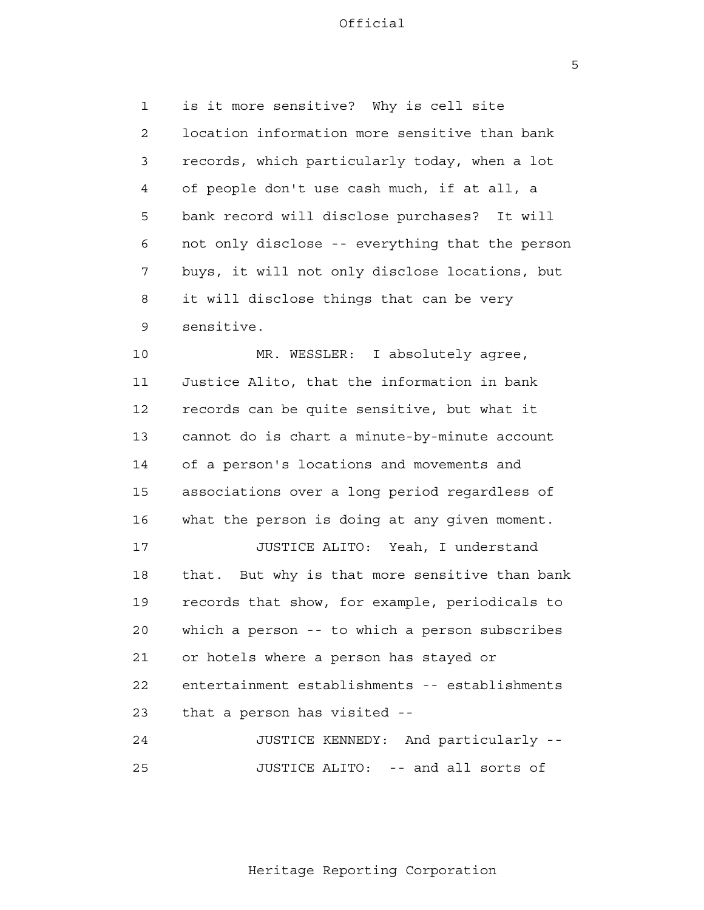$\overline{5}$ 

 1 2 3 4 **5**  6 7 8 9 is it more sensitive? Why is cell site location information more sensitive than bank records, which particularly today, when a lot of people don't use cash much, if at all, a bank record will disclose purchases? It will not only disclose -- everything that the person buys, it will not only disclose locations, but it will disclose things that can be very sensitive.

 10 11 12 13 14 15 16 MR. WESSLER: I absolutely agree, Justice Alito, that the information in bank records can be quite sensitive, but what it cannot do is chart a minute-by-minute account of a person's locations and movements and associations over a long period regardless of what the person is doing at any given moment.

> 17 18 19 20 21 22 23 JUSTICE ALITO: Yeah, I understand that. But why is that more sensitive than bank records that show, for example, periodicals to which a person -- to which a person subscribes or hotels where a person has stayed or entertainment establishments -- establishments that a person has visited -

 24 25 JUSTICE KENNEDY: And particularly - JUSTICE ALITO: -- and all sorts of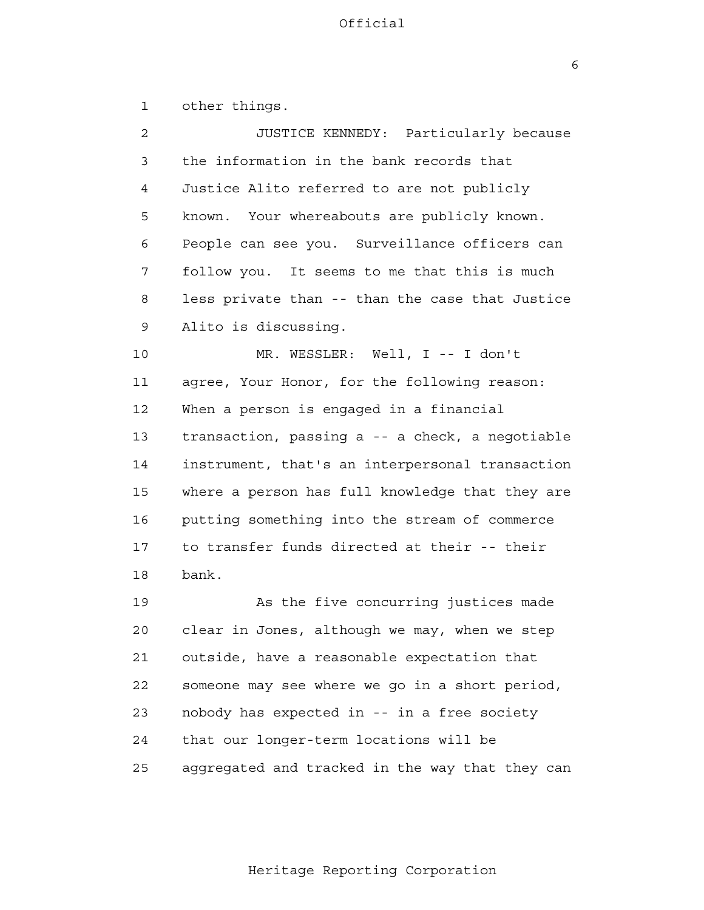$\overline{6}$ 

 1 2 3 4 **5**  6 7 8 9 10 11 12 13 14 15 16 17 18 19 20 21 22 23 24 25 other things. JUSTICE KENNEDY: Particularly because the information in the bank records that Justice Alito referred to are not publicly known. Your whereabouts are publicly known. People can see you. Surveillance officers can follow you. It seems to me that this is much less private than -- than the case that Justice Alito is discussing. MR. WESSLER: Well, I -- I don't agree, Your Honor, for the following reason: When a person is engaged in a financial transaction, passing a -- a check, a negotiable instrument, that's an interpersonal transaction where a person has full knowledge that they are putting something into the stream of commerce to transfer funds directed at their -- their bank. As the five concurring justices made clear in Jones, although we may, when we step outside, have a reasonable expectation that someone may see where we go in a short period, nobody has expected in -- in a free society that our longer-term locations will be aggregated and tracked in the way that they can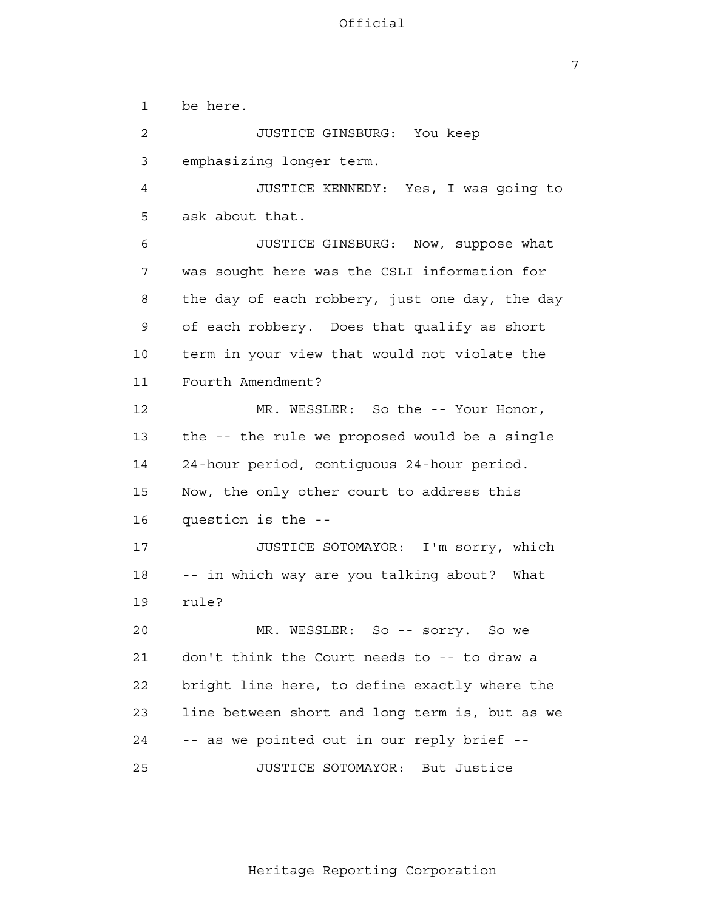1 2 3 4 **5**  6 7 8 9 10 11 12 13 14 15 16 17 18 19 20 21 22 23 24 be here. JUSTICE GINSBURG: You keep emphasizing longer term. JUSTICE KENNEDY: Yes, I was going to ask about that. JUSTICE GINSBURG: Now, suppose what was sought here was the CSLI information for the day of each robbery, just one day, the day of each robbery. Does that qualify as short term in your view that would not violate the Fourth Amendment? MR. WESSLER: So the -- Your Honor, the -- the rule we proposed would be a single 24-hour period, contiguous 24-hour period. Now, the only other court to address this question is the - JUSTICE SOTOMAYOR: I'm sorry, which -- in which way are you talking about? What rule? MR. WESSLER: So -- sorry. So we don't think the Court needs to -- to draw a bright line here, to define exactly where the line between short and long term is, but as we -- as we pointed out in our reply brief -

> 25 JUSTICE SOTOMAYOR: But Justice

> > Heritage Reporting Corporation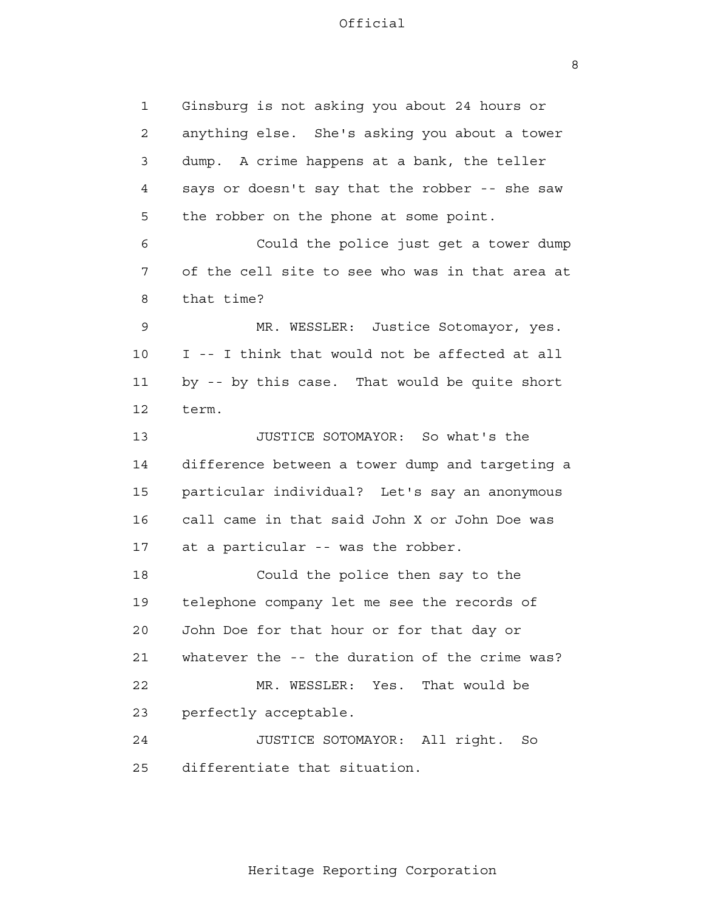8

 1 2 3 4 **5**  6 7 8 9 10 11 12 13 14 15 16 17 18 19 20 21 22 23 24 25 Ginsburg is not asking you about 24 hours or anything else. She's asking you about a tower dump. A crime happens at a bank, the teller says or doesn't say that the robber -- she saw the robber on the phone at some point. Could the police just get a tower dump of the cell site to see who was in that area at that time? MR. WESSLER: Justice Sotomayor, yes. I -- I think that would not be affected at all by -- by this case. That would be quite short term. JUSTICE SOTOMAYOR: So what's the difference between a tower dump and targeting a particular individual? Let's say an anonymous call came in that said John X or John Doe was at a particular -- was the robber. Could the police then say to the telephone company let me see the records of John Doe for that hour or for that day or whatever the -- the duration of the crime was? MR. WESSLER: Yes. That would be perfectly acceptable. JUSTICE SOTOMAYOR: All right. So differentiate that situation.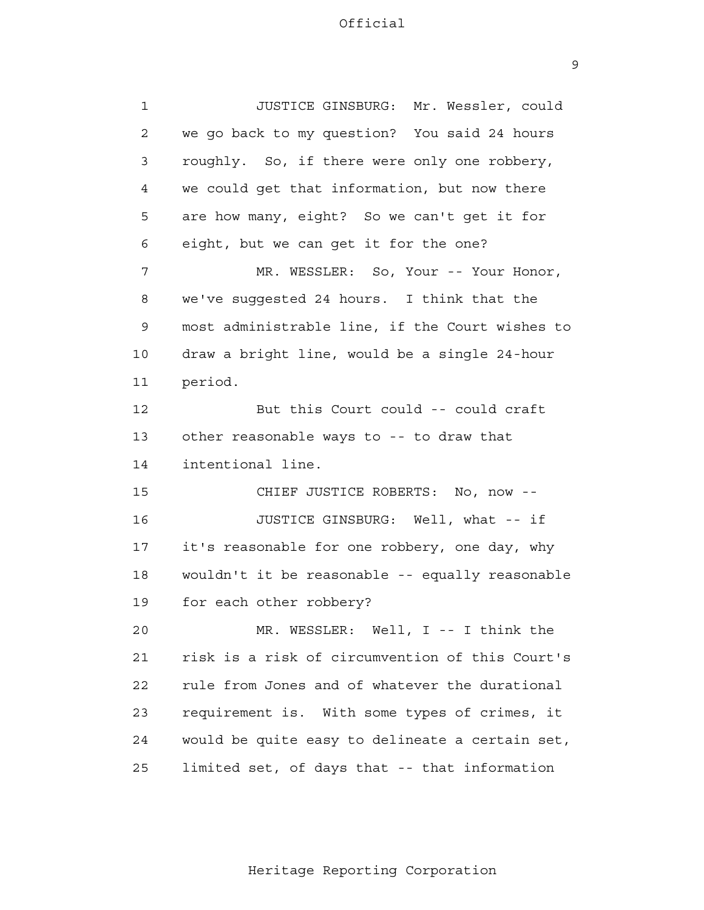9

| $\mathbf{1}$ | JUSTICE GINSBURG: Mr. Wessler, could            |
|--------------|-------------------------------------------------|
| 2            | we go back to my question? You said 24 hours    |
| 3            | roughly. So, if there were only one robbery,    |
| 4            | we could get that information, but now there    |
| 5            | are how many, eight? So we can't get it for     |
| 6            | eight, but we can get it for the one?           |
| 7            | MR. WESSLER: So, Your -- Your Honor,            |
| 8            | we've suggested 24 hours. I think that the      |
| 9            | most administrable line, if the Court wishes to |
| 10           | draw a bright line, would be a single 24-hour   |
| 11           | period.                                         |
| 12           | But this Court could -- could craft             |
| 13           | other reasonable ways to -- to draw that        |
| 14           | intentional line.                               |
| 15           | CHIEF JUSTICE ROBERTS: No, now --               |
| 16           | JUSTICE GINSBURG: Well, what -- if              |
| 17           | it's reasonable for one robbery, one day, why   |
| 18           | wouldn't it be reasonable -- equally reasonable |
| 19           | for each other robbery?                         |
| 20           | MR. WESSLER: Well, I -- I think the             |
| 21           | risk is a risk of circumvention of this Court's |
| 22           | rule from Jones and of whatever the durational  |
| 23           | requirement is. With some types of crimes, it   |
| 24           | would be quite easy to delineate a certain set, |
| 25           | limited set, of days that -- that information   |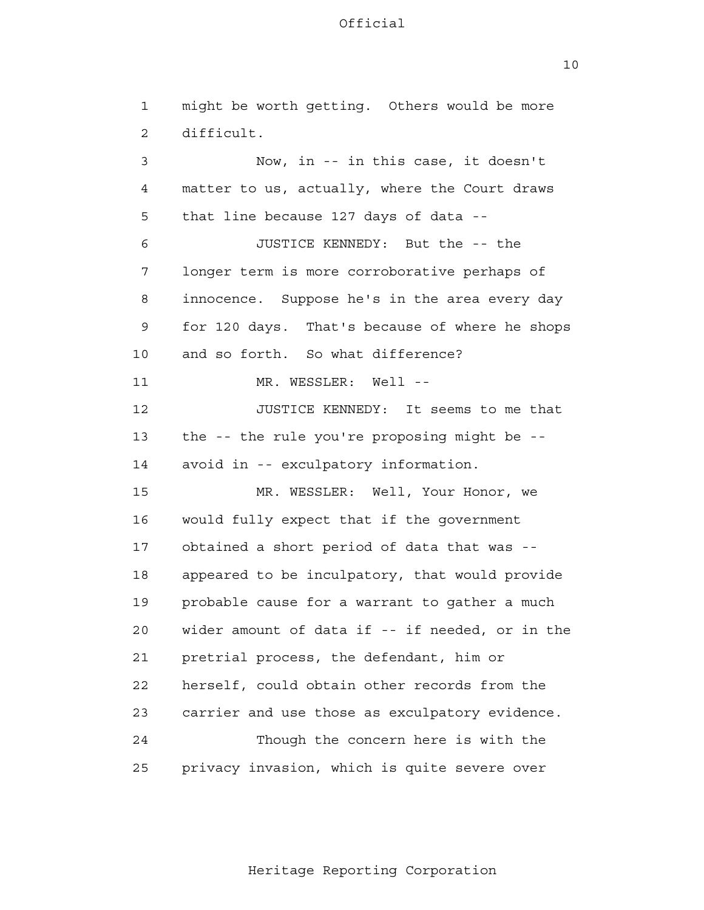10

 1 2 3 4 **5**  6 7 8 9 10 11 12 13 14 15 16 17 18 19 20 21 22 23 24 25 might be worth getting. Others would be more difficult. Now, in -- in this case, it doesn't matter to us, actually, where the Court draws that line because 127 days of data - JUSTICE KENNEDY: But the -- the longer term is more corroborative perhaps of innocence. Suppose he's in the area every day for 120 days. That's because of where he shops and so forth. So what difference? MR. WESSLER: Well --JUSTICE KENNEDY: It seems to me that the -- the rule you're proposing might be avoid in -- exculpatory information. MR. WESSLER: Well, Your Honor, we would fully expect that if the government obtained a short period of data that was appeared to be inculpatory, that would provide probable cause for a warrant to gather a much wider amount of data if -- if needed, or in the pretrial process, the defendant, him or herself, could obtain other records from the carrier and use those as exculpatory evidence. Though the concern here is with the privacy invasion, which is quite severe over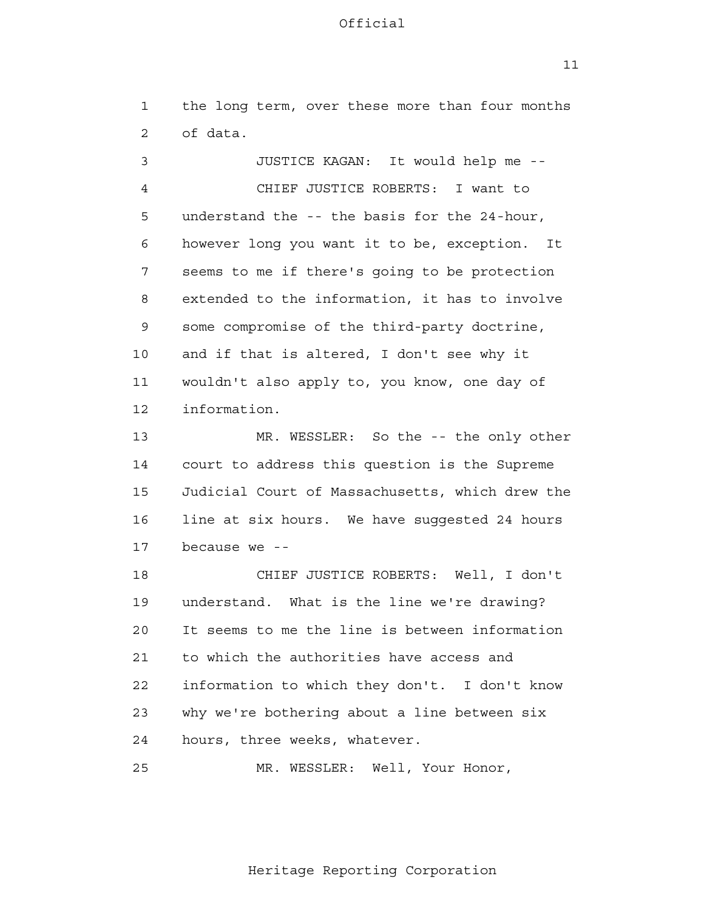$11$ 

 1 2 the long term, over these more than four months of data.

 3 4 **5**  6 7 8 9 10 11 12 JUSTICE KAGAN: It would help me - CHIEF JUSTICE ROBERTS: I want to understand the -- the basis for the 24-hour, however long you want it to be, exception. It seems to me if there's going to be protection extended to the information, it has to involve some compromise of the third-party doctrine, and if that is altered, I don't see why it wouldn't also apply to, you know, one day of information.

 13 14 15 16 17 MR. WESSLER: So the -- the only other court to address this question is the Supreme Judicial Court of Massachusetts, which drew the line at six hours. We have suggested 24 hours because we -

 18 19 20 21 **22**  23 24 CHIEF JUSTICE ROBERTS: Well, I don't understand. What is the line we're drawing? It seems to me the line is between information to which the authorities have access and information to which they don't. I don't know why we're bothering about a line between six hours, three weeks, whatever.

> 25 MR. WESSLER: Well, Your Honor,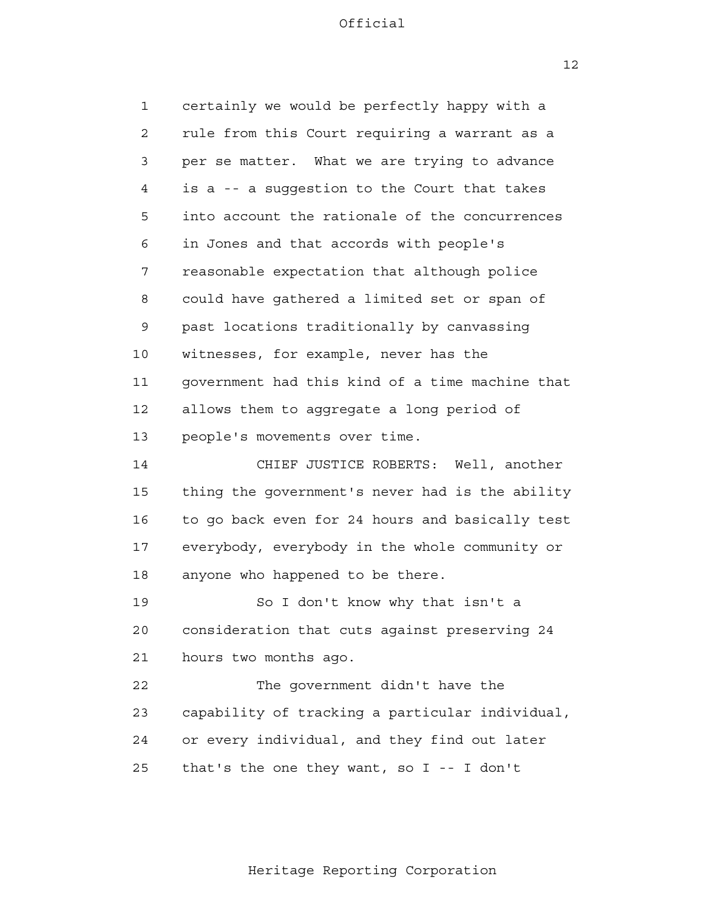1 2 3 4 **5**  6 7 8 9 10 11 12 13 14 15 16 17 18 19 20 21 22 23 24 25 certainly we would be perfectly happy with a rule from this Court requiring a warrant as a per se matter. What we are trying to advance is a -- a suggestion to the Court that takes into account the rationale of the concurrences in Jones and that accords with people's reasonable expectation that although police could have gathered a limited set or span of past locations traditionally by canvassing witnesses, for example, never has the government had this kind of a time machine that allows them to aggregate a long period of people's movements over time. CHIEF JUSTICE ROBERTS: Well, another thing the government's never had is the ability to go back even for 24 hours and basically test everybody, everybody in the whole community or anyone who happened to be there. So I don't know why that isn't a consideration that cuts against preserving 24 hours two months ago. The government didn't have the capability of tracking a particular individual, or every individual, and they find out later that's the one they want, so I -- I don't

 $12$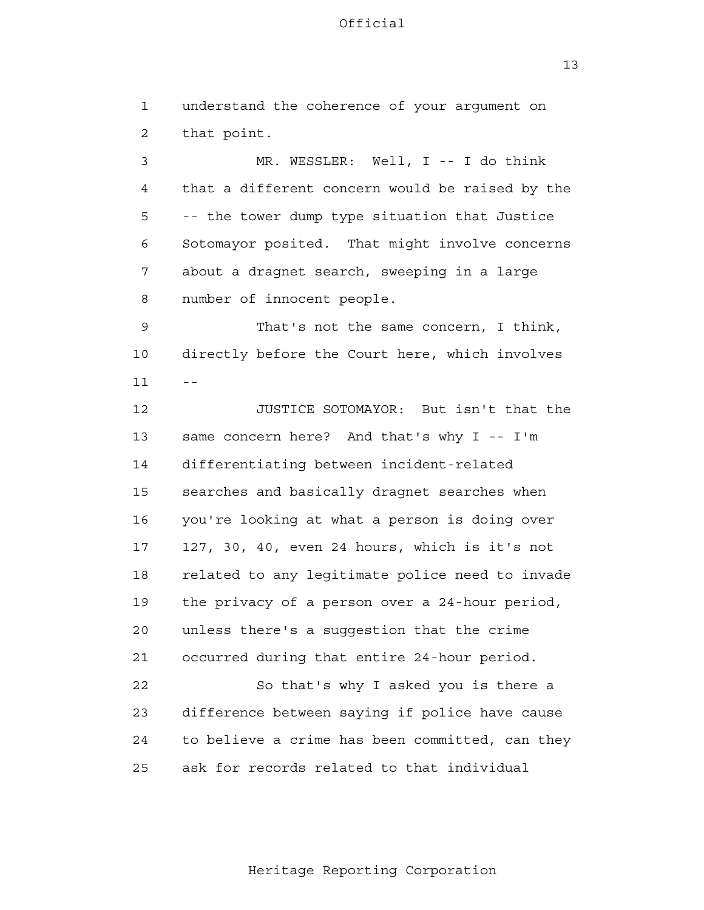13

 1 2 3 4 **5**  6 7 8 9 10  $11$  -- 12 13 14 15 16 17 18 19 20 21 22 23 24 <u>25</u> understand the coherence of your argument on that point. MR. WESSLER: Well, I -- I do think that a different concern would be raised by the -- the tower dump type situation that Justice Sotomayor posited. That might involve concerns about a dragnet search, sweeping in a large number of innocent people. That's not the same concern, I think, directly before the Court here, which involves JUSTICE SOTOMAYOR: But isn't that the same concern here? And that's why I -- I'm differentiating between incident-related searches and basically dragnet searches when you're looking at what a person is doing over 127, 30, 40, even 24 hours, which is it's not related to any legitimate police need to invade the privacy of a person over a 24-hour period, unless there's a suggestion that the crime occurred during that entire 24-hour period. So that's why I asked you is there a difference between saying if police have cause to believe a crime has been committed, can they ask for records related to that individual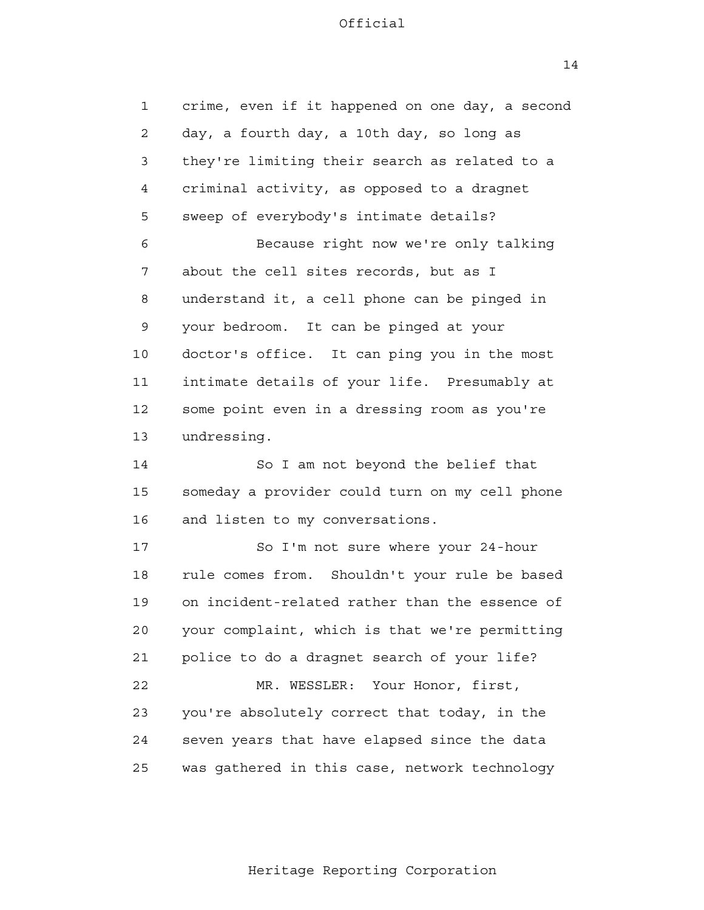1 2 3 4 **5**  6 7 8 9 10 11 12 13 14 crime, even if it happened on one day, a second day, a fourth day, a 10th day, so long as they're limiting their search as related to a criminal activity, as opposed to a dragnet sweep of everybody's intimate details? Because right now we're only talking about the cell sites records, but as I understand it, a cell phone can be pinged in your bedroom. It can be pinged at your doctor's office. It can ping you in the most intimate details of your life. Presumably at some point even in a dressing room as you're undressing. So I am not beyond the belief that

 15 16 someday a provider could turn on my cell phone and listen to my conversations.

 17 18 19 20 21 22 23 24 25 So I'm not sure where your 24-hour rule comes from. Shouldn't your rule be based on incident-related rather than the essence of your complaint, which is that we're permitting police to do a dragnet search of your life? MR. WESSLER: Your Honor, first, you're absolutely correct that today, in the seven years that have elapsed since the data was gathered in this case, network technology

14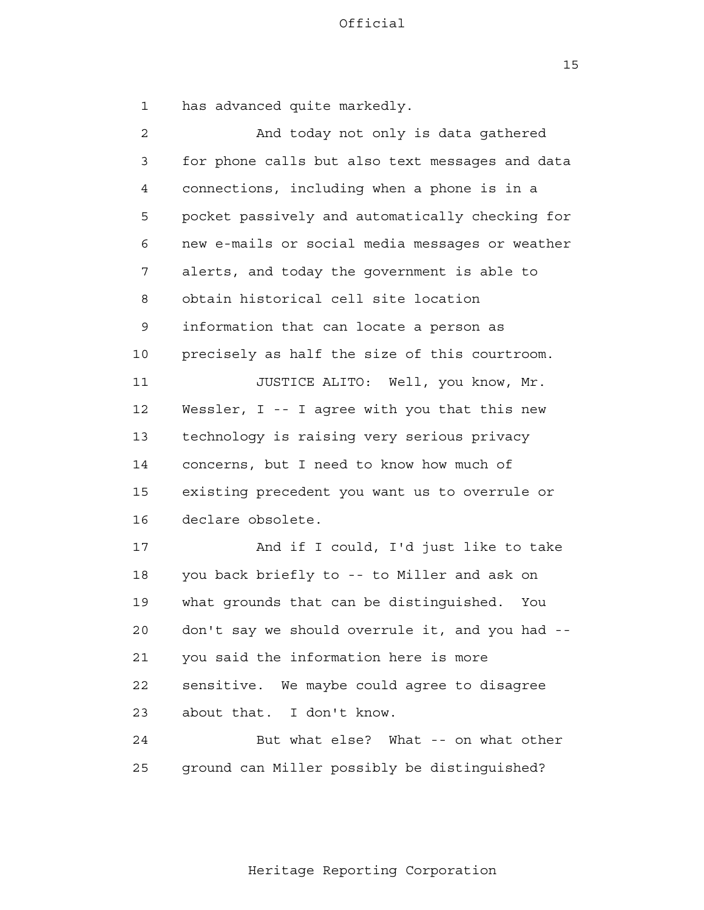15

 1 has advanced quite markedly.

 2 3 4 **5**  6 7 8 9 10 11 12 13 14 15 16 17 18 19 20 21 22 23 24 25 And today not only is data gathered for phone calls but also text messages and data connections, including when a phone is in a pocket passively and automatically checking for new e-mails or social media messages or weather alerts, and today the government is able to obtain historical cell site location information that can locate a person as precisely as half the size of this courtroom. JUSTICE ALITO: Well, you know, Mr. Wessler, I -- I agree with you that this new technology is raising very serious privacy concerns, but I need to know how much of existing precedent you want us to overrule or declare obsolete. And if I could, I'd just like to take you back briefly to -- to Miller and ask on what grounds that can be distinguished. You don't say we should overrule it, and you had you said the information here is more sensitive. We maybe could agree to disagree about that. I don't know. But what else? What -- on what other ground can Miller possibly be distinguished?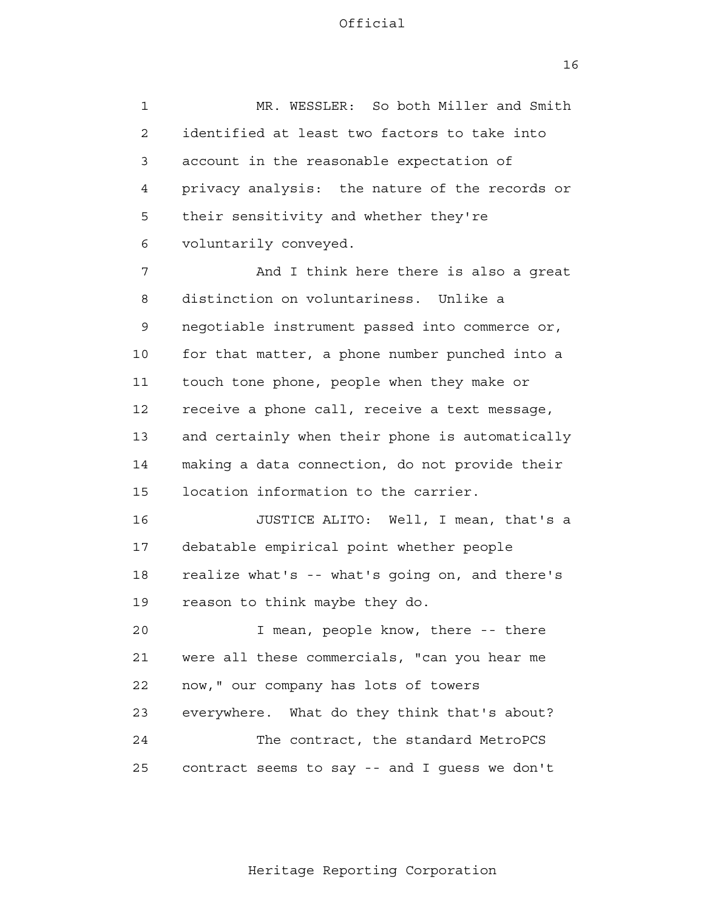16

 1 2 3 4 **5**  6 7 8 9 10 11 12 13 14 15 16 17 18 19 20 21 **22**  23 24 25 MR. WESSLER: So both Miller and Smith identified at least two factors to take into account in the reasonable expectation of privacy analysis: the nature of the records or their sensitivity and whether they're voluntarily conveyed. And I think here there is also a great distinction on voluntariness. Unlike a negotiable instrument passed into commerce or, for that matter, a phone number punched into a touch tone phone, people when they make or receive a phone call, receive a text message, and certainly when their phone is automatically making a data connection, do not provide their location information to the carrier. JUSTICE ALITO: Well, I mean, that's a debatable empirical point whether people realize what's -- what's going on, and there's reason to think maybe they do. I mean, people know, there -- there were all these commercials, "can you hear me now," our company has lots of towers everywhere. What do they think that's about? The contract, the standard MetroPCS contract seems to say -- and I guess we don't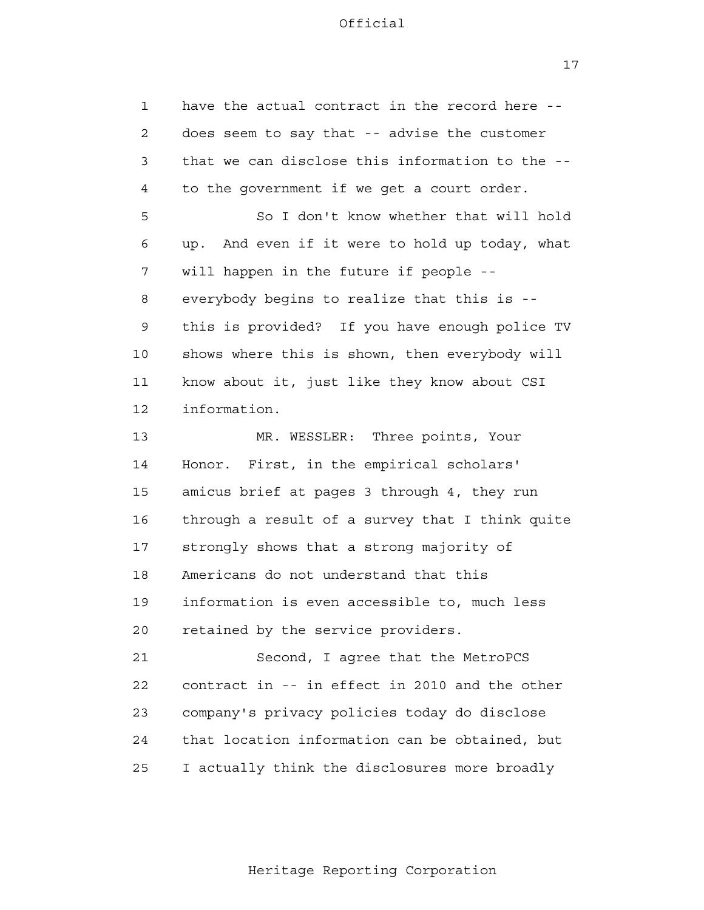17

 1 2 3 4 **5**  6 7 8 9 10 11 12 13 14 15 16 17 18 19 20 21 **22**  23 24 25 have the actual contract in the record here does seem to say that -- advise the customer that we can disclose this information to the to the government if we get a court order. So I don't know whether that will hold up. And even if it were to hold up today, what will happen in the future if people everybody begins to realize that this is this is provided? If you have enough police TV shows where this is shown, then everybody will know about it, just like they know about CSI information. MR. WESSLER: Three points, Your Honor. First, in the empirical scholars' amicus brief at pages 3 through 4, they run through a result of a survey that I think quite strongly shows that a strong majority of Americans do not understand that this information is even accessible to, much less retained by the service providers. Second, I agree that the MetroPCS contract in -- in effect in 2010 and the other company's privacy policies today do disclose that location information can be obtained, but I actually think the disclosures more broadly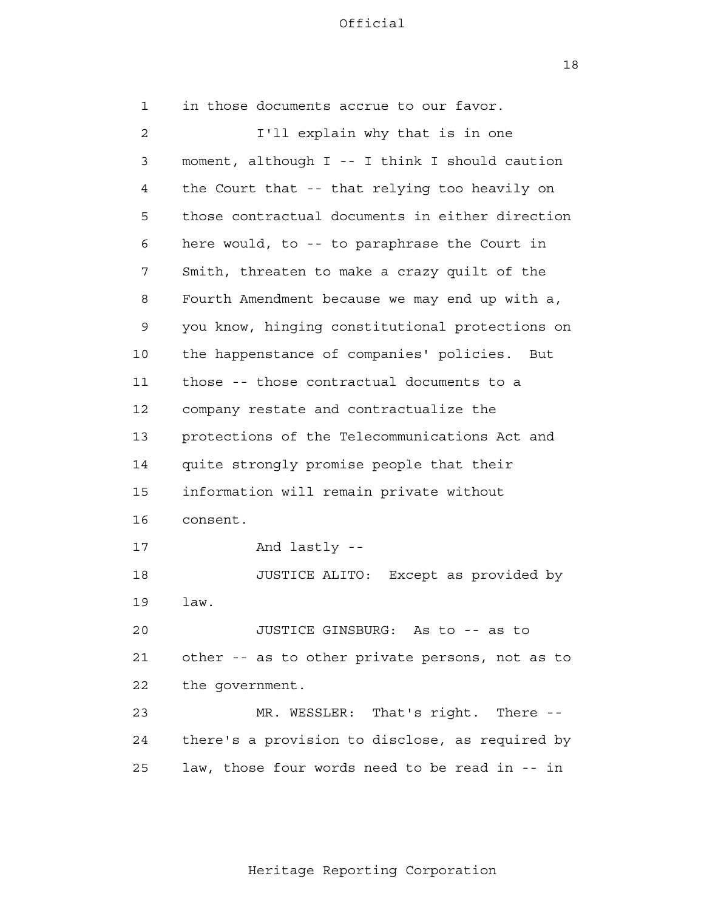18

| $\mathbf{1}$   | in those documents accrue to our favor.         |
|----------------|-------------------------------------------------|
| $\overline{2}$ | I'll explain why that is in one                 |
| 3              | moment, although I -- I think I should caution  |
| 4              | the Court that -- that relying too heavily on   |
| 5              | those contractual documents in either direction |
| 6              | here would, to -- to paraphrase the Court in    |
| 7              | Smith, threaten to make a crazy quilt of the    |
| 8              | Fourth Amendment because we may end up with a,  |
| 9              | you know, hinging constitutional protections on |
| 10             | the happenstance of companies' policies.<br>But |
| 11             | those -- those contractual documents to a       |
| 12             | company restate and contractualize the          |
| 13             | protections of the Telecommunications Act and   |
| 14             | quite strongly promise people that their        |
| 15             | information will remain private without         |
| 16             | consent.                                        |
| 17             | And lastly --                                   |
| 18             | JUSTICE ALITO: Except as provided by            |
| 19             | law.                                            |
| 20             | JUSTICE GINSBURG: As to -- as to                |
| 21             | other -- as to other private persons, not as to |
| 22             | the government.                                 |
| 23             | MR. WESSLER: That's right.<br>There --          |
| 24             | there's a provision to disclose, as required by |
| 25             | law, those four words need to be read in -- in  |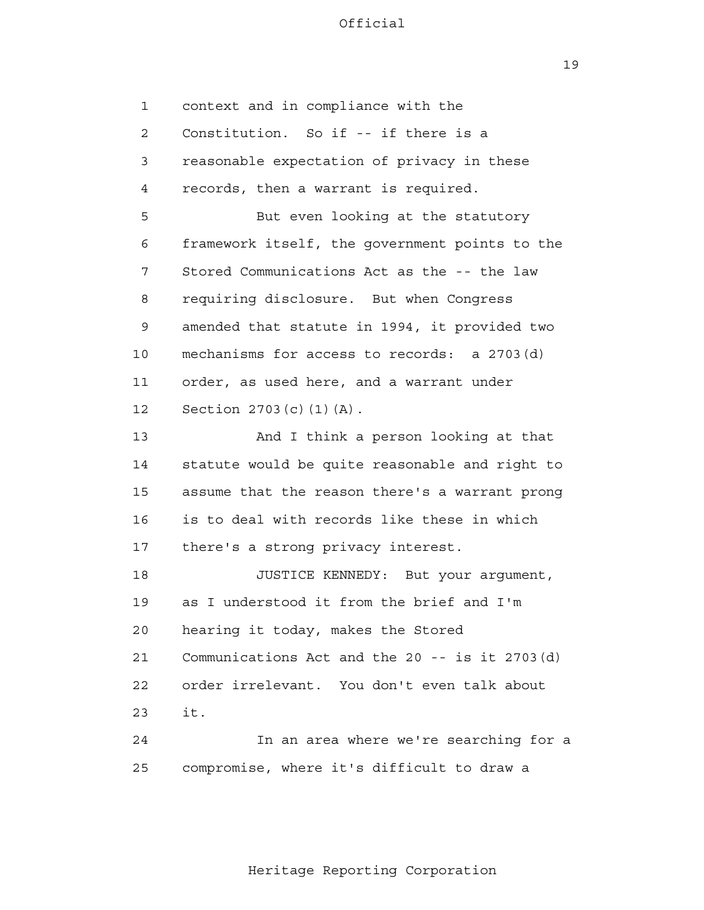19

 1 2 3 4 **5**  6 7 8 9 10 11 12 13 14 15 16 17 18 19 20 21 22 23 24 25 context and in compliance with the Constitution. So if -- if there is a reasonable expectation of privacy in these records, then a warrant is required. But even looking at the statutory framework itself, the government points to the Stored Communications Act as the -- the law requiring disclosure. But when Congress amended that statute in 1994, it provided two mechanisms for access to records: a 2703(d) order, as used here, and a warrant under Section 2703(c)(1)(A). And I think a person looking at that statute would be quite reasonable and right to assume that the reason there's a warrant prong is to deal with records like these in which there's a strong privacy interest. JUSTICE KENNEDY: But your argument, as I understood it from the brief and I'm hearing it today, makes the Stored Communications Act and the 20 -- is it 2703(d) order irrelevant. You don't even talk about it. In an area where we're searching for a compromise, where it's difficult to draw a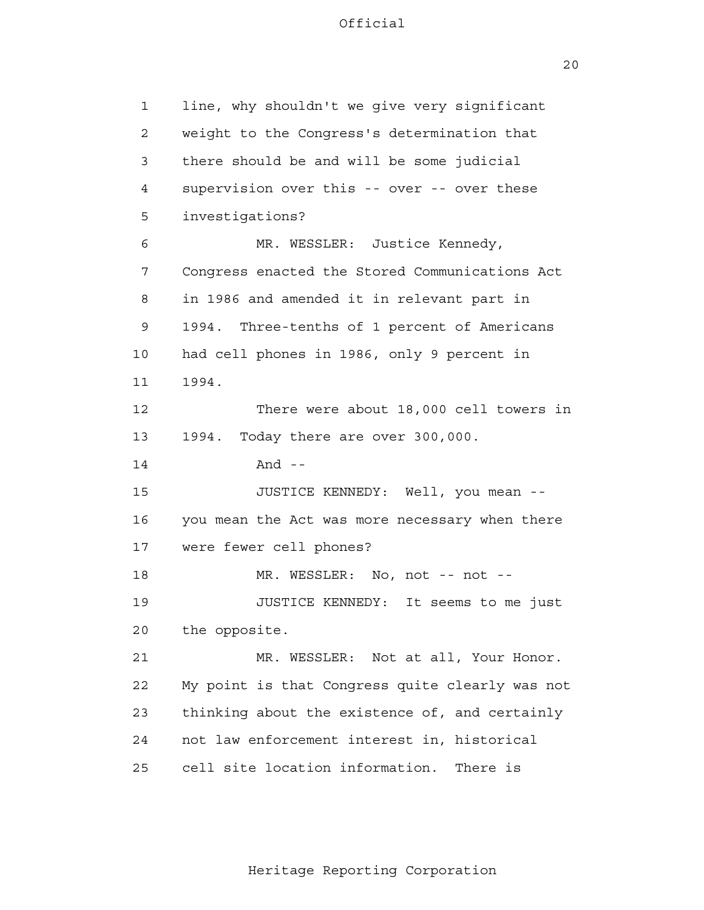20

| 1              | line, why shouldn't we give very significant    |
|----------------|-------------------------------------------------|
| $\overline{c}$ | weight to the Congress's determination that     |
| 3              | there should be and will be some judicial       |
| 4              | supervision over this -- over -- over these     |
| 5              | investigations?                                 |
| 6              | MR. WESSLER: Justice Kennedy,                   |
| 7              | Congress enacted the Stored Communications Act  |
| 8              | in 1986 and amended it in relevant part in      |
| 9              | 1994.<br>Three-tenths of 1 percent of Americans |
| 10             | had cell phones in 1986, only 9 percent in      |
| 11             | 1994.                                           |
| 12             | There were about 18,000 cell towers in          |
| 13             | Today there are over 300,000.<br>1994.          |
| 14             | And $-$                                         |
| 15             | JUSTICE KENNEDY: Well, you mean --              |
| 16             | you mean the Act was more necessary when there  |
| 17             | were fewer cell phones?                         |
| 18             | MR. WESSLER: No, not -- not --                  |
| 19             | JUSTICE KENNEDY: It seems to me just            |
| 20             | the opposite.                                   |
| 21             | MR. WESSLER: Not at all, Your Honor.            |
| 22             | My point is that Congress quite clearly was not |
| 23             | thinking about the existence of, and certainly  |
| 24             | not law enforcement interest in, historical     |
| 25             | cell site location information.<br>There is     |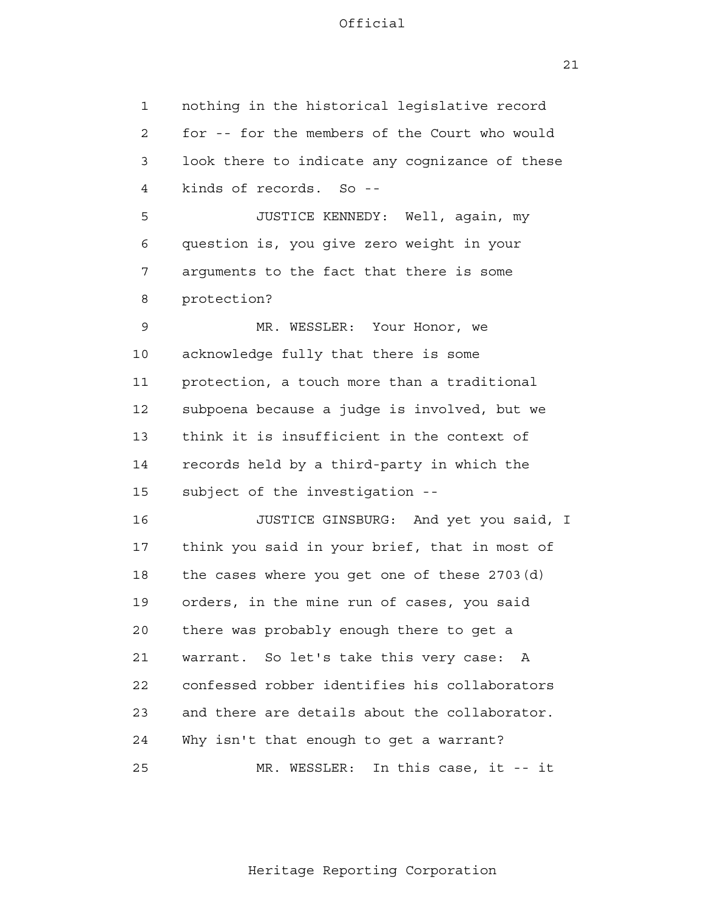21

 1 2 3 4 **5**  6 7 8 9 10 11 12 13 14 15 16 17 18 19 20 21 22 23 24 25 nothing in the historical legislative record for -- for the members of the Court who would look there to indicate any cognizance of these kinds of records. So - JUSTICE KENNEDY: Well, again, my question is, you give zero weight in your arguments to the fact that there is some protection? MR. WESSLER: Your Honor, we acknowledge fully that there is some protection, a touch more than a traditional subpoena because a judge is involved, but we think it is insufficient in the context of records held by a third-party in which the subject of the investigation - JUSTICE GINSBURG: And yet you said, I think you said in your brief, that in most of the cases where you get one of these 2703(d) orders, in the mine run of cases, you said there was probably enough there to get a warrant. So let's take this very case: A confessed robber identifies his collaborators and there are details about the collaborator. Why isn't that enough to get a warrant? MR. WESSLER: In this case, it -- it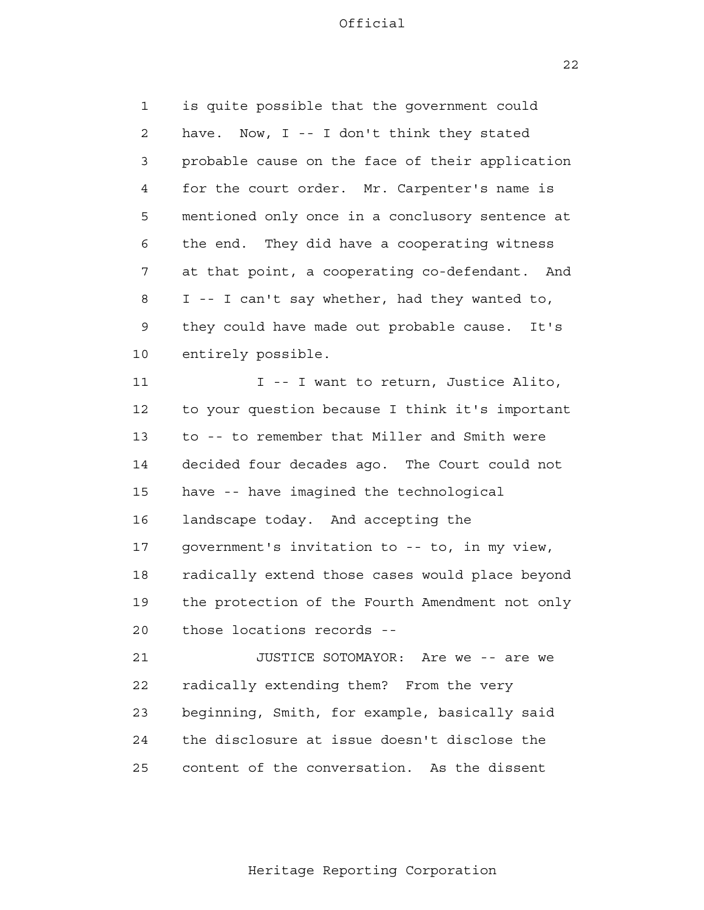1 2 3 4 **5**  6 7 8 9 10 is quite possible that the government could have. Now, I -- I don't think they stated probable cause on the face of their application for the court order. Mr. Carpenter's name is mentioned only once in a conclusory sentence at the end. They did have a cooperating witness at that point, a cooperating co-defendant. And I -- I can't say whether, had they wanted to, they could have made out probable cause. It's entirely possible.

 11 12 13 14 15 16 17 18 19 20 I -- I want to return, Justice Alito, to your question because I think it's important to -- to remember that Miller and Smith were decided four decades ago. The Court could not have -- have imagined the technological landscape today. And accepting the government's invitation to -- to, in my view, radically extend those cases would place beyond the protection of the Fourth Amendment not only those locations records -

 21 **22**  23 24 <u>25</u> JUSTICE SOTOMAYOR: Are we -- are we radically extending them? From the very beginning, Smith, for example, basically said the disclosure at issue doesn't disclose the content of the conversation. As the dissent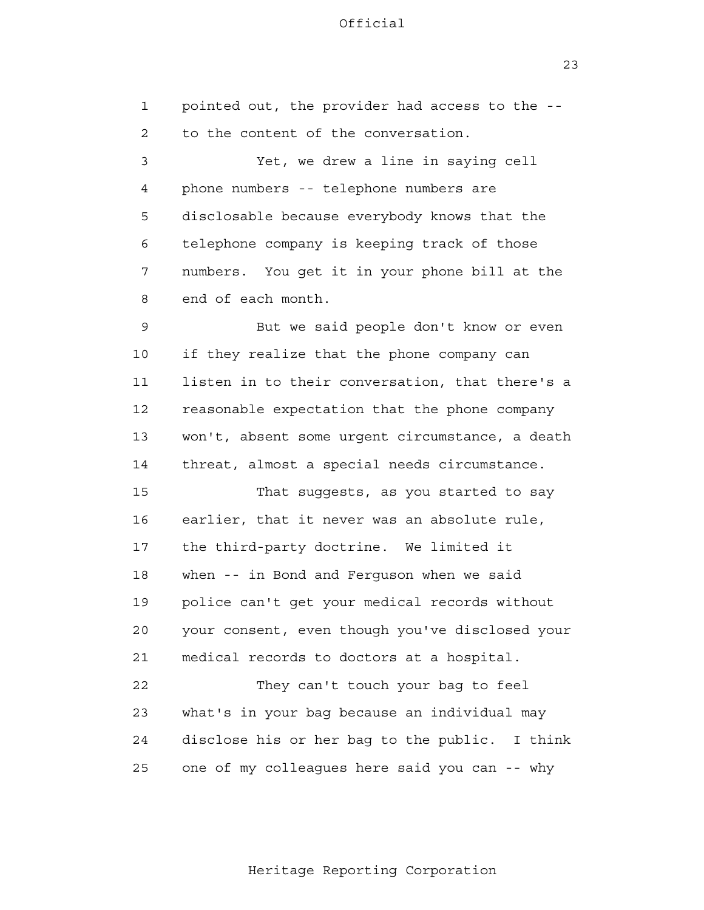1 2 3 4 **5**  6 7 8 9 10 11 12 13 14 15 16 17 18 19 20 21 22 23 24 25 pointed out, the provider had access to the to the content of the conversation. Yet, we drew a line in saying cell phone numbers -- telephone numbers are disclosable because everybody knows that the telephone company is keeping track of those numbers. You get it in your phone bill at the end of each month. But we said people don't know or even if they realize that the phone company can listen in to their conversation, that there's a reasonable expectation that the phone company won't, absent some urgent circumstance, a death threat, almost a special needs circumstance. That suggests, as you started to say earlier, that it never was an absolute rule, the third-party doctrine. We limited it when -- in Bond and Ferguson when we said police can't get your medical records without your consent, even though you've disclosed your medical records to doctors at a hospital. They can't touch your bag to feel what's in your bag because an individual may disclose his or her bag to the public. I think one of my colleagues here said you can -- why

Heritage Reporting Corporation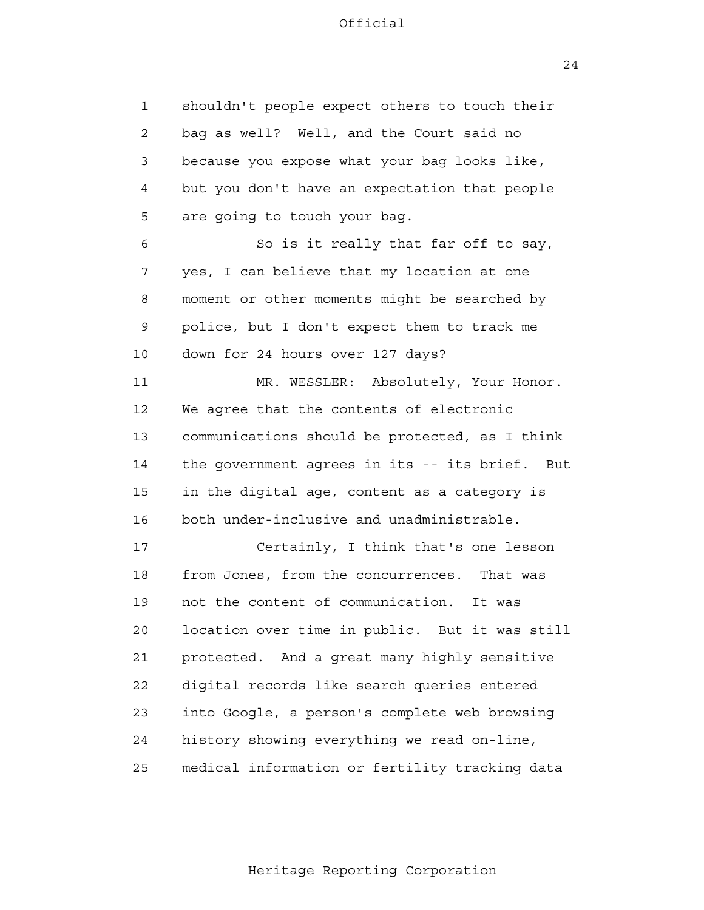1 2 3 4 **5**  6 7 8 9 10 11 12 13 14 15 16 17 18 19 20 21 22 23 24 <u>25</u> shouldn't people expect others to touch their bag as well? Well, and the Court said no because you expose what your bag looks like, but you don't have an expectation that people are going to touch your bag. So is it really that far off to say, yes, I can believe that my location at one moment or other moments might be searched by police, but I don't expect them to track me down for 24 hours over 127 days? MR. WESSLER: Absolutely, Your Honor. We agree that the contents of electronic communications should be protected, as I think the government agrees in its -- its brief. But in the digital age, content as a category is both under-inclusive and unadministrable. Certainly, I think that's one lesson from Jones, from the concurrences. That was not the content of communication. It was location over time in public. But it was still protected. And a great many highly sensitive digital records like search queries entered into Google, a person's complete web browsing history showing everything we read on-line, medical information or fertility tracking data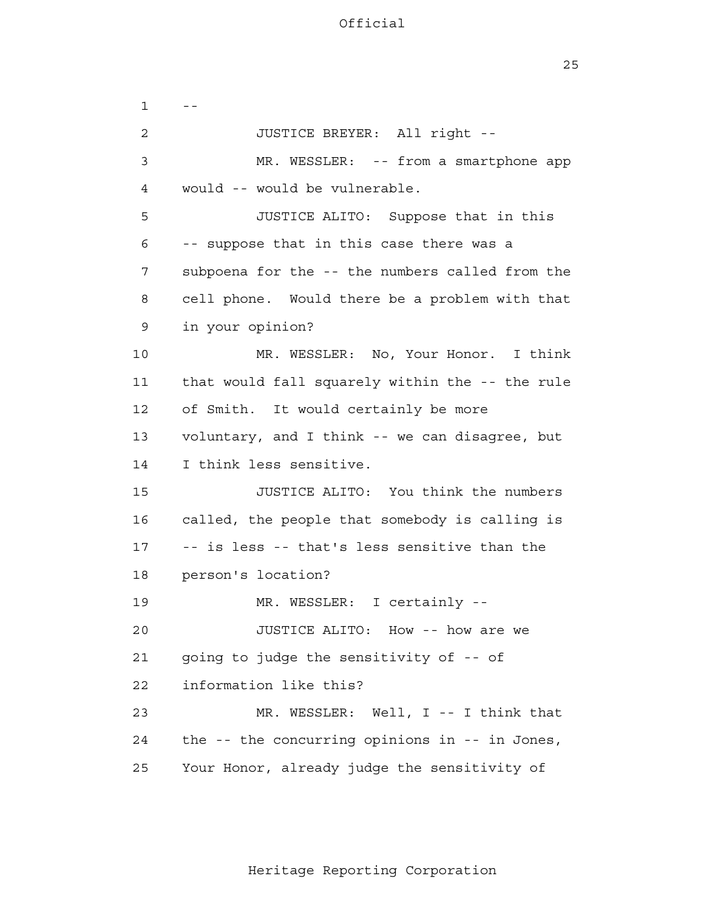$1 - -$  2 3 4 **5**  6 7 8 9 10 11 12 13 14 15 16 17 18 19 20 21 22 23 24 25 JUSTICE BREYER: All right - MR. WESSLER: -- from a smartphone app would -- would be vulnerable. JUSTICE ALITO: Suppose that in this -- suppose that in this case there was a subpoena for the -- the numbers called from the cell phone. Would there be a problem with that in your opinion? MR. WESSLER: No, Your Honor. I think that would fall squarely within the -- the rule of Smith. It would certainly be more voluntary, and I think -- we can disagree, but I think less sensitive. JUSTICE ALITO: You think the numbers called, the people that somebody is calling is -- is less -- that's less sensitive than the person's location? MR. WESSLER: I certainly - JUSTICE ALITO: How -- how are we going to judge the sensitivity of -- of information like this? MR. WESSLER: Well, I -- I think that the -- the concurring opinions in -- in Jones, Your Honor, already judge the sensitivity of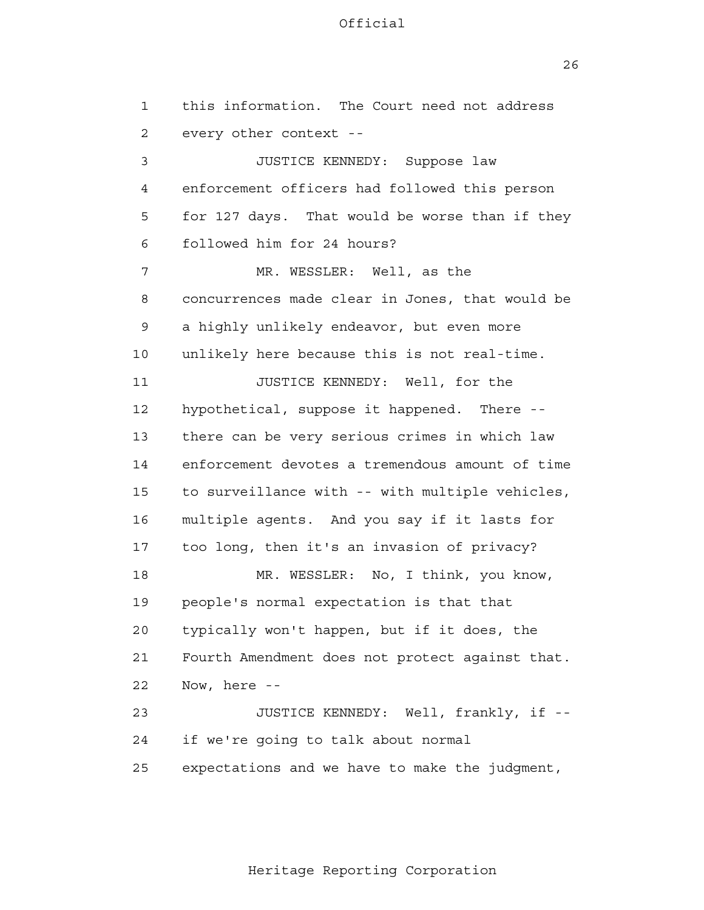26

| $\mathbf{1}$   | this information. The Court need not address    |
|----------------|-------------------------------------------------|
| $\overline{2}$ | every other context --                          |
| 3              | JUSTICE KENNEDY: Suppose law                    |
| 4              | enforcement officers had followed this person   |
| 5              | for 127 days. That would be worse than if they  |
| 6              | followed him for 24 hours?                      |
| 7              | MR. WESSLER: Well, as the                       |
| 8              | concurrences made clear in Jones, that would be |
| 9              | a highly unlikely endeavor, but even more       |
| 10             | unlikely here because this is not real-time.    |
| 11             | JUSTICE KENNEDY: Well, for the                  |
| 12             | hypothetical, suppose it happened. There --     |
| 13             | there can be very serious crimes in which law   |
| 14             | enforcement devotes a tremendous amount of time |
| 15             | to surveillance with -- with multiple vehicles, |
| 16             | multiple agents. And you say if it lasts for    |
| 17             | too long, then it's an invasion of privacy?     |
| 18             | MR. WESSLER: No, I think, you know,             |
| 19             | people's normal expectation is that that        |
| 20             | typically won't happen, but if it does, the     |
| 21             | Fourth Amendment does not protect against that. |
| 22             | Now, here --                                    |
| 23             | JUSTICE KENNEDY: Well, frankly, if --           |
| 24             | if we're going to talk about normal             |
| 25             | expectations and we have to make the judgment,  |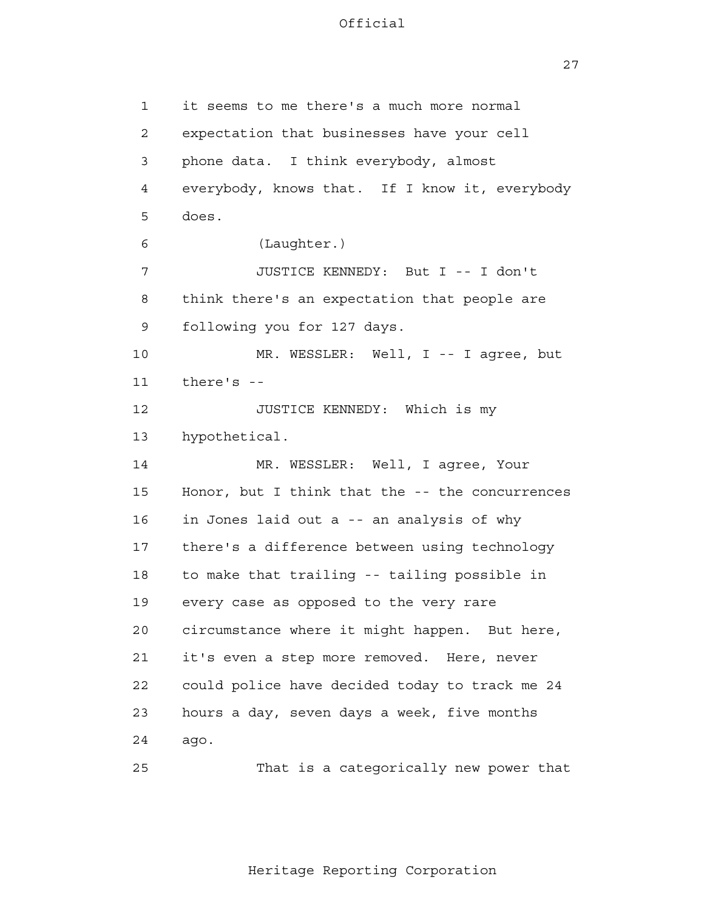27

 1 2 3 4 **5**  6 7 8 9 10 11 12 13 14 15 16 17 18 19 20 21 22 23 24 it seems to me there's a much more normal expectation that businesses have your cell phone data. I think everybody, almost everybody, knows that. If I know it, everybody does. (Laughter.) JUSTICE KENNEDY: But I -- I don't think there's an expectation that people are following you for 127 days. MR. WESSLER: Well, I -- I agree, but there's - JUSTICE KENNEDY: Which is my hypothetical. MR. WESSLER: Well, I agree, Your Honor, but I think that the -- the concurrences in Jones laid out a -- an analysis of why there's a difference between using technology to make that trailing -- tailing possible in every case as opposed to the very rare circumstance where it might happen. But here, it's even a step more removed. Here, never could police have decided today to track me 24 hours a day, seven days a week, five months ago.

25

That is a categorically new power that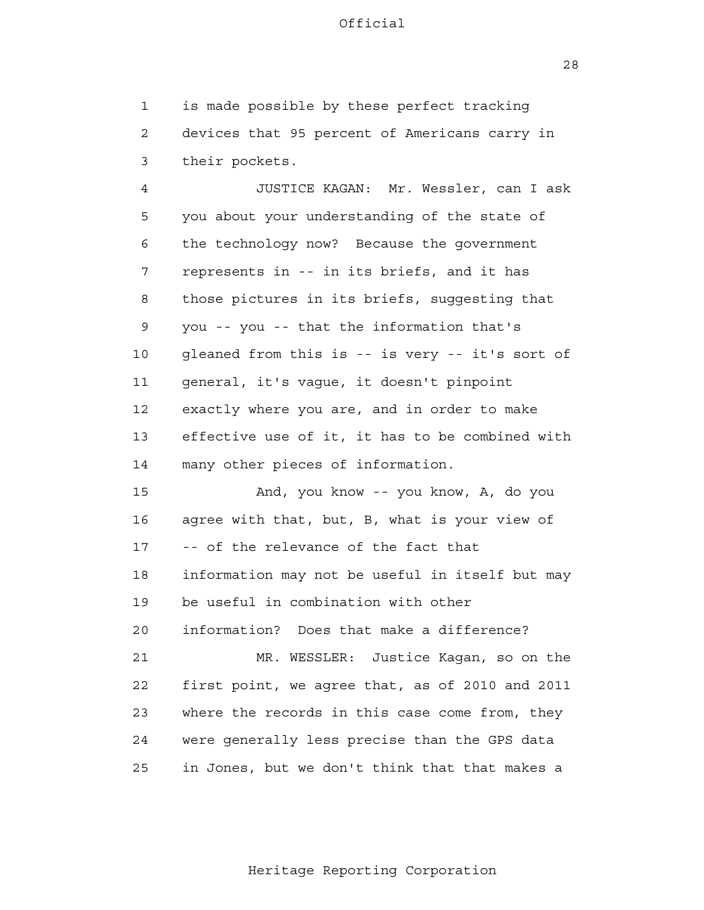1 2 3 is made possible by these perfect tracking devices that 95 percent of Americans carry in their pockets.

 4 **5**  6 7 8 9 10 11 12 13 14 JUSTICE KAGAN: Mr. Wessler, can I ask you about your understanding of the state of the technology now? Because the government represents in -- in its briefs, and it has those pictures in its briefs, suggesting that you -- you -- that the information that's gleaned from this is -- is very -- it's sort of general, it's vague, it doesn't pinpoint exactly where you are, and in order to make effective use of it, it has to be combined with many other pieces of information.

 15 16 17 18 19 20 21 **22**  23 24 <u>25</u> And, you know -- you know, A, do you agree with that, but, B, what is your view of -- of the relevance of the fact that information may not be useful in itself but may be useful in combination with other information? Does that make a difference? MR. WESSLER: Justice Kagan, so on the first point, we agree that, as of 2010 and 2011 where the records in this case come from, they were generally less precise than the GPS data in Jones, but we don't think that that makes a

28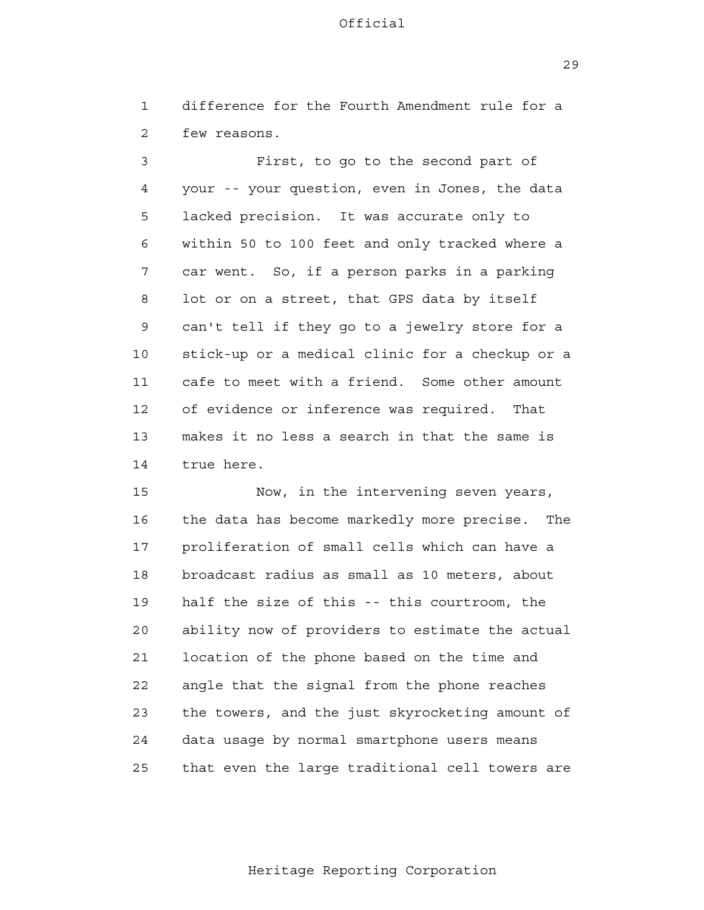1 2 difference for the Fourth Amendment rule for a few reasons.

 3 4 **5**  6 7 8 9 10 11 12 13 14 First, to go to the second part of your -- your question, even in Jones, the data lacked precision. It was accurate only to within 50 to 100 feet and only tracked where a car went. So, if a person parks in a parking lot or on a street, that GPS data by itself can't tell if they go to a jewelry store for a stick-up or a medical clinic for a checkup or a cafe to meet with a friend. Some other amount of evidence or inference was required. That makes it no less a search in that the same is true here.

 15 16 17 18 19 20 21 **22**  23 24 25 Now, in the intervening seven years, the data has become markedly more precise. The proliferation of small cells which can have a broadcast radius as small as 10 meters, about half the size of this -- this courtroom, the ability now of providers to estimate the actual location of the phone based on the time and angle that the signal from the phone reaches the towers, and the just skyrocketing amount of data usage by normal smartphone users means that even the large traditional cell towers are

29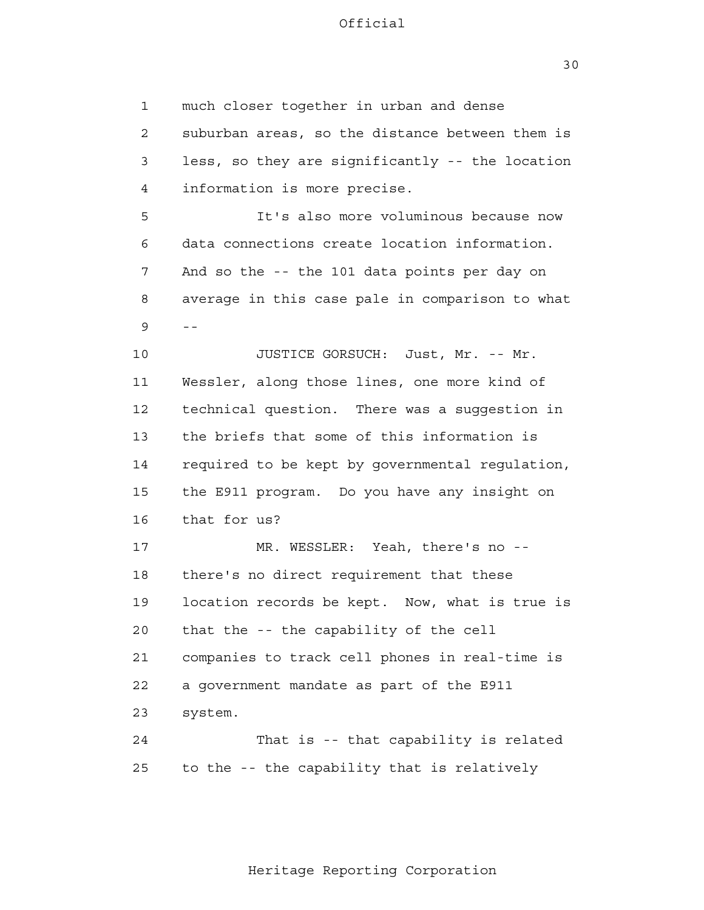30

 1 2 3 4 **5**  6 7 8  $9 - -$  10 11 12 13 14 15 16 17 18 19 20 21 22 23 24 <u>25</u> much closer together in urban and dense suburban areas, so the distance between them is less, so they are significantly -- the location information is more precise. It's also more voluminous because now data connections create location information. And so the -- the 101 data points per day on average in this case pale in comparison to what JUSTICE GORSUCH: Just, Mr. -- Mr. Wessler, along those lines, one more kind of technical question. There was a suggestion in the briefs that some of this information is required to be kept by governmental regulation, the E911 program. Do you have any insight on that for us? MR. WESSLER: Yeah, there's no -there's no direct requirement that these location records be kept. Now, what is true is that the -- the capability of the cell companies to track cell phones in real-time is a government mandate as part of the E911 system. That is -- that capability is related to the -- the capability that is relatively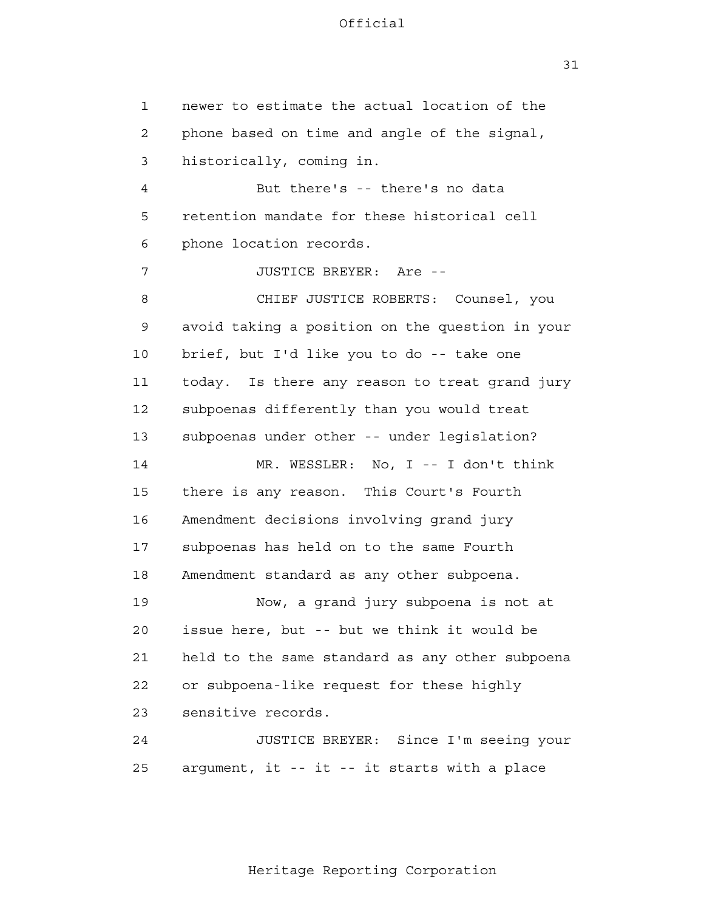1 2 3 4 **5**  6 7 8 9 10 11 12 13 14 15 16 17 18 19 20 21 22 23 24 25 newer to estimate the actual location of the phone based on time and angle of the signal, historically, coming in. But there's -- there's no data retention mandate for these historical cell phone location records. JUSTICE BREYER: Are - CHIEF JUSTICE ROBERTS: Counsel, you avoid taking a position on the question in your brief, but I'd like you to do -- take one today. Is there any reason to treat grand jury subpoenas differently than you would treat subpoenas under other -- under legislation? MR. WESSLER: No, I -- I don't think there is any reason. This Court's Fourth Amendment decisions involving grand jury subpoenas has held on to the same Fourth Amendment standard as any other subpoena. Now, a grand jury subpoena is not at issue here, but -- but we think it would be held to the same standard as any other subpoena or subpoena-like request for these highly sensitive records. JUSTICE BREYER: Since I'm seeing your argument, it -- it -- it starts with a place

Heritage Reporting Corporation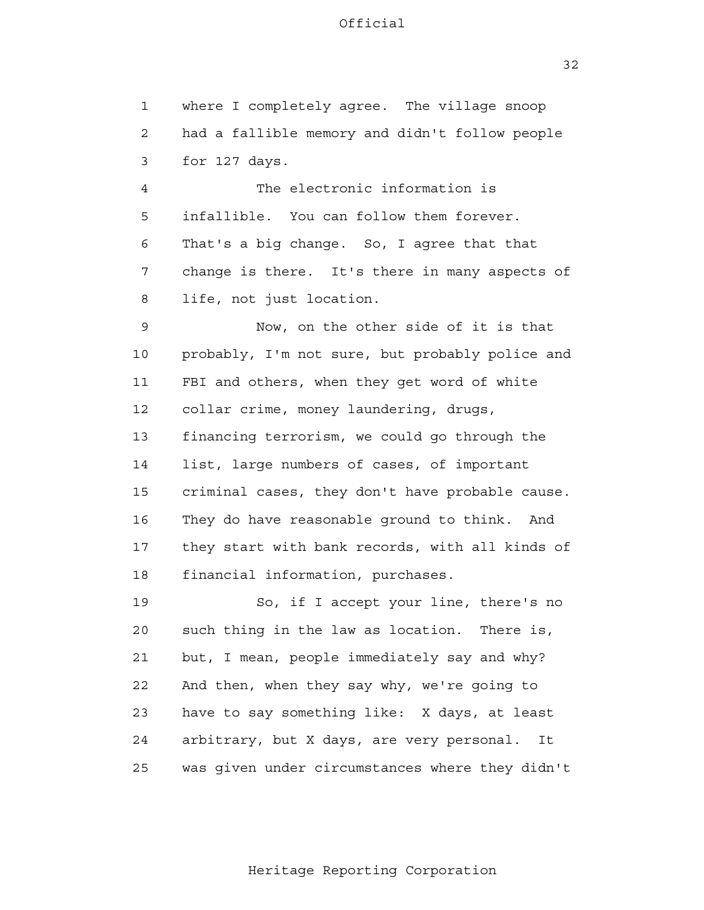32

 1 2 3 4 **5**  6 7 8 9 10 11 12 13 14 15 16 17 18 19 20 21 22 23 24 25 where I completely agree. The village snoop had a fallible memory and didn't follow people for 127 days. The electronic information is infallible. You can follow them forever. That's a big change. So, I agree that that change is there. It's there in many aspects of life, not just location. Now, on the other side of it is that probably, I'm not sure, but probably police and FBI and others, when they get word of white collar crime, money laundering, drugs, financing terrorism, we could go through the list, large numbers of cases, of important criminal cases, they don't have probable cause. They do have reasonable ground to think. And they start with bank records, with all kinds of financial information, purchases. So, if I accept your line, there's no such thing in the law as location. There is, but, I mean, people immediately say and why? And then, when they say why, we're going to have to say something like: X days, at least arbitrary, but X days, are very personal. It was given under circumstances where they didn't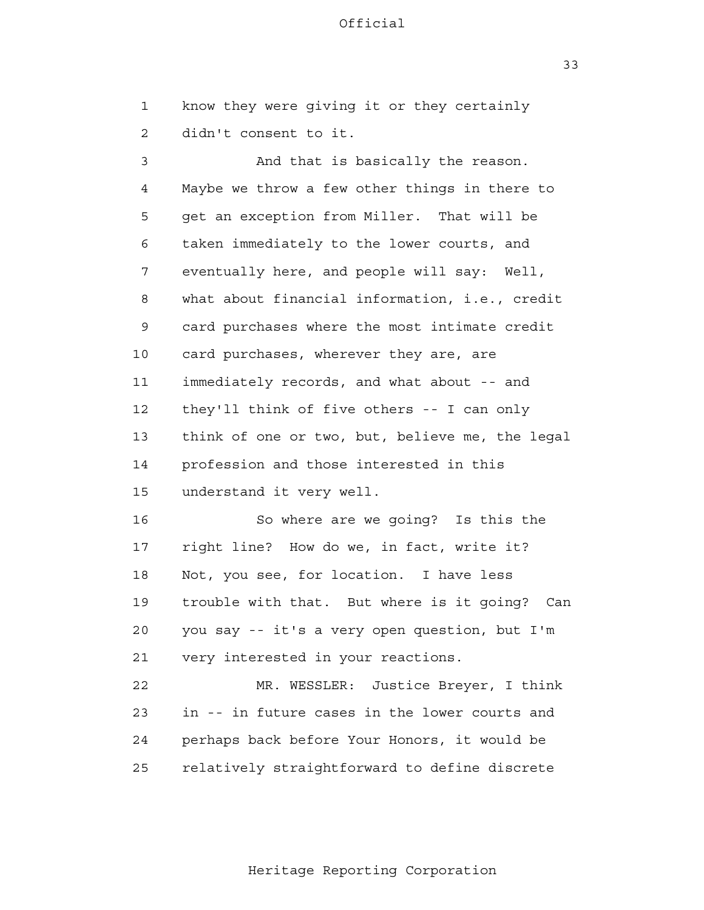know they were giving it or they certainly

33

 1 2 3 4 **5**  6 7 8 9 10 11 12 13 14 15 16 17 18 19 20 21 22 23 24 25 didn't consent to it. And that is basically the reason. Maybe we throw a few other things in there to get an exception from Miller. That will be taken immediately to the lower courts, and eventually here, and people will say: Well, what about financial information, i.e., credit card purchases where the most intimate credit card purchases, wherever they are, are immediately records, and what about -- and they'll think of five others -- I can only think of one or two, but, believe me, the legal profession and those interested in this understand it very well. So where are we going? Is this the right line? How do we, in fact, write it? Not, you see, for location. I have less trouble with that. But where is it going? Can you say -- it's a very open question, but I'm very interested in your reactions. MR. WESSLER: Justice Breyer, I think in -- in future cases in the lower courts and perhaps back before Your Honors, it would be relatively straightforward to define discrete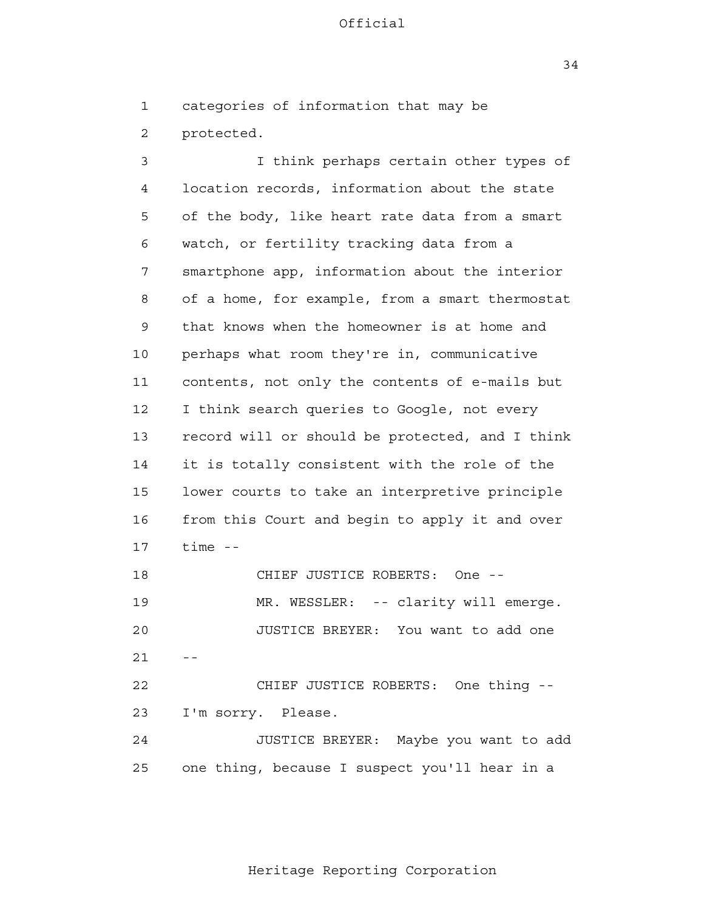34

 1 categories of information that may be

 2 protected.

 3 4 **5**  6 7 8 9 10 11 12 13 14 15 16 17 18 19 20 21 22 23 24 I think perhaps certain other types of location records, information about the state of the body, like heart rate data from a smart watch, or fertility tracking data from a smartphone app, information about the interior of a home, for example, from a smart thermostat that knows when the homeowner is at home and perhaps what room they're in, communicative contents, not only the contents of e-mails but I think search queries to Google, not every record will or should be protected, and I think it is totally consistent with the role of the lower courts to take an interpretive principle from this Court and begin to apply it and over time - CHIEF JUSTICE ROBERTS: One - MR. WESSLER: -- clarity will emerge. JUSTICE BREYER: You want to add one  $-$ CHIEF JUSTICE ROBERTS: One thing - I'm sorry. Please. JUSTICE BREYER: Maybe you want to add

> 25 one thing, because I suspect you'll hear in a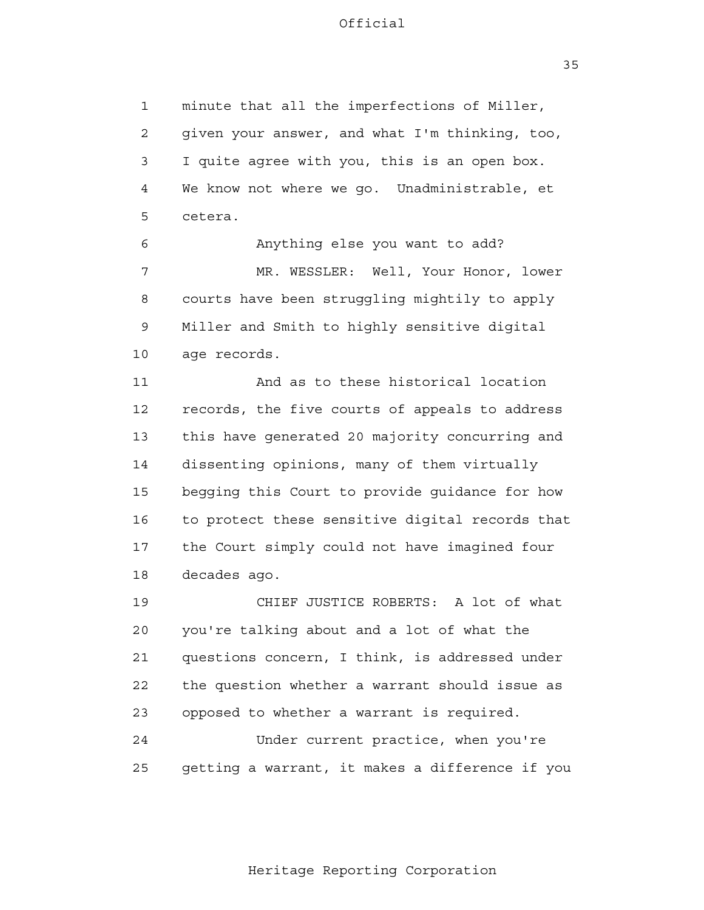35

 1 2 3 4 **5** minute that all the imperfections of Miller, given your answer, and what I'm thinking, too, I quite agree with you, this is an open box. We know not where we go. Unadministrable, et cetera.

 6 7 8 9 10 Anything else you want to add? MR. WESSLER: Well, Your Honor, lower courts have been struggling mightily to apply Miller and Smith to highly sensitive digital age records.

 11 12 13 14 15 16 17 18 And as to these historical location records, the five courts of appeals to address this have generated 20 majority concurring and dissenting opinions, many of them virtually begging this Court to provide guidance for how to protect these sensitive digital records that the Court simply could not have imagined four decades ago.

> 19 20 21 22 23 CHIEF JUSTICE ROBERTS: A lot of what you're talking about and a lot of what the questions concern, I think, is addressed under the question whether a warrant should issue as opposed to whether a warrant is required.

 24 25 Under current practice, when you're getting a warrant, it makes a difference if you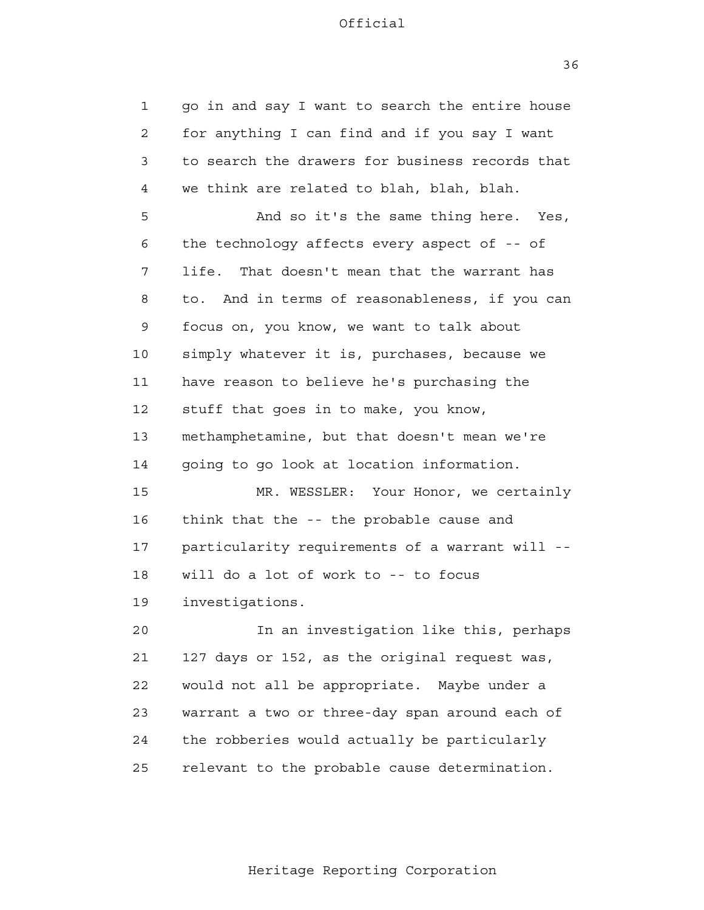1 2 3 4 **5**  6 7 8 9 10 11 12 13 14 15 16 17 18 19 20 21 **22**  23 24 25 go in and say I want to search the entire house for anything I can find and if you say I want to search the drawers for business records that we think are related to blah, blah, blah. And so it's the same thing here. Yes, the technology affects every aspect of -- of life. That doesn't mean that the warrant has to. And in terms of reasonableness, if you can focus on, you know, we want to talk about simply whatever it is, purchases, because we have reason to believe he's purchasing the stuff that goes in to make, you know, methamphetamine, but that doesn't mean we're going to go look at location information. MR. WESSLER: Your Honor, we certainly think that the -- the probable cause and particularity requirements of a warrant will will do a lot of work to -- to focus investigations. In an investigation like this, perhaps 127 days or 152, as the original request was, would not all be appropriate. Maybe under a warrant a two or three-day span around each of the robberies would actually be particularly relevant to the probable cause determination.

36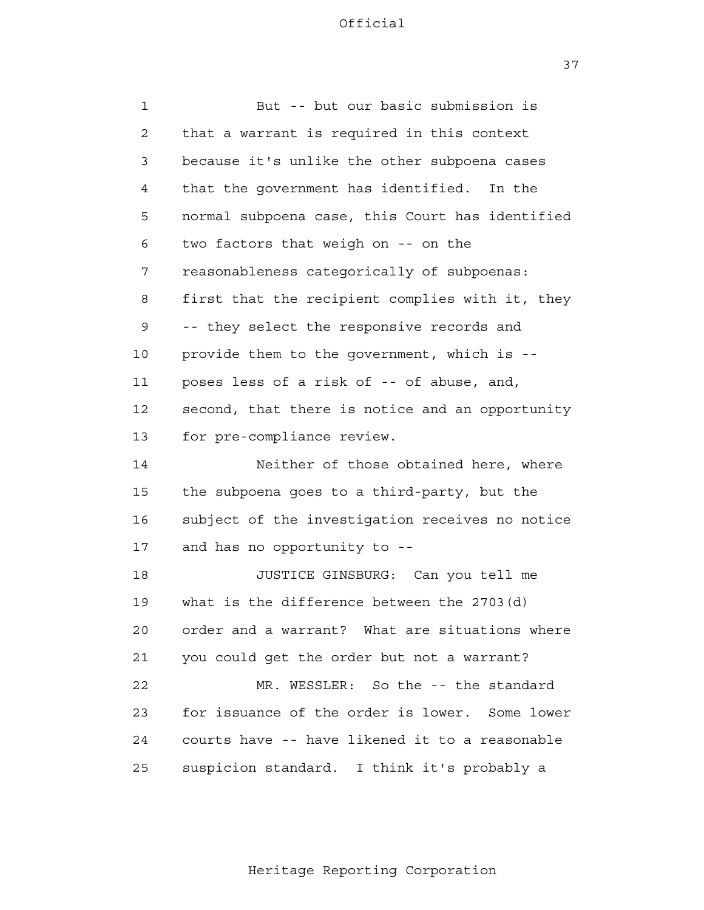37

| $\mathbf{1}$   | But -- but our basic submission is              |
|----------------|-------------------------------------------------|
| $\overline{2}$ | that a warrant is required in this context      |
| 3              | because it's unlike the other subpoena cases    |
| 4              | that the government has identified. In the      |
| 5              | normal subpoena case, this Court has identified |
| 6              | two factors that weigh on -- on the             |
| 7              | reasonableness categorically of subpoenas:      |
| 8              | first that the recipient complies with it, they |
| 9              | -- they select the responsive records and       |
| 10             | provide them to the government, which is --     |
| 11             | poses less of a risk of -- of abuse, and,       |
| 12             | second, that there is notice and an opportunity |
| 13             | for pre-compliance review.                      |
| 14             | Neither of those obtained here, where           |
| 15             | the subpoena goes to a third-party, but the     |
| 16             | subject of the investigation receives no notice |
| 17             | and has no opportunity to --                    |
| 18             | JUSTICE GINSBURG: Can you tell me               |
| 19             | what is the difference between the $2703(d)$    |
| 20             | order and a warrant? What are situations where  |
| 21             | you could get the order but not a warrant?      |
| 22             | MR. WESSLER: So the -- the standard             |
| 23             | for issuance of the order is lower. Some lower  |
| 24             | courts have -- have likened it to a reasonable  |
| 25             | suspicion standard. I think it's probably a     |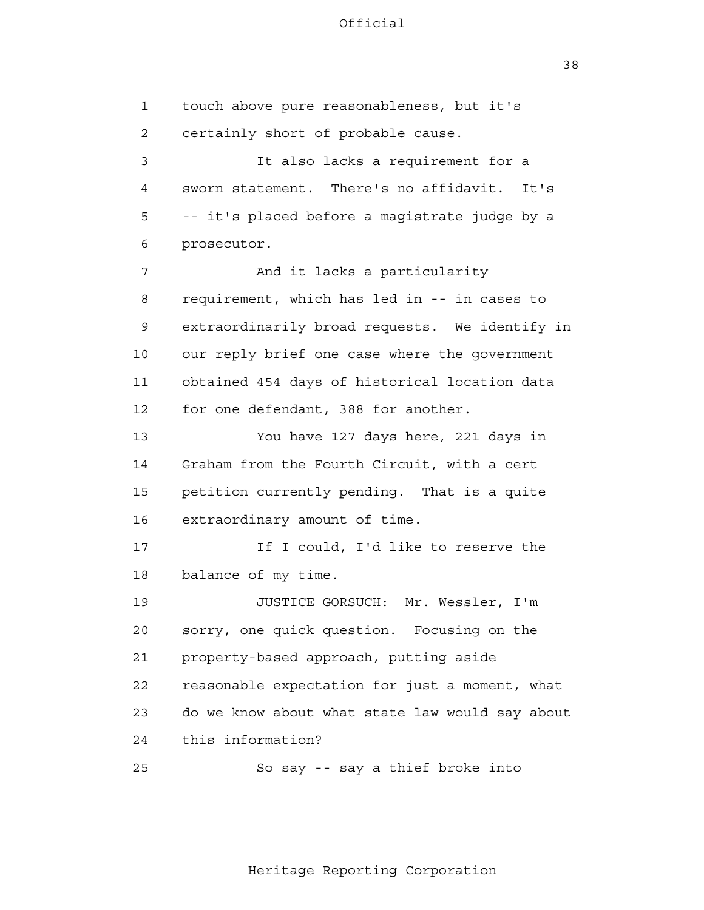38

| 1  | touch above pure reasonableness, but it's       |
|----|-------------------------------------------------|
| 2  | certainly short of probable cause.              |
| 3  | It also lacks a requirement for a               |
| 4  | sworn statement. There's no affidavit. It's     |
| 5  | -- it's placed before a magistrate judge by a   |
| 6  | prosecutor.                                     |
| 7  | And it lacks a particularity                    |
| 8  | requirement, which has led in -- in cases to    |
| 9  | extraordinarily broad requests. We identify in  |
| 10 | our reply brief one case where the government   |
| 11 | obtained 454 days of historical location data   |
| 12 | for one defendant, 388 for another.             |
| 13 | You have 127 days here, 221 days in             |
| 14 | Graham from the Fourth Circuit, with a cert     |
| 15 | petition currently pending. That is a quite     |
| 16 | extraordinary amount of time.                   |
| 17 | If I could, I'd like to reserve the             |
| 18 | balance of my time.                             |
| 19 | JUSTICE GORSUCH: Mr. Wessler, I'm               |
| 20 | sorry, one quick question. Focusing on the      |
| 21 | property-based approach, putting aside          |
| 22 | reasonable expectation for just a moment, what  |
| 23 | do we know about what state law would say about |
| 24 | this information?                               |
| 25 | So say -- say a thief broke into                |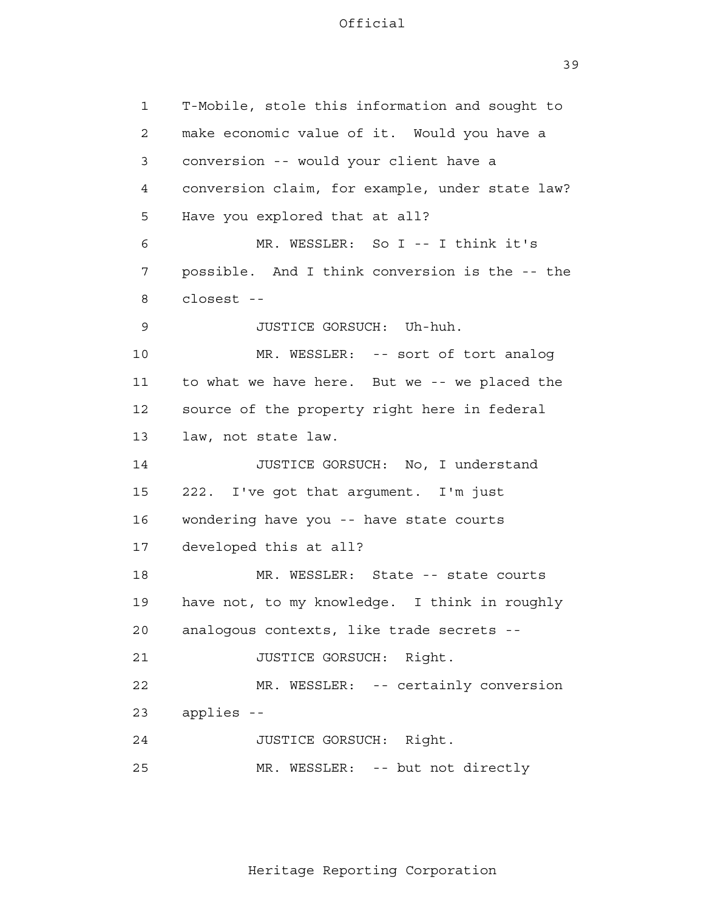39

 1 2 3 4 **5**  6 7 8 9 10 11 12 13 14 15 16 17 18 19 20 21 22 23 24 25 T-Mobile, stole this information and sought to make economic value of it. Would you have a conversion -- would your client have a conversion claim, for example, under state law? Have you explored that at all? MR. WESSLER: So I -- I think it's possible. And I think conversion is the -- the closest - JUSTICE GORSUCH: Uh-huh. MR. WESSLER: -- sort of tort analog to what we have here. But we -- we placed the source of the property right here in federal law, not state law. JUSTICE GORSUCH: No, I understand 222. I've got that argument. I'm just wondering have you -- have state courts developed this at all? MR. WESSLER: State -- state courts have not, to my knowledge. I think in roughly analogous contexts, like trade secrets - JUSTICE GORSUCH: Right. MR. WESSLER: -- certainly conversion applies - JUSTICE GORSUCH: Right. MR. WESSLER: -- but not directly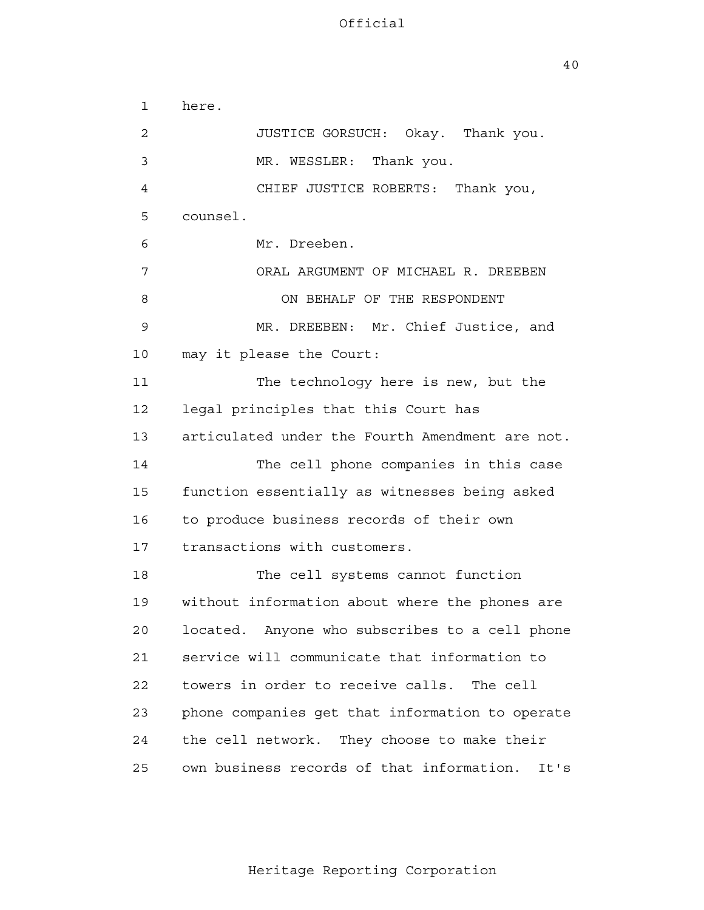40

| $\mathbf 1$ | here.                                             |
|-------------|---------------------------------------------------|
| 2           | JUSTICE GORSUCH: Okay. Thank you.                 |
| 3           | MR. WESSLER: Thank you.                           |
| 4           | CHIEF JUSTICE ROBERTS: Thank you,                 |
| 5           | counsel.                                          |
| 6           | Mr. Dreeben.                                      |
| 7           | ORAL ARGUMENT OF MICHAEL R. DREEBEN               |
| 8           | ON BEHALF OF THE RESPONDENT                       |
| 9           | MR. DREEBEN: Mr. Chief Justice, and               |
| 10          | may it please the Court:                          |
| 11          | The technology here is new, but the               |
| 12          | legal principles that this Court has              |
| 13          | articulated under the Fourth Amendment are not.   |
| 14          | The cell phone companies in this case             |
| 15          | function essentially as witnesses being asked     |
| 16          | to produce business records of their own          |
| 17          | transactions with customers.                      |
| 18          | The cell systems cannot function                  |
| 19          | without information about where the phones are    |
| 20          | located. Anyone who subscribes to a cell phone    |
| 21          | service will communicate that information to      |
| 22          | towers in order to receive calls.<br>The cell     |
| 23          | phone companies get that information to operate   |
| 24          | the cell network. They choose to make their       |
| 25          | own business records of that information.<br>It's |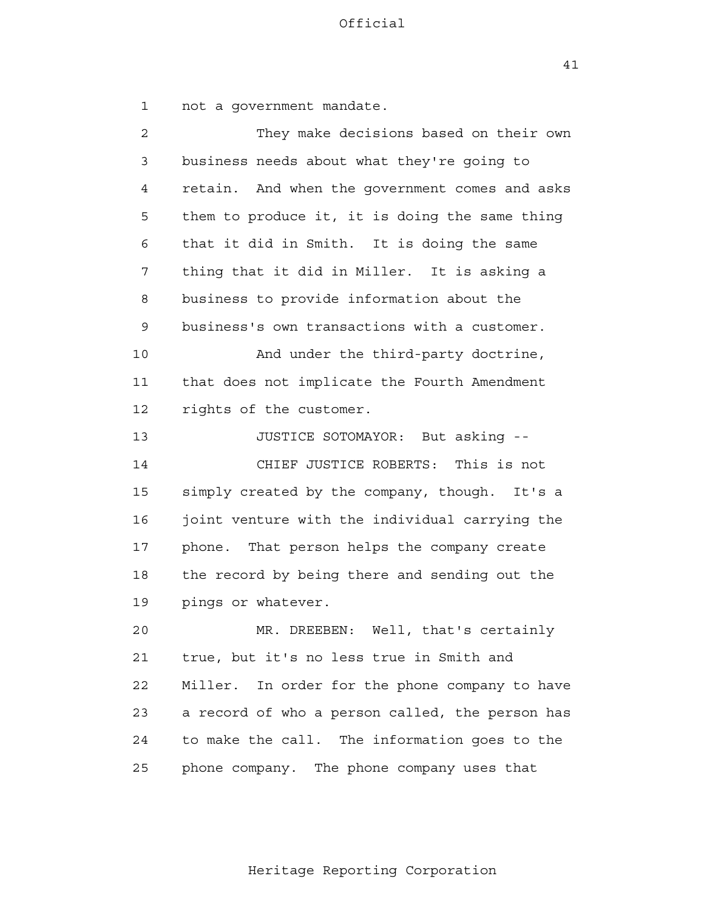41

 1 2 3 4 **5**  6 7 8 9 10 11 12 13 14 15 16 17 18 19 20 21 22 23 24 25 not a government mandate. They make decisions based on their own business needs about what they're going to retain. And when the government comes and asks them to produce it, it is doing the same thing that it did in Smith. It is doing the same thing that it did in Miller. It is asking a business to provide information about the business's own transactions with a customer. And under the third-party doctrine, that does not implicate the Fourth Amendment rights of the customer. JUSTICE SOTOMAYOR: But asking - CHIEF JUSTICE ROBERTS: This is not simply created by the company, though. It's a joint venture with the individual carrying the phone. That person helps the company create the record by being there and sending out the pings or whatever. MR. DREEBEN: Well, that's certainly true, but it's no less true in Smith and Miller. In order for the phone company to have a record of who a person called, the person has to make the call. The information goes to the phone company. The phone company uses that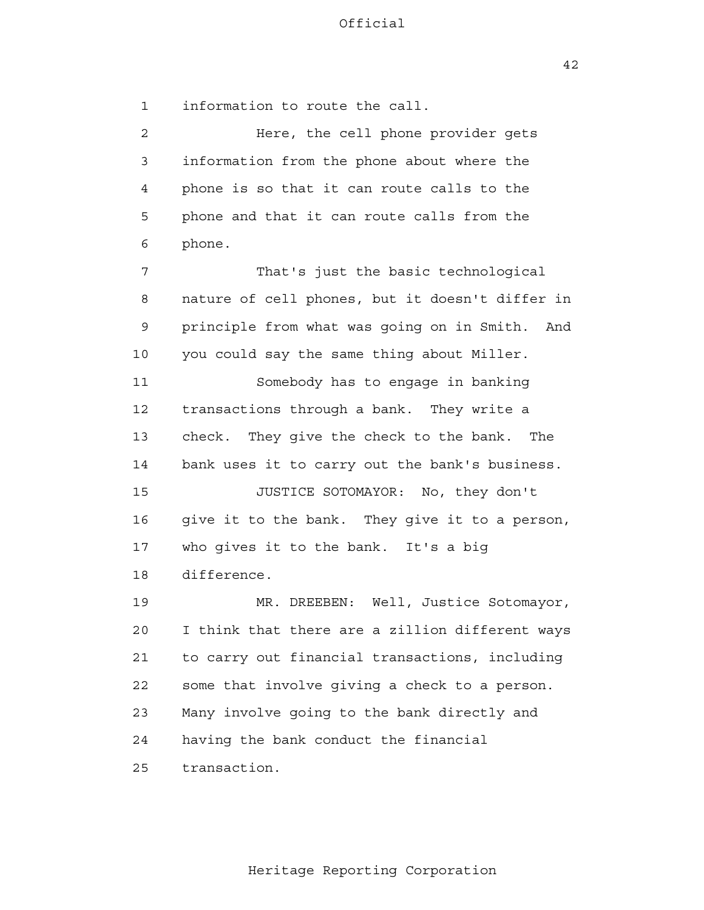42

 1 2 3 4 **5**  6 7 8 9 10 11 12 13 14 15 16 17 18 19 20 21 **22**  23 24 <u>25</u> information to route the call. Here, the cell phone provider gets information from the phone about where the phone is so that it can route calls to the phone and that it can route calls from the phone. That's just the basic technological nature of cell phones, but it doesn't differ in principle from what was going on in Smith. And you could say the same thing about Miller. Somebody has to engage in banking transactions through a bank. They write a check. They give the check to the bank. The bank uses it to carry out the bank's business. JUSTICE SOTOMAYOR: No, they don't give it to the bank. They give it to a person, who gives it to the bank. It's a big difference. MR. DREEBEN: Well, Justice Sotomayor, I think that there are a zillion different ways to carry out financial transactions, including some that involve giving a check to a person. Many involve going to the bank directly and having the bank conduct the financial transaction.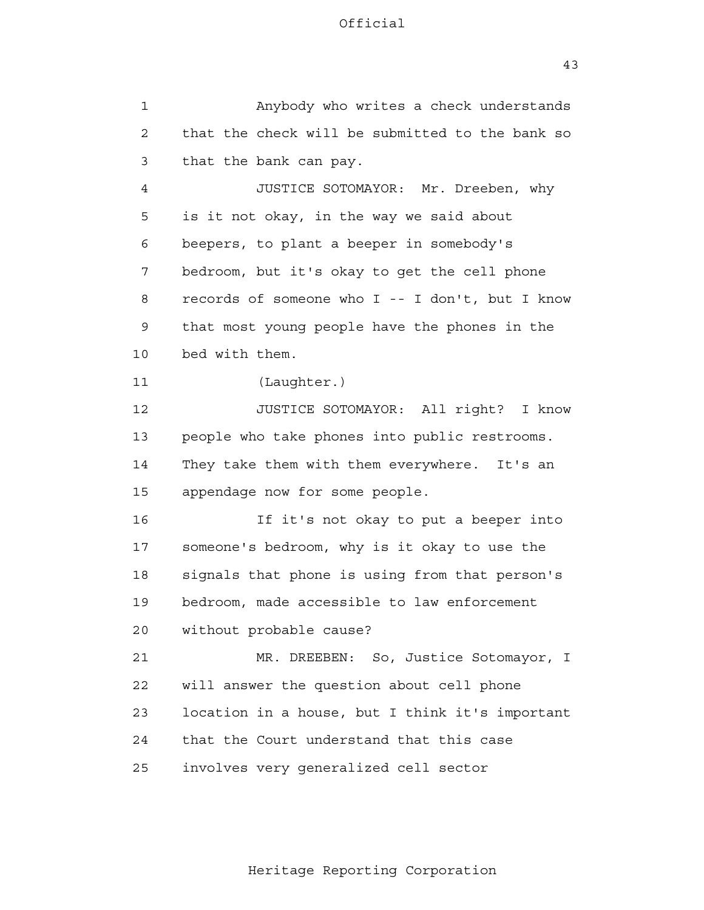43

 1 2 3 4 **5**  6 7 8 9 10 11 12 13 14 15 16 17 18 19 20 21 22 23 24 <u>25</u> Anybody who writes a check understands that the check will be submitted to the bank so that the bank can pay. JUSTICE SOTOMAYOR: Mr. Dreeben, why is it not okay, in the way we said about beepers, to plant a beeper in somebody's bedroom, but it's okay to get the cell phone records of someone who I -- I don't, but I know that most young people have the phones in the bed with them. (Laughter.) JUSTICE SOTOMAYOR: All right? I know people who take phones into public restrooms. They take them with them everywhere. It's an appendage now for some people. If it's not okay to put a beeper into someone's bedroom, why is it okay to use the signals that phone is using from that person's bedroom, made accessible to law enforcement without probable cause? MR. DREEBEN: So, Justice Sotomayor, I will answer the question about cell phone location in a house, but I think it's important that the Court understand that this case involves very generalized cell sector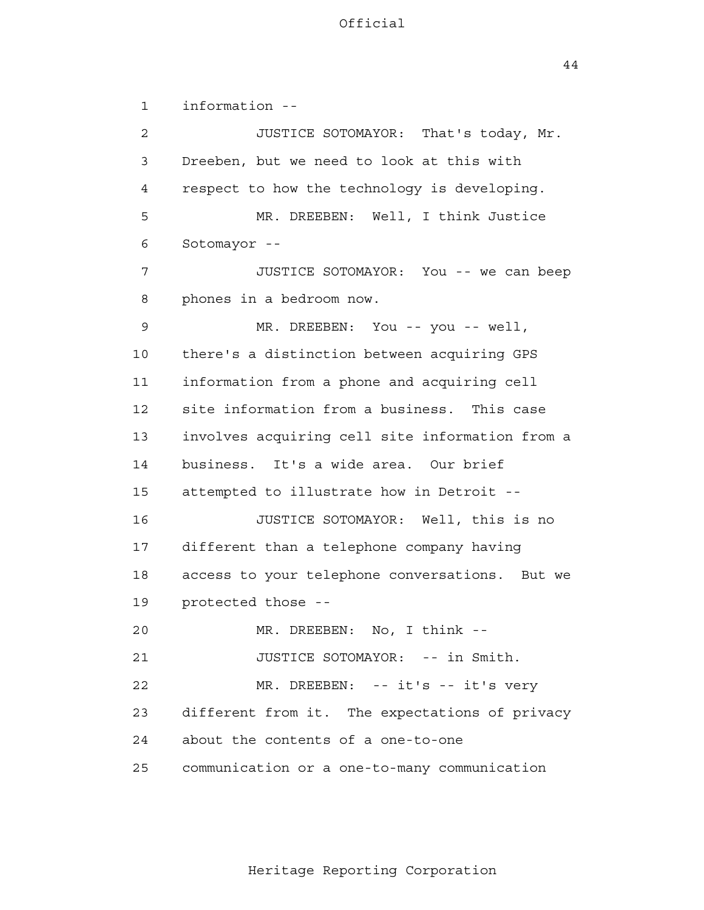44

 1 2 3 4 **5**  6 7 8 9 10 11 12 13 14 15 16 17 18 19 20 21 22 23 24 25 information - JUSTICE SOTOMAYOR: That's today, Mr. Dreeben, but we need to look at this with respect to how the technology is developing. MR. DREEBEN: Well, I think Justice Sotomayor - JUSTICE SOTOMAYOR: You -- we can beep phones in a bedroom now. MR. DREEBEN: You -- you -- well, there's a distinction between acquiring GPS information from a phone and acquiring cell site information from a business. This case involves acquiring cell site information from a business. It's a wide area. Our brief attempted to illustrate how in Detroit - JUSTICE SOTOMAYOR: Well, this is no different than a telephone company having access to your telephone conversations. But we protected those - MR. DREEBEN: No, I think --JUSTICE SOTOMAYOR: -- in Smith. MR. DREEBEN: -- it's -- it's very different from it. The expectations of privacy about the contents of a one-to-one communication or a one-to-many communication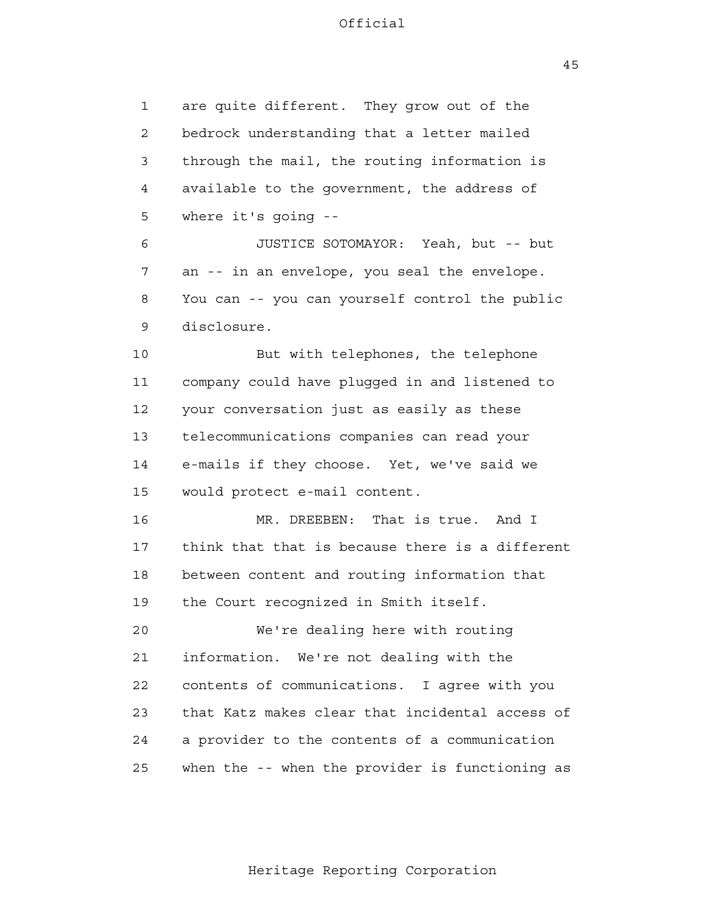45

 1 2 3 4 **5**  6 are quite different. They grow out of the bedrock understanding that a letter mailed through the mail, the routing information is available to the government, the address of where it's going - JUSTICE SOTOMAYOR: Yeah, but -- but

 7 8 9 an -- in an envelope, you seal the envelope. You can -- you can yourself control the public disclosure.

 10 11 12 13 14 15 But with telephones, the telephone company could have plugged in and listened to your conversation just as easily as these telecommunications companies can read your e-mails if they choose. Yet, we've said we would protect e-mail content.

> 16 17 18 19 MR. DREEBEN: That is true. And I think that that is because there is a different between content and routing information that the Court recognized in Smith itself.

 20 21 22 23 24 <u>25</u> We're dealing here with routing information. We're not dealing with the contents of communications. I agree with you that Katz makes clear that incidental access of a provider to the contents of a communication when the -- when the provider is functioning as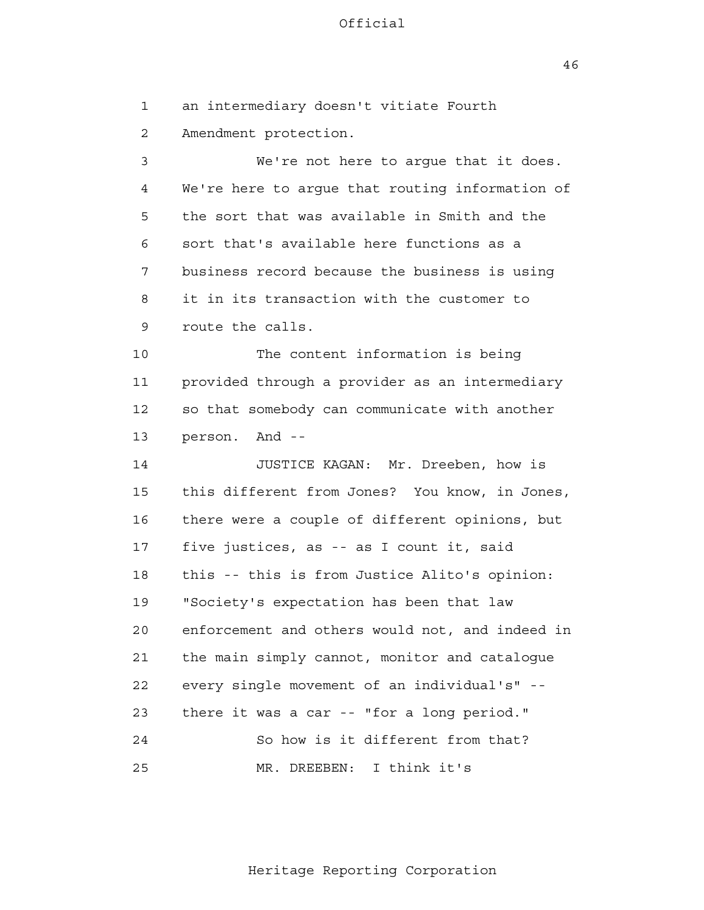46

 1 2 3 4 **5**  6 7 8 9 10 11 12 13 14 15 16 17 18 19 20 21 22 23 24 25 an intermediary doesn't vitiate Fourth Amendment protection. We're not here to argue that it does. We're here to argue that routing information of the sort that was available in Smith and the sort that's available here functions as a business record because the business is using it in its transaction with the customer to route the calls. The content information is being provided through a provider as an intermediary so that somebody can communicate with another person. And - JUSTICE KAGAN: Mr. Dreeben, how is this different from Jones? You know, in Jones, there were a couple of different opinions, but five justices, as -- as I count it, said this -- this is from Justice Alito's opinion: "Society's expectation has been that law enforcement and others would not, and indeed in the main simply cannot, monitor and catalogue every single movement of an individual's" there it was a car -- "for a long period." So how is it different from that? MR. DREEBEN: I think it's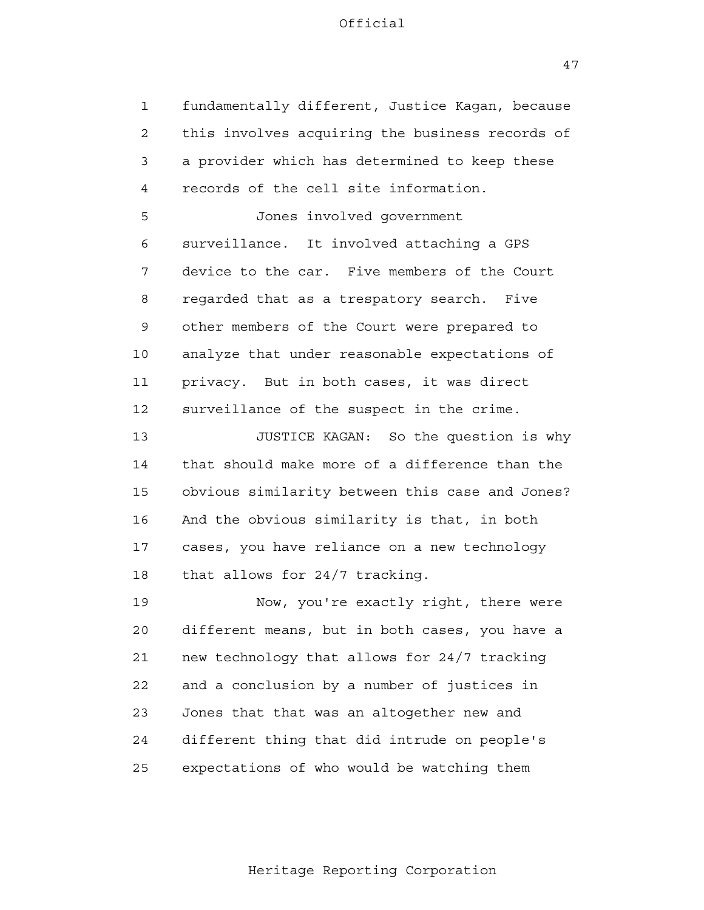1 2 3 4 **5**  6 7 8 9 10 11 12 13 14 15 16 17 18 19 20 21 22 23 24 25 fundamentally different, Justice Kagan, because this involves acquiring the business records of a provider which has determined to keep these records of the cell site information. Jones involved government surveillance. It involved attaching a GPS device to the car. Five members of the Court regarded that as a trespatory search. Five other members of the Court were prepared to analyze that under reasonable expectations of privacy. But in both cases, it was direct surveillance of the suspect in the crime. JUSTICE KAGAN: So the question is why that should make more of a difference than the obvious similarity between this case and Jones? And the obvious similarity is that, in both cases, you have reliance on a new technology that allows for 24/7 tracking. Now, you're exactly right, there were different means, but in both cases, you have a new technology that allows for 24/7 tracking and a conclusion by a number of justices in Jones that that was an altogether new and different thing that did intrude on people's expectations of who would be watching them

47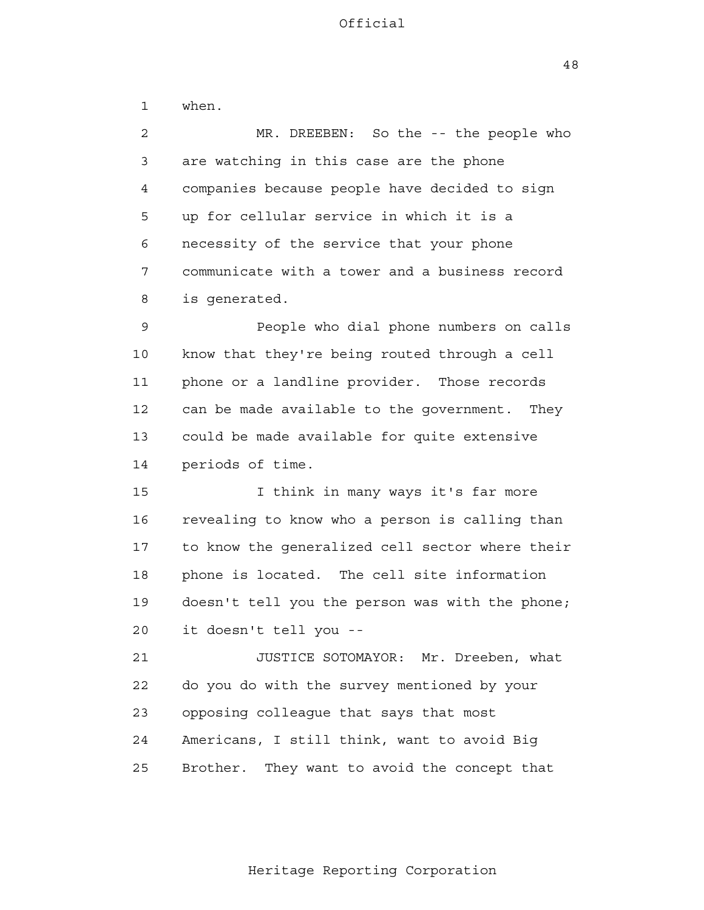48

 1 2 3 4 **5**  6 7 8 9 10 11 12 13 14 15 16 17 18 19 20 21 22 23 24 <u>25</u> when. MR. DREEBEN: So the -- the people who are watching in this case are the phone companies because people have decided to sign up for cellular service in which it is a necessity of the service that your phone communicate with a tower and a business record is generated. People who dial phone numbers on calls know that they're being routed through a cell phone or a landline provider. Those records can be made available to the government. They could be made available for quite extensive periods of time. I think in many ways it's far more revealing to know who a person is calling than to know the generalized cell sector where their phone is located. The cell site information doesn't tell you the person was with the phone; it doesn't tell you - JUSTICE SOTOMAYOR: Mr. Dreeben, what do you do with the survey mentioned by your opposing colleague that says that most Americans, I still think, want to avoid Big

Heritage Reporting Corporation

Brother. They want to avoid the concept that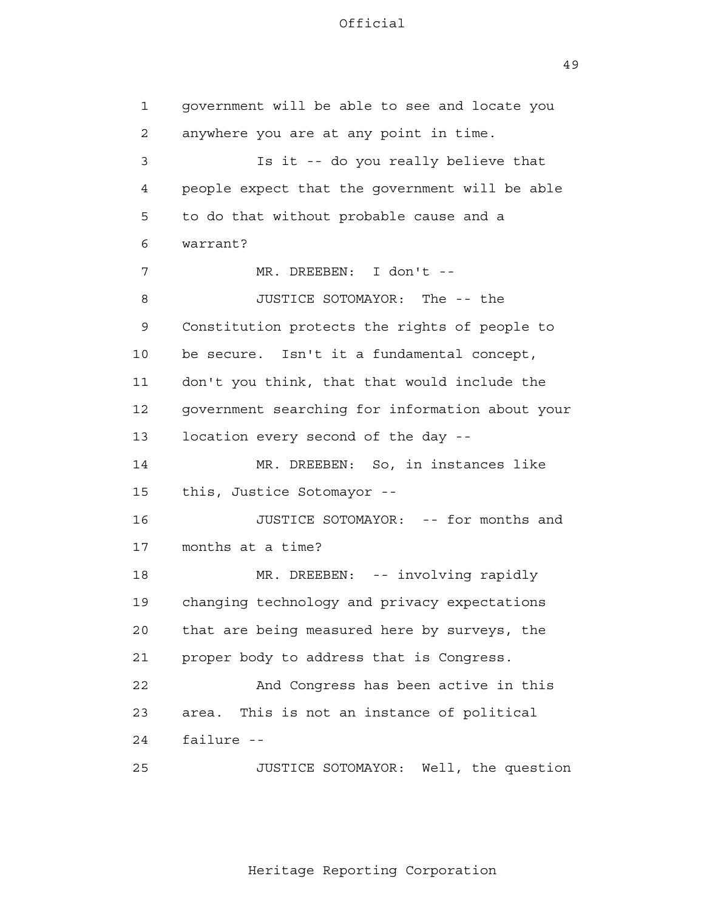49

 1 2 3 4 **5**  6 7 8 9 10 11 12 13 14 15 16 17 18 19 20 21 22 23 24 25 government will be able to see and locate you anywhere you are at any point in time. Is it -- do you really believe that people expect that the government will be able to do that without probable cause and a warrant? MR. DREEBEN: I don't - JUSTICE SOTOMAYOR: The -- the Constitution protects the rights of people to be secure. Isn't it a fundamental concept, don't you think, that that would include the government searching for information about your location every second of the day - MR. DREEBEN: So, in instances like this, Justice Sotomayor - JUSTICE SOTOMAYOR: -- for months and months at a time? MR. DREEBEN: -- involving rapidly changing technology and privacy expectations that are being measured here by surveys, the proper body to address that is Congress. And Congress has been active in this area. This is not an instance of political failure - JUSTICE SOTOMAYOR: Well, the question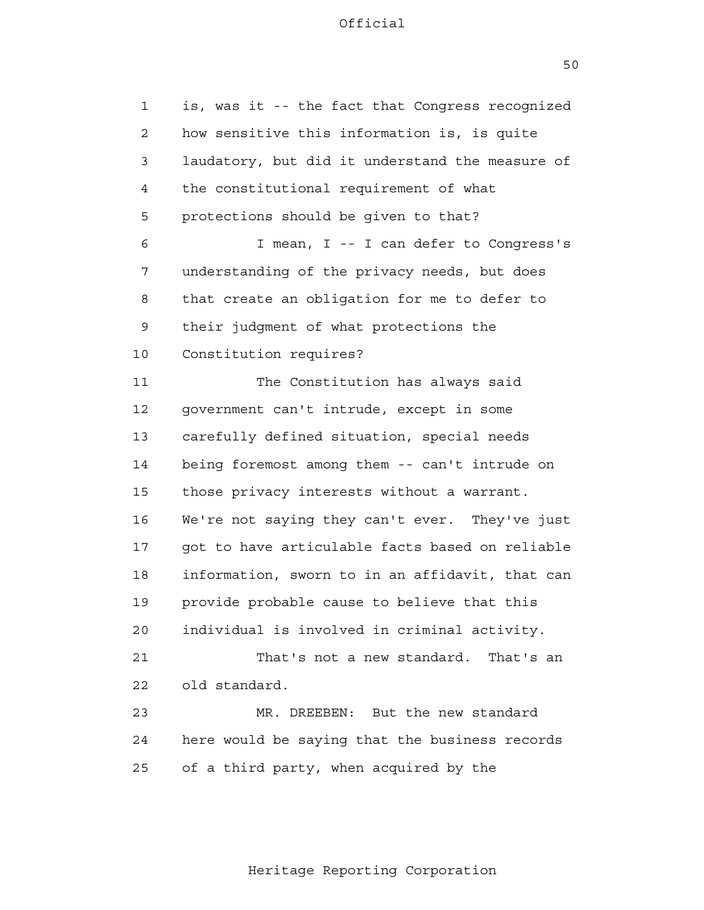1 2 3 4 **5**  6 7 8 9 10 11 12 13 14 15 16 17 18 19 20 21 22 23 24 25 is, was it -- the fact that Congress recognized how sensitive this information is, is quite laudatory, but did it understand the measure of the constitutional requirement of what protections should be given to that? I mean, I -- I can defer to Congress's understanding of the privacy needs, but does that create an obligation for me to defer to their judgment of what protections the Constitution requires? The Constitution has always said government can't intrude, except in some carefully defined situation, special needs being foremost among them -- can't intrude on those privacy interests without a warrant. We're not saying they can't ever. They've just got to have articulable facts based on reliable information, sworn to in an affidavit, that can provide probable cause to believe that this individual is involved in criminal activity. That's not a new standard. That's an old standard. MR. DREEBEN: But the new standard here would be saying that the business records of a third party, when acquired by the

50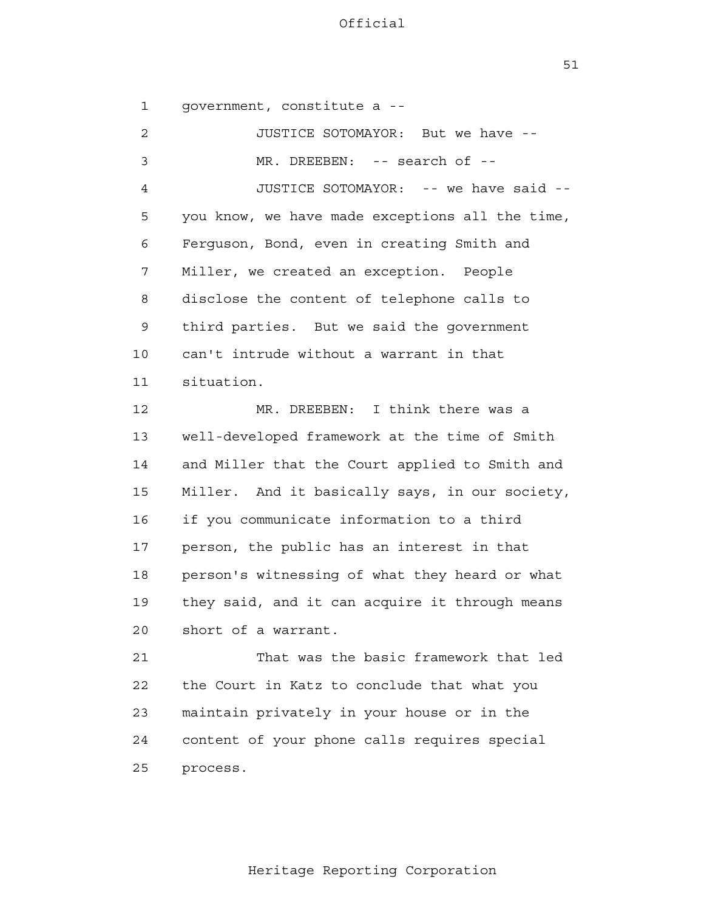51

 1 2 3 4 **5**  6 7 8 9 10 11 12 13 14 15 16 17 18 19 20 21 22 23 24 25 government, constitute a - JUSTICE SOTOMAYOR: But we have - MR. DREEBEN: -- search of --JUSTICE SOTOMAYOR: -- we have said you know, we have made exceptions all the time, Ferguson, Bond, even in creating Smith and Miller, we created an exception. People disclose the content of telephone calls to third parties. But we said the government can't intrude without a warrant in that situation. MR. DREEBEN: I think there was a well-developed framework at the time of Smith and Miller that the Court applied to Smith and Miller. And it basically says, in our society, if you communicate information to a third person, the public has an interest in that person's witnessing of what they heard or what they said, and it can acquire it through means short of a warrant. That was the basic framework that led the Court in Katz to conclude that what you maintain privately in your house or in the content of your phone calls requires special process.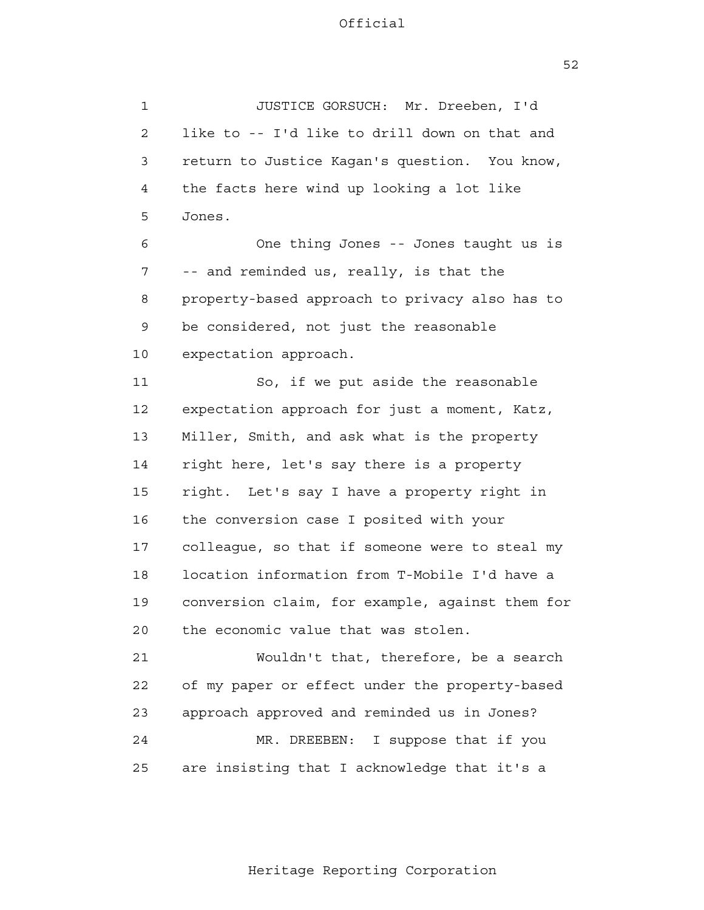52

 1 2 3 4 **5**  6 7 8 9 10 11 12 13 14 15 16 17 18 19 20 21 **22**  23 24 25 JUSTICE GORSUCH: Mr. Dreeben, I'd like to -- I'd like to drill down on that and return to Justice Kagan's question. You know, the facts here wind up looking a lot like Jones. One thing Jones -- Jones taught us is -- and reminded us, really, is that the property-based approach to privacy also has to be considered, not just the reasonable expectation approach. So, if we put aside the reasonable expectation approach for just a moment, Katz, Miller, Smith, and ask what is the property right here, let's say there is a property right. Let's say I have a property right in the conversion case I posited with your colleague, so that if someone were to steal my location information from T-Mobile I'd have a conversion claim, for example, against them for the economic value that was stolen. Wouldn't that, therefore, be a search of my paper or effect under the property-based approach approved and reminded us in Jones? MR. DREEBEN: I suppose that if you are insisting that I acknowledge that it's a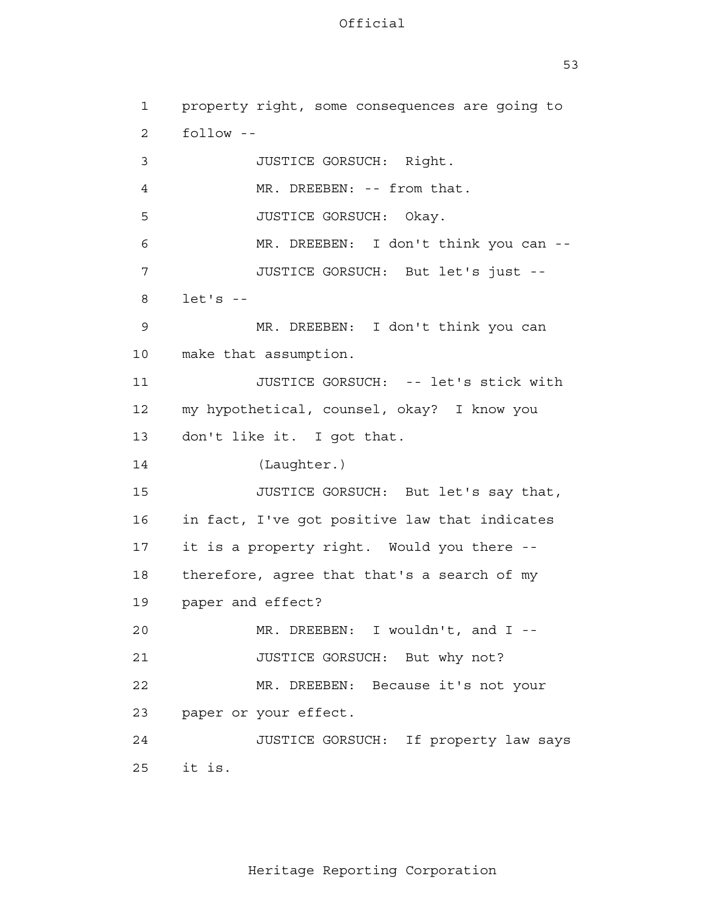53

 1 2 3 4 **5**  6 7 8 9 10 11 12 13 14 15 16 17 18 19 20 21 22 23 24 25 property right, some consequences are going to follow - JUSTICE GORSUCH: Right. MR. DREEBEN: -- from that. JUSTICE GORSUCH: Okay. MR. DREEBEN: I don't think you can --JUSTICE GORSUCH: But let's just  $let's - -$ MR. DREEBEN: I don't think you can make that assumption. JUSTICE GORSUCH: -- let's stick with my hypothetical, counsel, okay? I know you don't like it. I got that. (Laughter.) JUSTICE GORSUCH: But let's say that, in fact, I've got positive law that indicates it is a property right. Would you there therefore, agree that that's a search of my paper and effect? MR. DREEBEN: I wouldn't, and I --JUSTICE GORSUCH: But why not? MR. DREEBEN: Because it's not your paper or your effect. JUSTICE GORSUCH: If property law says it is.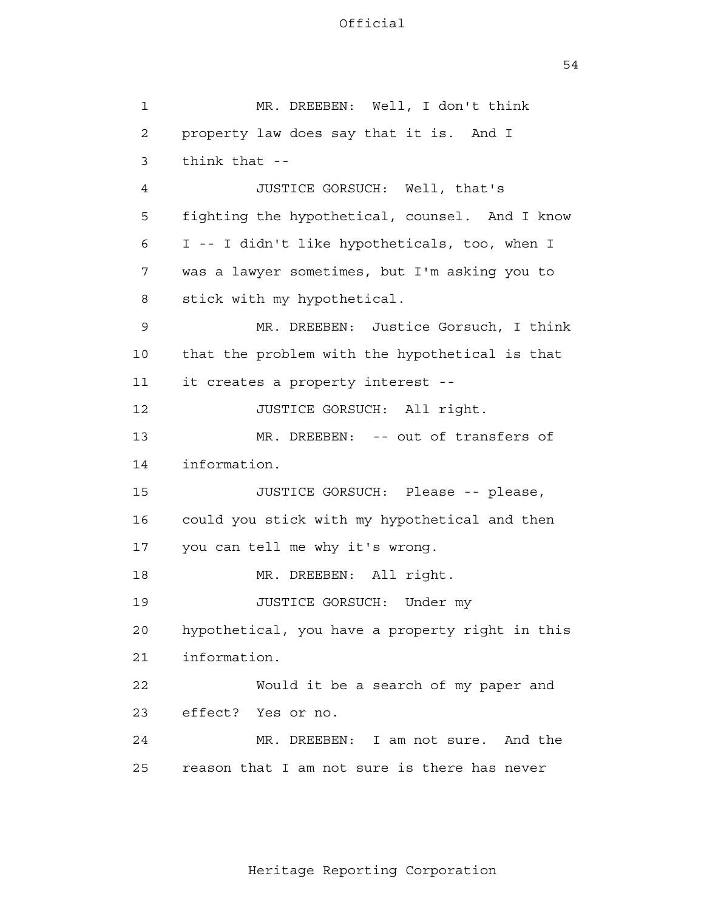54

 1 2 3 4 **5**  6 7 8 9 10 11 12 13 14 15 16 17 18 19 20 21 22 23 24 25 MR. DREEBEN: Well, I don't think property law does say that it is. And I think that - JUSTICE GORSUCH: Well, that's fighting the hypothetical, counsel. And I know I -- I didn't like hypotheticals, too, when I was a lawyer sometimes, but I'm asking you to stick with my hypothetical. MR. DREEBEN: Justice Gorsuch, I think that the problem with the hypothetical is that it creates a property interest - JUSTICE GORSUCH: All right. MR. DREEBEN: -- out of transfers of information. JUSTICE GORSUCH: Please -- please, could you stick with my hypothetical and then you can tell me why it's wrong. MR. DREEBEN: All right. JUSTICE GORSUCH: Under my hypothetical, you have a property right in this information. Would it be a search of my paper and effect? Yes or no. MR. DREEBEN: I am not sure. And the reason that I am not sure is there has never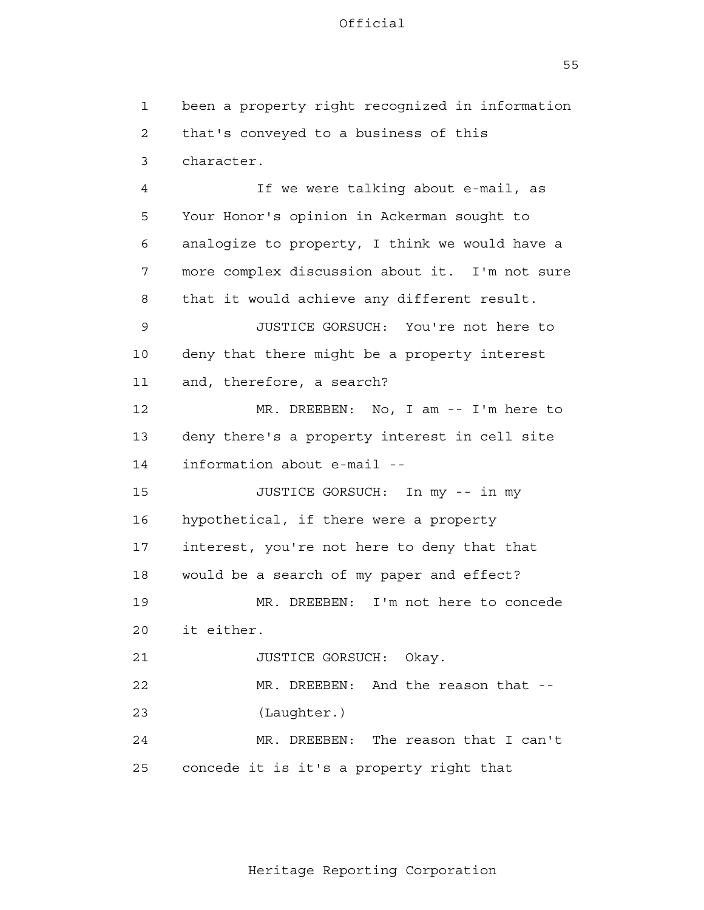$55$ 

 1 2 3 4 **5**  6 7 8 9 10 11 12 13 14 15 16 17 18 19 20 21 22 23 24 25 been a property right recognized in information that's conveyed to a business of this character. If we were talking about e-mail, as Your Honor's opinion in Ackerman sought to analogize to property, I think we would have a more complex discussion about it. I'm not sure that it would achieve any different result. JUSTICE GORSUCH: You're not here to deny that there might be a property interest and, therefore, a search? MR. DREEBEN: No, I am -- I'm here to deny there's a property interest in cell site information about e-mail - JUSTICE GORSUCH: In my -- in my hypothetical, if there were a property interest, you're not here to deny that that would be a search of my paper and effect? MR. DREEBEN: I'm not here to concede it either. JUSTICE GORSUCH: Okay. MR. DREEBEN: And the reason that --(Laughter.) MR. DREEBEN: The reason that I can't concede it is it's a property right that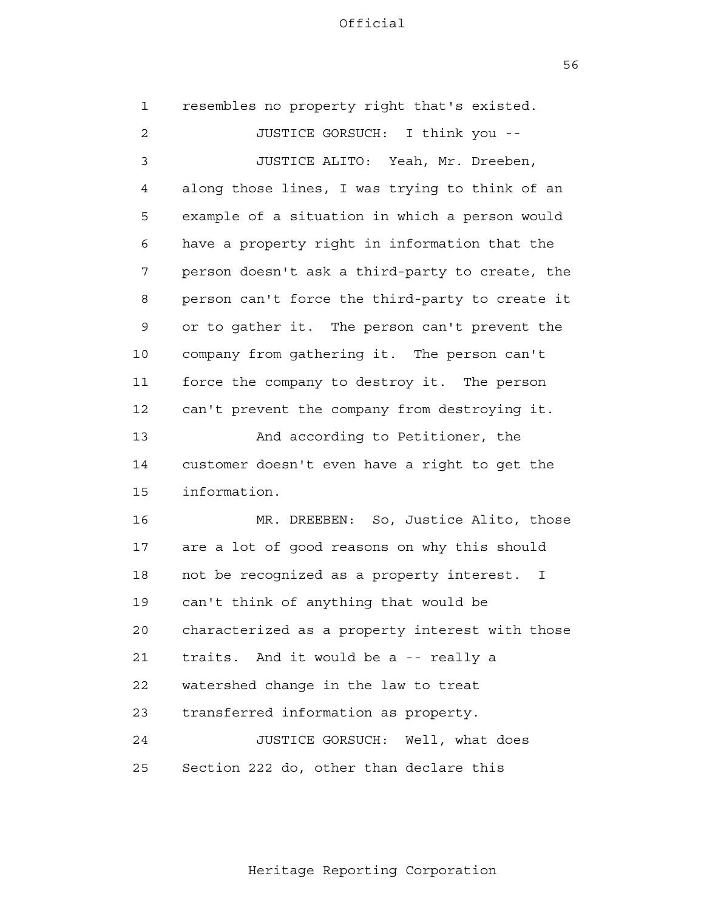56

| $\mathbf{1}$   | resembles no property right that's existed.               |
|----------------|-----------------------------------------------------------|
| $\overline{2}$ | JUSTICE GORSUCH: I think you --                           |
| 3              | JUSTICE ALITO: Yeah, Mr. Dreeben,                         |
| 4              | along those lines, I was trying to think of an            |
| 5              | example of a situation in which a person would            |
| 6              | have a property right in information that the             |
| 7              | person doesn't ask a third-party to create, the           |
| 8              | person can't force the third-party to create it           |
| 9              | or to gather it. The person can't prevent the             |
| 10             | company from gathering it. The person can't               |
| 11             | force the company to destroy it. The person               |
| 12             | can't prevent the company from destroying it.             |
| 13             | And according to Petitioner, the                          |
| 14             | customer doesn't even have a right to get the             |
| 15             | information.                                              |
| 16             | MR. DREEBEN: So, Justice Alito, those                     |
| 17             | are a lot of good reasons on why this should              |
| 18             | not be recognized as a property interest.<br>$\mathbb{I}$ |
| 19             | can't think of anything that would be                     |
| 20             | characterized as a property interest with those           |
| 21             | traits. And it would be a -- really a                     |
| 22             | watershed change in the law to treat                      |
| 23             | transferred information as property.                      |
| 24             | JUSTICE GORSUCH: Well, what does                          |
| 25             | Section 222 do, other than declare this                   |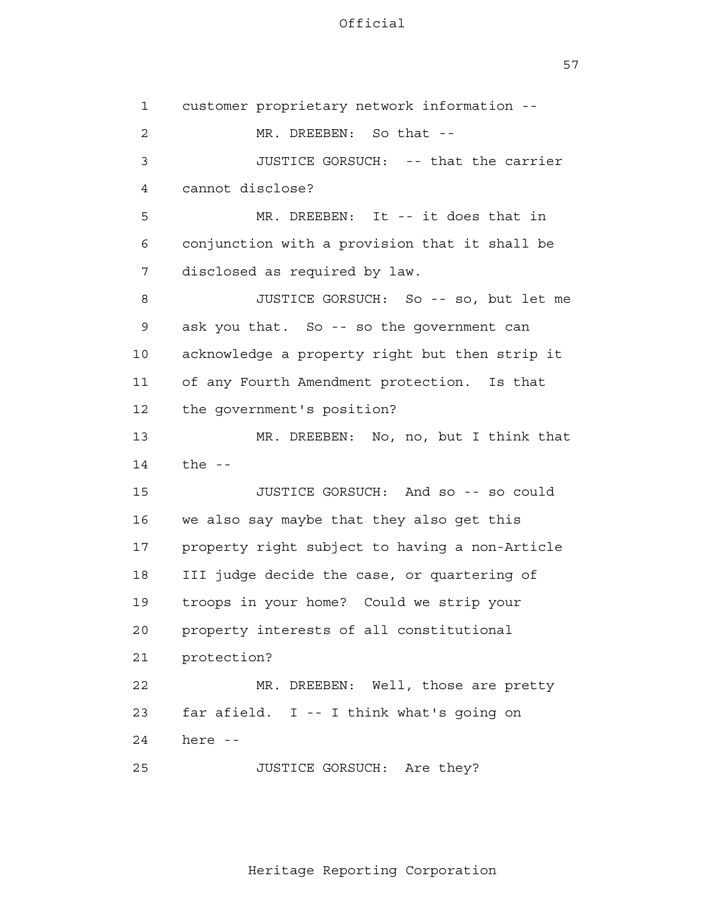57

| $\mathbf 1$  | customer proprietary network information --    |
|--------------|------------------------------------------------|
| $\mathbf{2}$ | MR. DREEBEN: So that --                        |
| 3            | JUSTICE GORSUCH: -- that the carrier           |
| 4            | cannot disclose?                               |
| 5            | MR. DREEBEN: It -- it does that in             |
| 6            | conjunction with a provision that it shall be  |
| 7            | disclosed as required by law.                  |
| 8            | JUSTICE GORSUCH: So -- so, but let me          |
| 9            | ask you that. So -- so the government can      |
| 10           | acknowledge a property right but then strip it |
| 11           | of any Fourth Amendment protection. Is that    |
| 12           | the government's position?                     |
| 13           | MR. DREEBEN: No, no, but I think that          |
| 14           | the $-$                                        |
| 15           | JUSTICE GORSUCH: And so -- so could            |
| 16           | we also say maybe that they also get this      |
| 17           | property right subject to having a non-Article |
| 18           | III judge decide the case, or quartering of    |
| 19           | troops in your home? Could we strip your       |
| 20           | property interests of all constitutional       |
| 21           | protection?                                    |
| 22           | MR. DREEBEN: Well, those are pretty            |
| 23           | far afield. I -- I think what's going on       |
| 24           | here --                                        |
| 25           | JUSTICE GORSUCH: Are they?                     |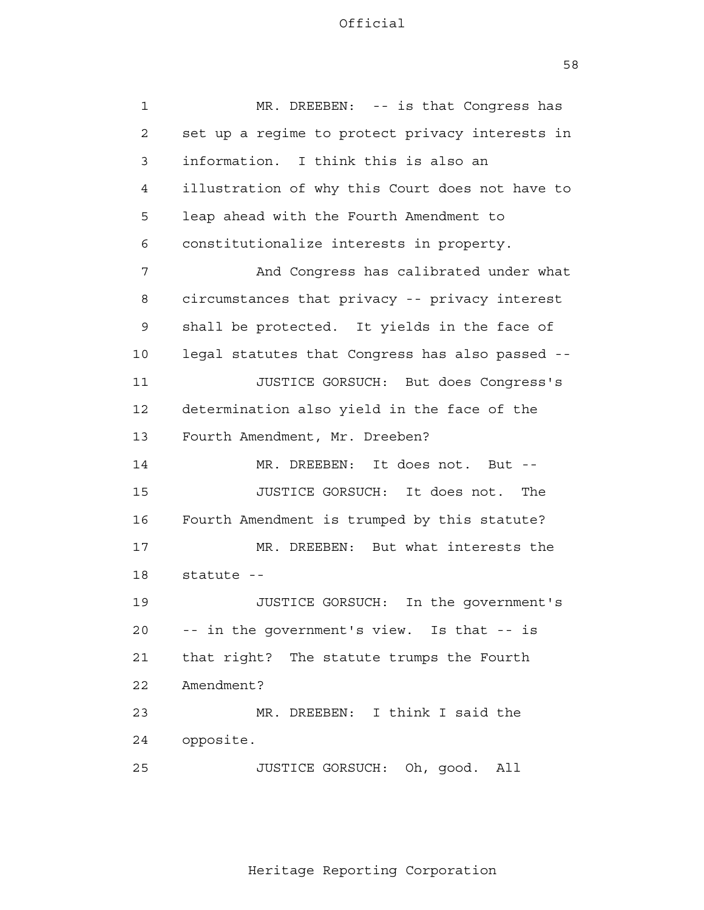58

| $\mathbf{1}$    | MR. DREEBEN: -- is that Congress has            |
|-----------------|-------------------------------------------------|
| 2               | set up a regime to protect privacy interests in |
| 3               | information. I think this is also an            |
| 4               | illustration of why this Court does not have to |
| 5               | leap ahead with the Fourth Amendment to         |
| 6               | constitutionalize interests in property.        |
| 7               | And Congress has calibrated under what          |
| 8               | circumstances that privacy -- privacy interest  |
| 9               | shall be protected. It yields in the face of    |
| 10              | legal statutes that Congress has also passed -- |
| 11              | JUSTICE GORSUCH: But does Congress's            |
| 12              | determination also yield in the face of the     |
| 13              | Fourth Amendment, Mr. Dreeben?                  |
| 14              | MR. DREEBEN: It does not. But --                |
| 15              | JUSTICE GORSUCH: It does not.<br>The            |
| 16              | Fourth Amendment is trumped by this statute?    |
| 17              | MR. DREEBEN: But what interests the             |
| 18              | statute --                                      |
| 19              | JUSTICE GORSUCH:<br>In the government's         |
| 20 <sub>o</sub> | -- in the government's view. Is that -- is      |
| 21              | that right? The statute trumps the Fourth       |
| 22              | Amendment?                                      |
| 23              | MR. DREEBEN: I think I said the                 |
| 24              | opposite.                                       |
| 25              | JUSTICE GORSUCH: Oh, good. All                  |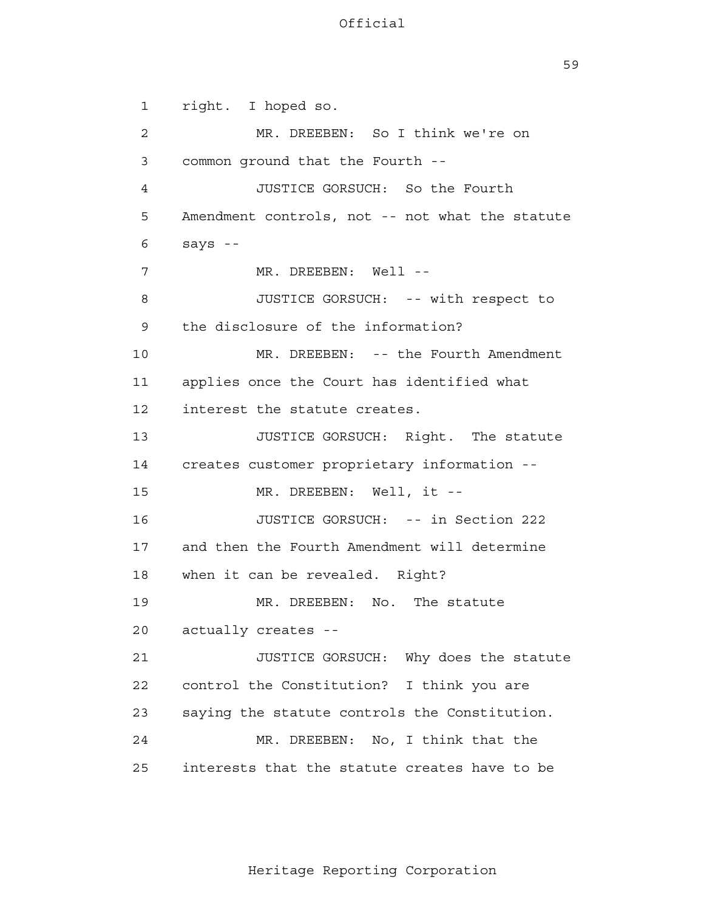59

 1 2 3 4 **5**  6 7 8 9 10 11 12 13 14 15 16 17 18 19 20 21 22 23 24 25 right. I hoped so. MR. DREEBEN: So I think we're on common ground that the Fourth - JUSTICE GORSUCH: So the Fourth Amendment controls, not -- not what the statute says - MR. DREEBEN: Well --JUSTICE GORSUCH: -- with respect to the disclosure of the information? MR. DREEBEN: -- the Fourth Amendment applies once the Court has identified what interest the statute creates. JUSTICE GORSUCH: Right. The statute creates customer proprietary information - MR. DREEBEN: Well, it --JUSTICE GORSUCH: -- in Section 222 and then the Fourth Amendment will determine when it can be revealed. Right? MR. DREEBEN: No. The statute actually creates - JUSTICE GORSUCH: Why does the statute control the Constitution? I think you are saying the statute controls the Constitution. MR. DREEBEN: No, I think that the interests that the statute creates have to be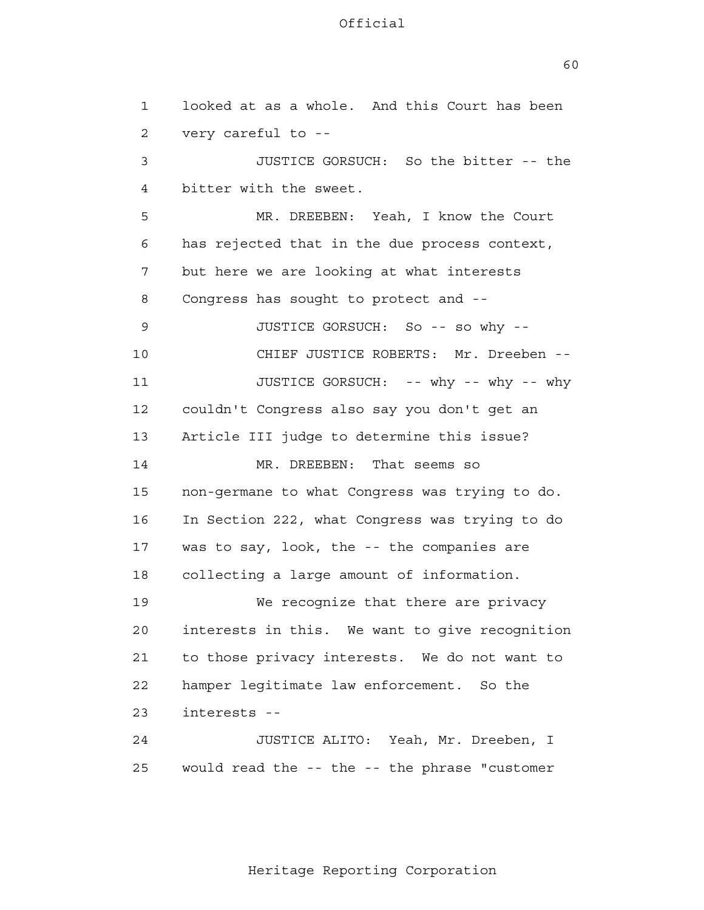60

 1 2 3 4 **5**  6 7 8 9 10 11 12 13 14 15 16 17 18 19 20 21 22 23 24 25 looked at as a whole. And this Court has been very careful to - JUSTICE GORSUCH: So the bitter -- the bitter with the sweet. MR. DREEBEN: Yeah, I know the Court has rejected that in the due process context, but here we are looking at what interests Congress has sought to protect and - JUSTICE GORSUCH: So -- so why - CHIEF JUSTICE ROBERTS: Mr. Dreeben --JUSTICE GORSUCH: -- why -- why -- why couldn't Congress also say you don't get an Article III judge to determine this issue? MR. DREEBEN: That seems so non-germane to what Congress was trying to do. In Section 222, what Congress was trying to do was to say, look, the -- the companies are collecting a large amount of information. We recognize that there are privacy interests in this. We want to give recognition to those privacy interests. We do not want to hamper legitimate law enforcement. So the interests - JUSTICE ALITO: Yeah, Mr. Dreeben, I would read the -- the -- the phrase "customer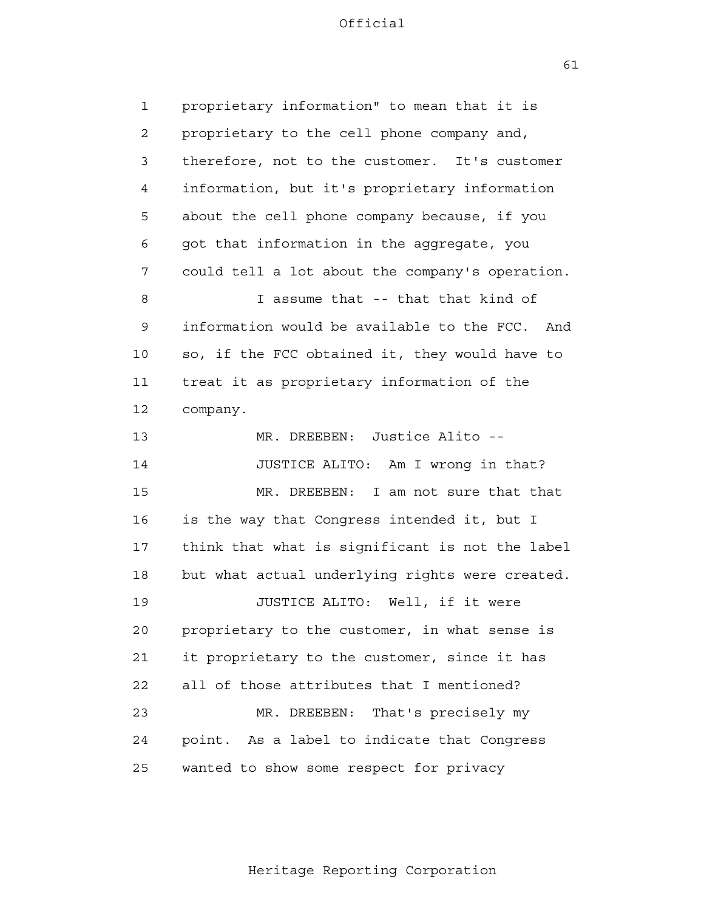61

 1 2 3 4 **5**  6 7 8 9 10 11 12 13 14 15 16 17 18 19 20 21 22 23 24 25 proprietary information" to mean that it is proprietary to the cell phone company and, therefore, not to the customer. It's customer information, but it's proprietary information about the cell phone company because, if you got that information in the aggregate, you could tell a lot about the company's operation. I assume that -- that that kind of information would be available to the FCC. And so, if the FCC obtained it, they would have to treat it as proprietary information of the company. MR. DREEBEN: Justice Alito - JUSTICE ALITO: Am I wrong in that? MR. DREEBEN: I am not sure that that is the way that Congress intended it, but I think that what is significant is not the label but what actual underlying rights were created. JUSTICE ALITO: Well, if it were proprietary to the customer, in what sense is it proprietary to the customer, since it has all of those attributes that I mentioned? MR. DREEBEN: That's precisely my point. As a label to indicate that Congress wanted to show some respect for privacy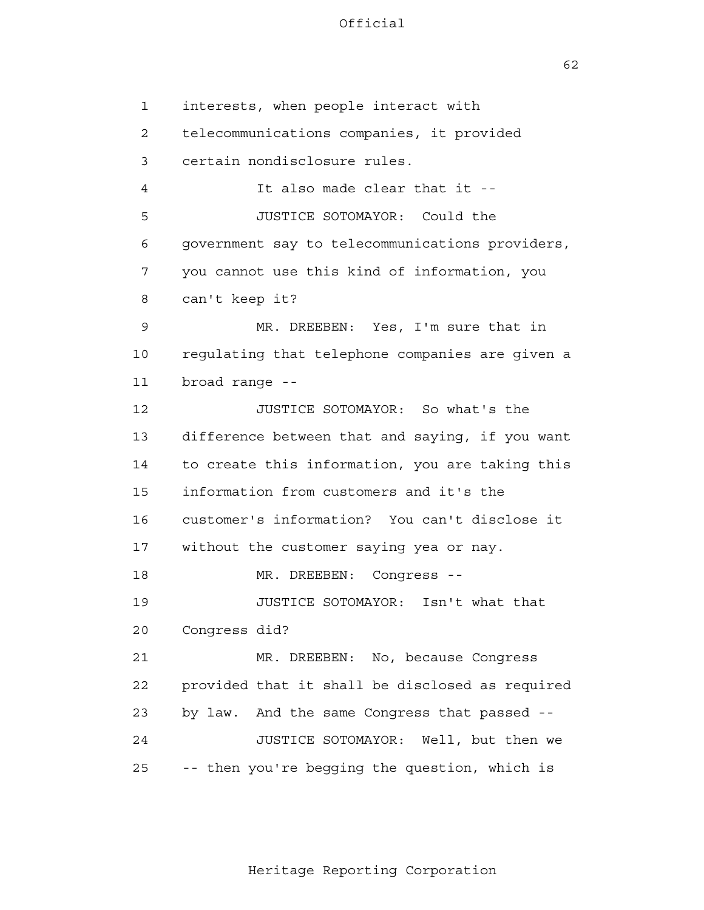$62$ 

 1 2 3 4 **5**  6 7 8 9 10 11 12 13 14 15 16 17 18 19 20 21 22 23 24 25 interests, when people interact with telecommunications companies, it provided certain nondisclosure rules. It also made clear that it - JUSTICE SOTOMAYOR: Could the government say to telecommunications providers, you cannot use this kind of information, you can't keep it? MR. DREEBEN: Yes, I'm sure that in regulating that telephone companies are given a broad range - JUSTICE SOTOMAYOR: So what's the difference between that and saying, if you want to create this information, you are taking this information from customers and it's the customer's information? You can't disclose it without the customer saying yea or nay. MR. DREEBEN: Congress --JUSTICE SOTOMAYOR: Isn't what that Congress did? MR. DREEBEN: No, because Congress provided that it shall be disclosed as required by law. And the same Congress that passed - JUSTICE SOTOMAYOR: Well, but then we -- then you're begging the question, which is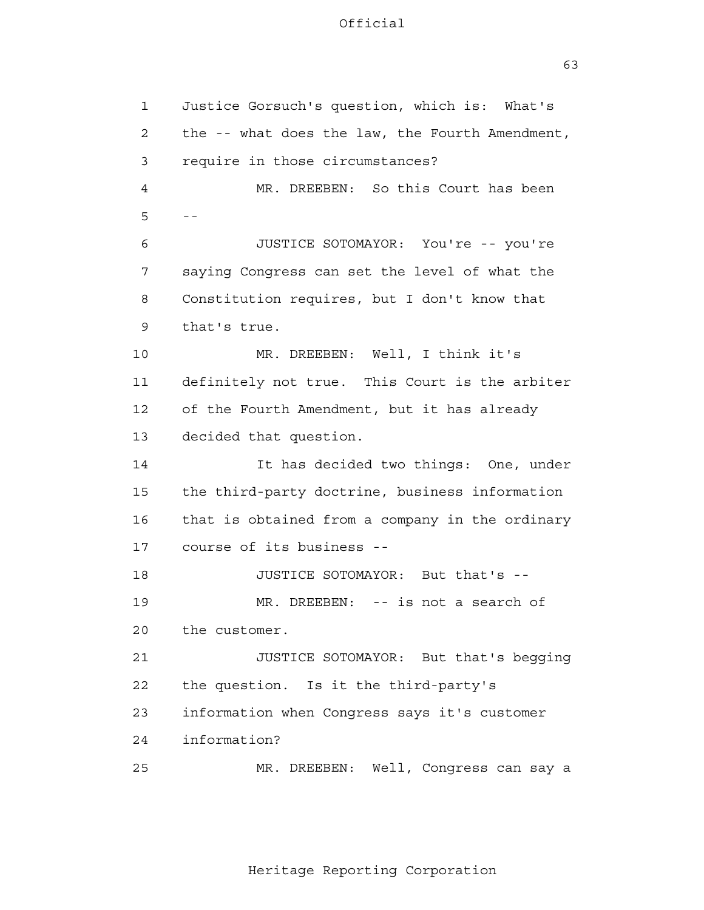63

 1 2 3 4  $5 - -$  6 7 8 9 10 11 12 13 14 15 16 17 18 19 20 21 22 23 24 25 Justice Gorsuch's question, which is: What's the -- what does the law, the Fourth Amendment, require in those circumstances? MR. DREEBEN: So this Court has been JUSTICE SOTOMAYOR: You're -- you're saying Congress can set the level of what the Constitution requires, but I don't know that that's true. MR. DREEBEN: Well, I think it's definitely not true. This Court is the arbiter of the Fourth Amendment, but it has already decided that question. It has decided two things: One, under the third-party doctrine, business information that is obtained from a company in the ordinary course of its business - JUSTICE SOTOMAYOR: But that's - MR. DREEBEN: -- is not a search of the customer. JUSTICE SOTOMAYOR: But that's begging the question. Is it the third-party's information when Congress says it's customer information? MR. DREEBEN: Well, Congress can say a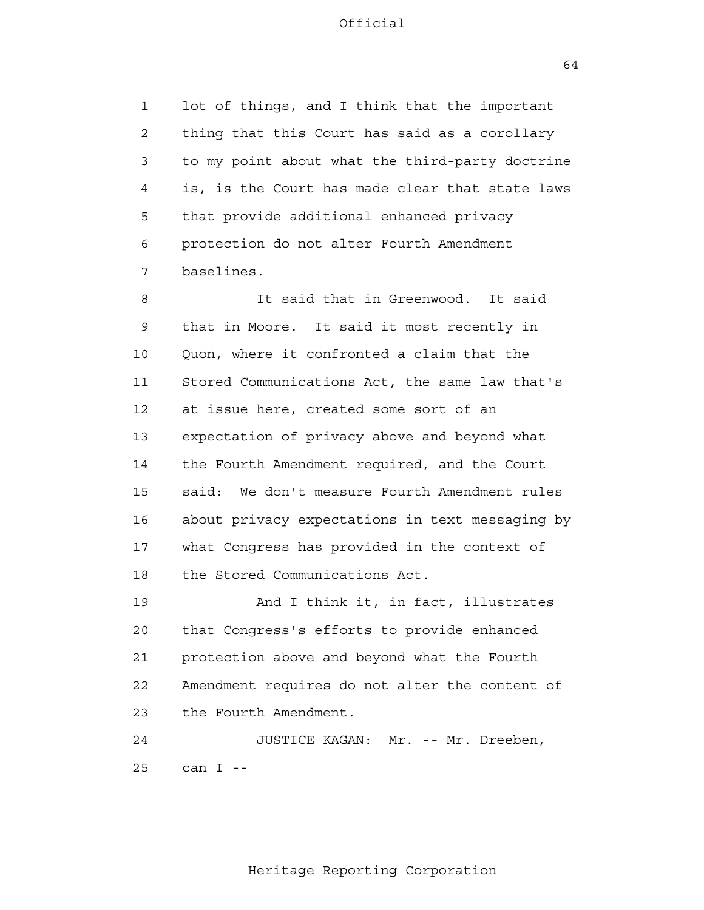1 2 3 4 **5**  6 7 lot of things, and I think that the important thing that this Court has said as a corollary to my point about what the third-party doctrine is, is the Court has made clear that state laws that provide additional enhanced privacy protection do not alter Fourth Amendment baselines.

 8 9 10 11 12 13 14 15 16 17 18 It said that in Greenwood. It said that in Moore. It said it most recently in Quon, where it confronted a claim that the Stored Communications Act, the same law that's at issue here, created some sort of an expectation of privacy above and beyond what the Fourth Amendment required, and the Court said: We don't measure Fourth Amendment rules about privacy expectations in text messaging by what Congress has provided in the context of the Stored Communications Act.

 19 20 21 22 23 And I think it, in fact, illustrates that Congress's efforts to provide enhanced protection above and beyond what the Fourth Amendment requires do not alter the content of the Fourth Amendment.

> 24 25 JUSTICE KAGAN: Mr. -- Mr. Dreeben, can  $I - -$

64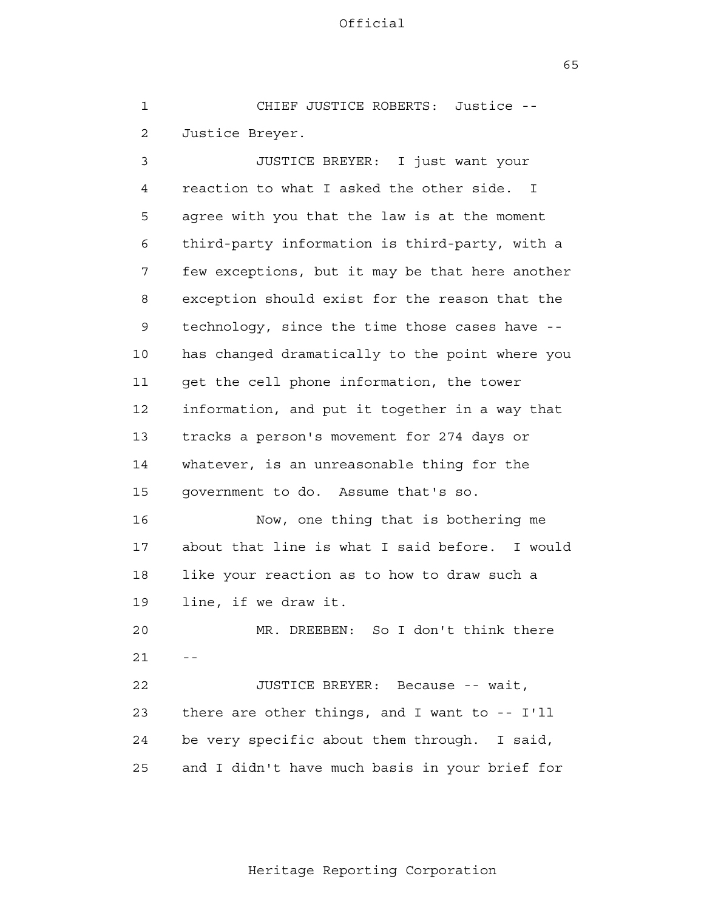$65$ 

 1 2 3 4 **5**  6 7 8 9 10 11 12 13 14 15 16 17 18 19 20  $21$  -- 22 23 24 <u>25</u> CHIEF JUSTICE ROBERTS: Justice - Justice Breyer. JUSTICE BREYER: I just want your reaction to what I asked the other side. I agree with you that the law is at the moment third-party information is third-party, with a few exceptions, but it may be that here another exception should exist for the reason that the technology, since the time those cases have has changed dramatically to the point where you get the cell phone information, the tower information, and put it together in a way that tracks a person's movement for 274 days or whatever, is an unreasonable thing for the government to do. Assume that's so. Now, one thing that is bothering me about that line is what I said before. I would like your reaction as to how to draw such a line, if we draw it. MR. DREEBEN: So I don't think there JUSTICE BREYER: Because -- wait, there are other things, and I want to -- I'll be very specific about them through. I said, and I didn't have much basis in your brief for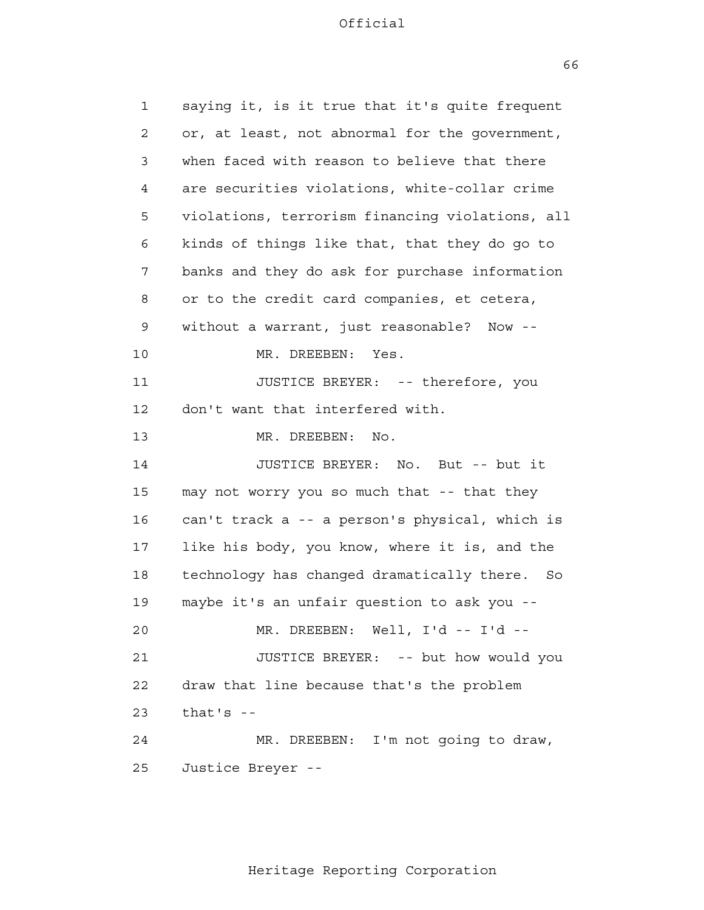$66$ 

| $\mathbf 1$  | saying it, is it true that it's quite frequent   |
|--------------|--------------------------------------------------|
| $\mathbf{2}$ | or, at least, not abnormal for the government,   |
| 3            | when faced with reason to believe that there     |
| 4            | are securities violations, white-collar crime    |
| 5            | violations, terrorism financing violations, all  |
| 6            | kinds of things like that, that they do go to    |
| 7            | banks and they do ask for purchase information   |
| 8            | or to the credit card companies, et cetera,      |
| 9            | without a warrant, just reasonable? Now --       |
| 10           | MR. DREEBEN:<br>Yes.                             |
| 11           | JUSTICE BREYER: -- therefore, you                |
| 12           | don't want that interfered with.                 |
| 13           | MR. DREEBEN:<br>No.                              |
| 14           | JUSTICE BREYER: No. But -- but it                |
| 15           | may not worry you so much that -- that they      |
| 16           | can't track a -- a person's physical, which is   |
| 17           | like his body, you know, where it is, and the    |
| 18           | technology has changed dramatically there.<br>So |
| 19           | maybe it's an unfair question to ask you --      |
| 20           | MR. DREEBEN: Well, I'd -- I'd --                 |
| 21           | JUSTICE BREYER: -- but how would you             |
| 22           | draw that line because that's the problem        |
| 23           | that's $-$                                       |
| 24           | MR. DREEBEN: I'm not going to draw,              |
| 25           | Justice Breyer --                                |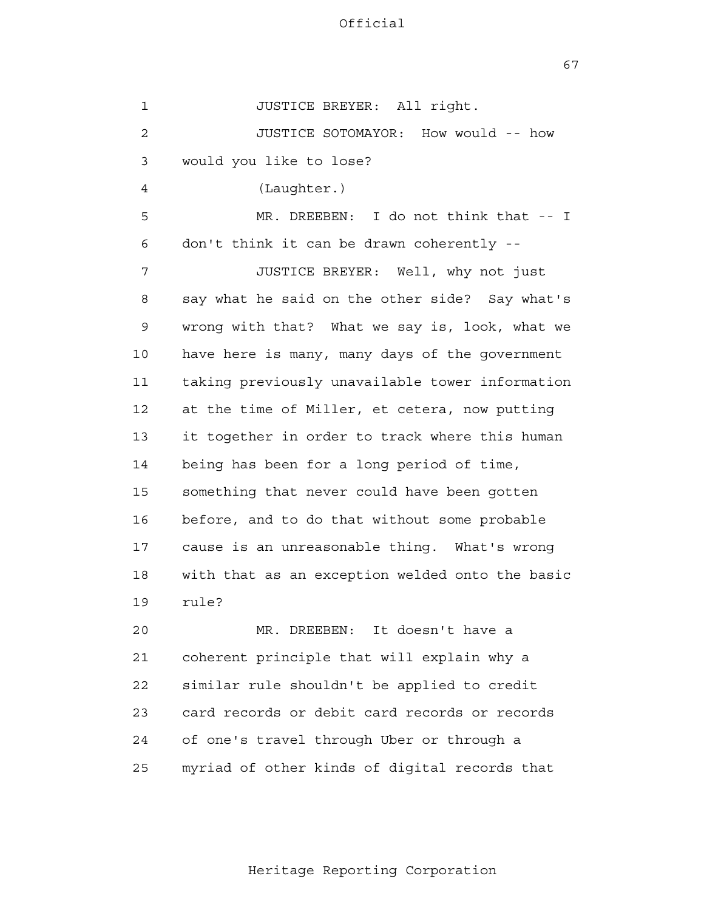67

 1 2 3 4 **5**  6 7 8 9 10 11 12 13 14 15 16 17 18 19 20 21 22 23 24 25 JUSTICE BREYER: All right. JUSTICE SOTOMAYOR: How would -- how would you like to lose? (Laughter.) MR. DREEBEN: I do not think that -- I don't think it can be drawn coherently - JUSTICE BREYER: Well, why not just say what he said on the other side? Say what's wrong with that? What we say is, look, what we have here is many, many days of the government taking previously unavailable tower information at the time of Miller, et cetera, now putting it together in order to track where this human being has been for a long period of time, something that never could have been gotten before, and to do that without some probable cause is an unreasonable thing. What's wrong with that as an exception welded onto the basic rule? MR. DREEBEN: It doesn't have a coherent principle that will explain why a similar rule shouldn't be applied to credit card records or debit card records or records of one's travel through Uber or through a myriad of other kinds of digital records that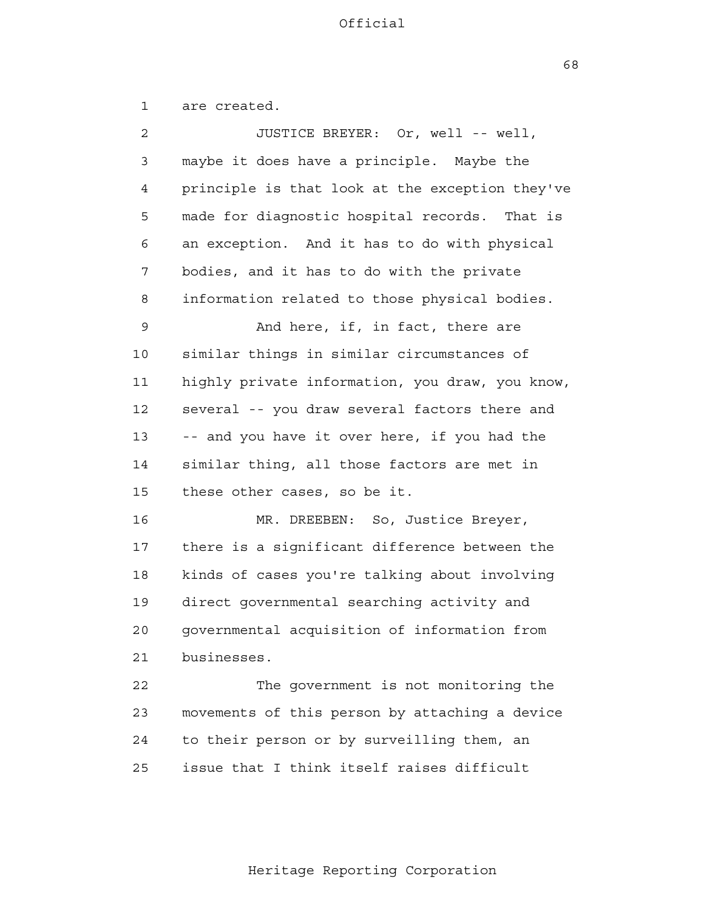$68$ 

 1 2 3 4 **5**  6 7 8 9 10 11 12 13 14 15 16 17 18 19 20 21 22 23 24 <u>25</u> are created. JUSTICE BREYER: Or, well -- well, maybe it does have a principle. Maybe the principle is that look at the exception they've made for diagnostic hospital records. That is an exception. And it has to do with physical bodies, and it has to do with the private information related to those physical bodies. And here, if, in fact, there are similar things in similar circumstances of highly private information, you draw, you know, several -- you draw several factors there and -- and you have it over here, if you had the similar thing, all those factors are met in these other cases, so be it. MR. DREEBEN: So, Justice Breyer, there is a significant difference between the kinds of cases you're talking about involving direct governmental searching activity and governmental acquisition of information from businesses. The government is not monitoring the movements of this person by attaching a device to their person or by surveilling them, an issue that I think itself raises difficult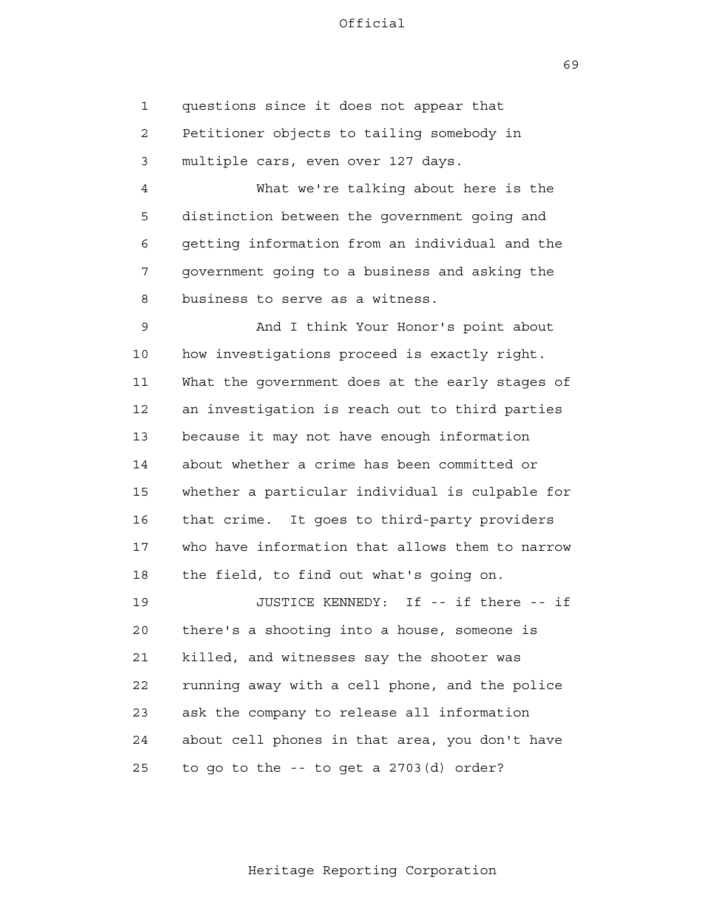$69$ 

 1 2 3 4 **5** questions since it does not appear that Petitioner objects to tailing somebody in multiple cars, even over 127 days. What we're talking about here is the distinction between the government going and

 6 7 8 getting information from an individual and the government going to a business and asking the business to serve as a witness.

 9 10 11 12 13 14 15 16 17 18 And I think Your Honor's point about how investigations proceed is exactly right. What the government does at the early stages of an investigation is reach out to third parties because it may not have enough information about whether a crime has been committed or whether a particular individual is culpable for that crime. It goes to third-party providers who have information that allows them to narrow the field, to find out what's going on.

 19 20 21 22 23 24 25 JUSTICE KENNEDY: If -- if there -- if there's a shooting into a house, someone is killed, and witnesses say the shooter was running away with a cell phone, and the police ask the company to release all information about cell phones in that area, you don't have to go to the -- to get a 2703(d) order?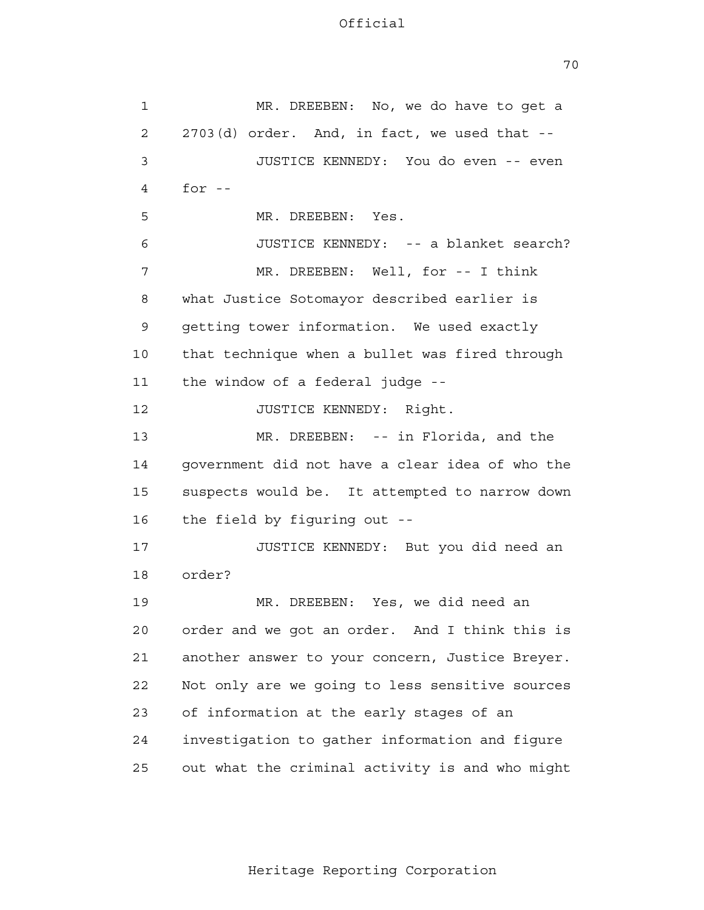70

| $\mathbf{1}$ | MR. DREEBEN: No, we do have to get a            |
|--------------|-------------------------------------------------|
| 2            | 2703(d) order. And, in fact, we used that --    |
| 3            | JUSTICE KENNEDY: You do even -- even            |
| 4            | for $-$                                         |
| 5            | MR. DREEBEN: Yes.                               |
| 6            | JUSTICE KENNEDY: -- a blanket search?           |
| 7            | MR. DREEBEN: Well, for -- I think               |
| 8            | what Justice Sotomayor described earlier is     |
| 9            | getting tower information. We used exactly      |
| 10           | that technique when a bullet was fired through  |
| 11           | the window of a federal judge --                |
| 12           | JUSTICE KENNEDY: Right.                         |
| 13           | MR. DREEBEN: -- in Florida, and the             |
| 14           | government did not have a clear idea of who the |
| 15           | suspects would be. It attempted to narrow down  |
| 16           | the field by figuring out --                    |
| 17           | JUSTICE KENNEDY: But you did need an            |
| 18           | order?                                          |
| 19           | MR. DREEBEN: Yes, we did need an                |
| 20           | order and we got an order. And I think this is  |
| 21           | another answer to your concern, Justice Breyer. |
| 22           | Not only are we going to less sensitive sources |
| 23           | of information at the early stages of an        |
| 24           | investigation to gather information and figure  |
| 25           | out what the criminal activity is and who might |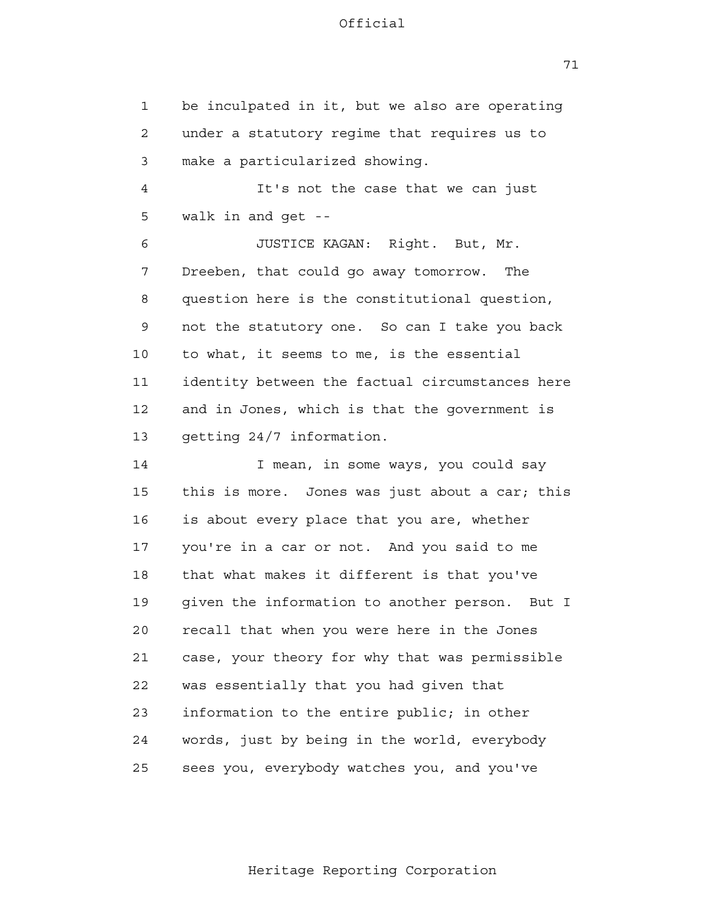71

 1 2 3 4 **5**  6 7 8 9 10 11 12 13 14 15 16 17 18 19 20 21 **22**  23 24 25 be inculpated in it, but we also are operating under a statutory regime that requires us to make a particularized showing. It's not the case that we can just walk in and get - JUSTICE KAGAN: Right. But, Mr. Dreeben, that could go away tomorrow. The question here is the constitutional question, not the statutory one. So can I take you back to what, it seems to me, is the essential identity between the factual circumstances here and in Jones, which is that the government is getting 24/7 information. I mean, in some ways, you could say this is more. Jones was just about a car; this is about every place that you are, whether you're in a car or not. And you said to me that what makes it different is that you've given the information to another person. But I recall that when you were here in the Jones case, your theory for why that was permissible was essentially that you had given that information to the entire public; in other words, just by being in the world, everybody sees you, everybody watches you, and you've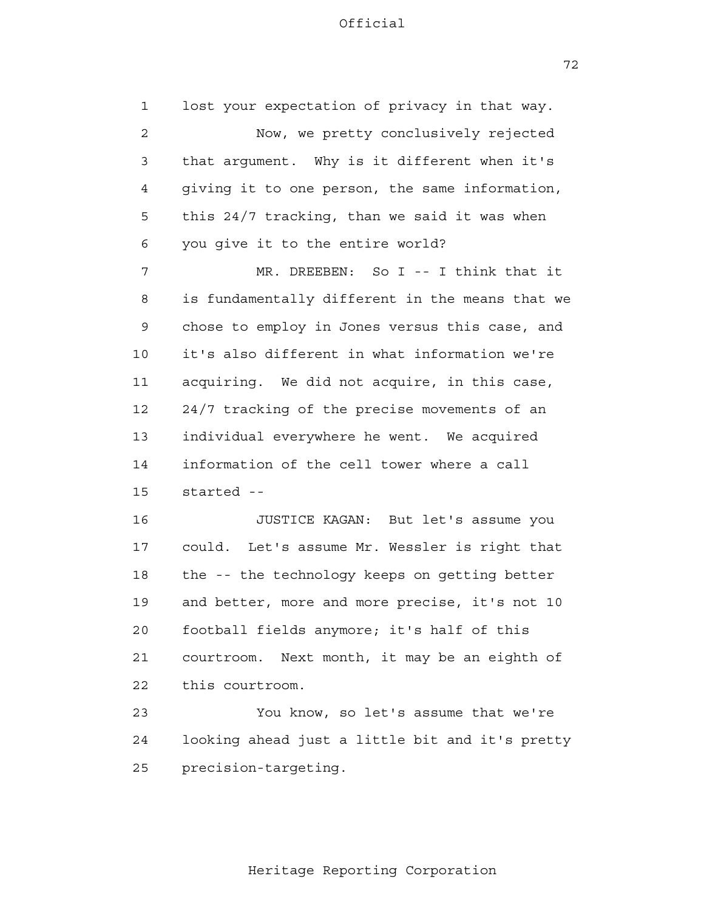1 2 3 4 **5**  6 7 8 9 10 11 12 13 14 15 16 17 18 19 20 21 22 23 24 25 lost your expectation of privacy in that way. Now, we pretty conclusively rejected that argument. Why is it different when it's giving it to one person, the same information, this 24/7 tracking, than we said it was when you give it to the entire world? MR. DREEBEN: So I -- I think that it is fundamentally different in the means that we chose to employ in Jones versus this case, and it's also different in what information we're acquiring. We did not acquire, in this case, 24/7 tracking of the precise movements of an individual everywhere he went. We acquired information of the cell tower where a call started - JUSTICE KAGAN: But let's assume you could. Let's assume Mr. Wessler is right that the -- the technology keeps on getting better and better, more and more precise, it's not 10 football fields anymore; it's half of this courtroom. Next month, it may be an eighth of this courtroom. You know, so let's assume that we're looking ahead just a little bit and it's pretty precision-targeting.

72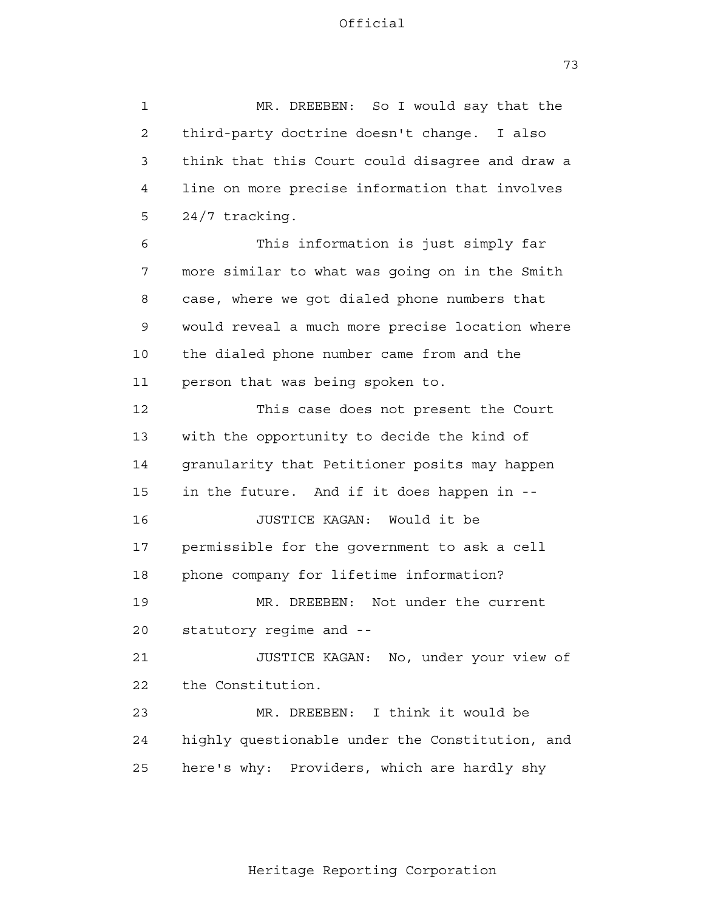1 2 3 4 **5**  6 7 8 9 10 11 12 13 14 15 16 17 18 19 20 21 22 23 24 25 MR. DREEBEN: So I would say that the third-party doctrine doesn't change. I also think that this Court could disagree and draw a line on more precise information that involves 24/7 tracking. This information is just simply far more similar to what was going on in the Smith case, where we got dialed phone numbers that would reveal a much more precise location where the dialed phone number came from and the person that was being spoken to. This case does not present the Court with the opportunity to decide the kind of granularity that Petitioner posits may happen in the future. And if it does happen in - JUSTICE KAGAN: Would it be permissible for the government to ask a cell phone company for lifetime information? MR. DREEBEN: Not under the current statutory regime and - JUSTICE KAGAN: No, under your view of the Constitution. MR. DREEBEN: I think it would be highly questionable under the Constitution, and here's why: Providers, which are hardly shy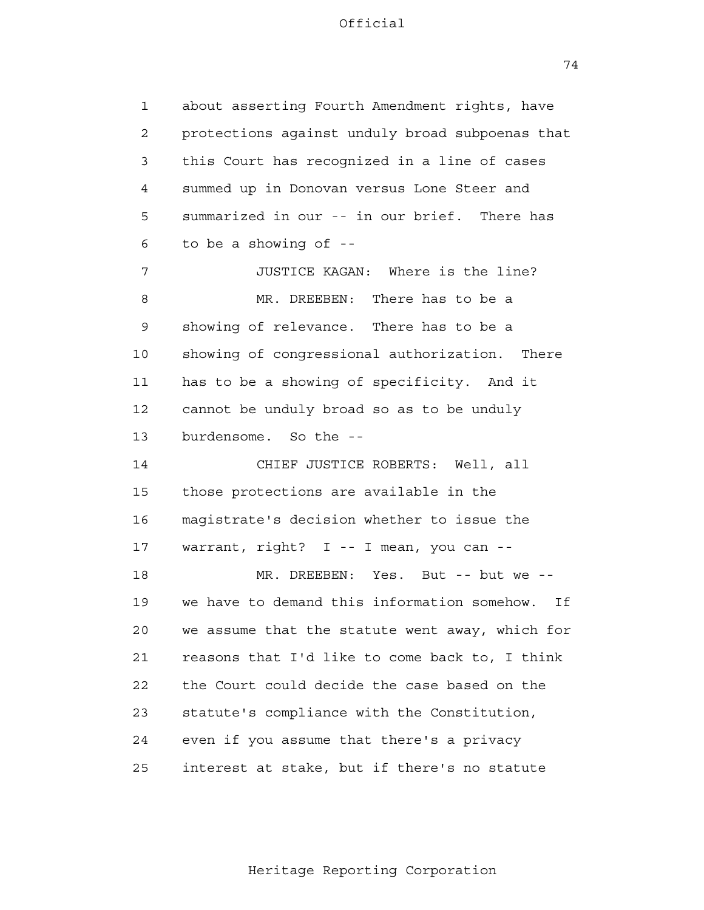74

 1 2 3 4 **5**  6 7 8 9 10 11 12 13 14 15 16 17 18 19 20 21 22 23 24 <u>25</u> about asserting Fourth Amendment rights, have protections against unduly broad subpoenas that this Court has recognized in a line of cases summed up in Donovan versus Lone Steer and summarized in our -- in our brief. There has to be a showing of - JUSTICE KAGAN: Where is the line? MR. DREEBEN: There has to be a showing of relevance. There has to be a showing of congressional authorization. There has to be a showing of specificity. And it cannot be unduly broad so as to be unduly burdensome. So the - CHIEF JUSTICE ROBERTS: Well, all those protections are available in the magistrate's decision whether to issue the warrant, right? I -- I mean, you can - MR. DREEBEN: Yes. But -- but we -we have to demand this information somehow. If we assume that the statute went away, which for reasons that I'd like to come back to, I think the Court could decide the case based on the statute's compliance with the Constitution, even if you assume that there's a privacy interest at stake, but if there's no statute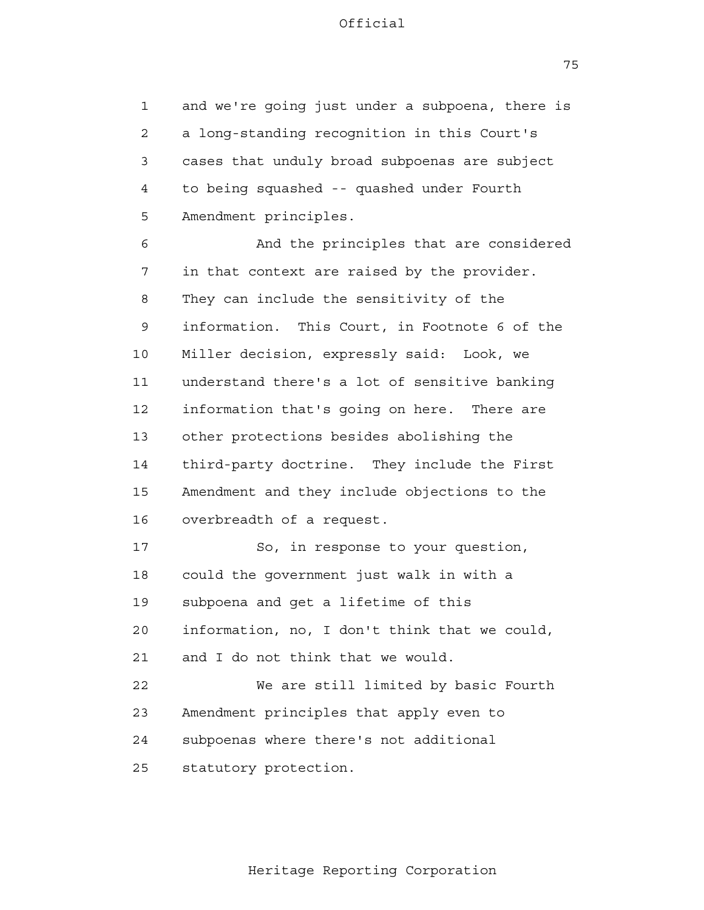1 2 3 4 **5** and we're going just under a subpoena, there is a long-standing recognition in this Court's cases that unduly broad subpoenas are subject to being squashed -- quashed under Fourth Amendment principles.

 6 7 8 9 10 11 12 13 14 15 16 17 18 And the principles that are considered in that context are raised by the provider. They can include the sensitivity of the information. This Court, in Footnote 6 of the Miller decision, expressly said: Look, we understand there's a lot of sensitive banking information that's going on here. There are other protections besides abolishing the third-party doctrine. They include the First Amendment and they include objections to the overbreadth of a request. So, in response to your question, could the government just walk in with a

 19 subpoena and get a lifetime of this

 20 information, no, I don't think that we could,

 21 and I do not think that we would.

 22 23 24 25 We are still limited by basic Fourth Amendment principles that apply even to subpoenas where there's not additional statutory protection.

75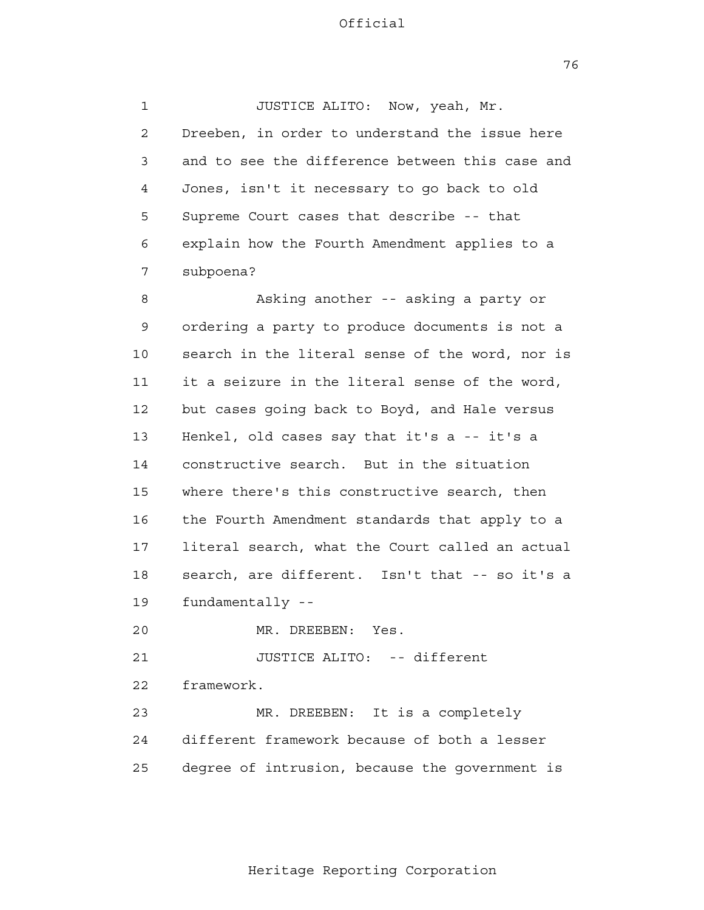1 2 3 4 **5**  6 7 8 9 10 11 12 13 14 15 16 17 18 19 20 21 22 23 24 25 JUSTICE ALITO: Now, yeah, Mr. Dreeben, in order to understand the issue here and to see the difference between this case and Jones, isn't it necessary to go back to old Supreme Court cases that describe -- that explain how the Fourth Amendment applies to a subpoena? Asking another -- asking a party or ordering a party to produce documents is not a search in the literal sense of the word, nor is it a seizure in the literal sense of the word, but cases going back to Boyd, and Hale versus Henkel, old cases say that it's a -- it's a constructive search. But in the situation where there's this constructive search, then the Fourth Amendment standards that apply to a literal search, what the Court called an actual search, are different. Isn't that -- so it's a fundamentally - MR. DREEBEN: Yes. JUSTICE ALITO: -- different framework. MR. DREEBEN: It is a completely different framework because of both a lesser degree of intrusion, because the government is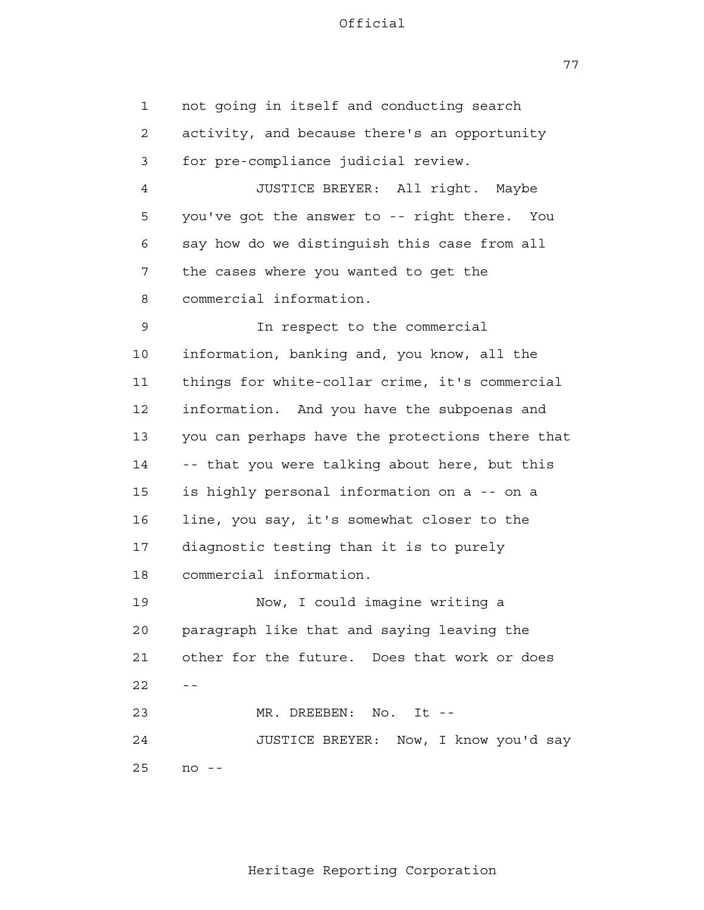77

 1 2 3 4 **5**  6 7 8 9 10 11 12 13 14 15 16 17 18 19 20 21  $22$  -- 23 24 25 not going in itself and conducting search activity, and because there's an opportunity for pre-compliance judicial review. JUSTICE BREYER: All right. Maybe you've got the answer to -- right there. You say how do we distinguish this case from all the cases where you wanted to get the commercial information. In respect to the commercial information, banking and, you know, all the things for white-collar crime, it's commercial information. And you have the subpoenas and you can perhaps have the protections there that -- that you were talking about here, but this is highly personal information on a -- on a line, you say, it's somewhat closer to the diagnostic testing than it is to purely commercial information. Now, I could imagine writing a paragraph like that and saying leaving the other for the future. Does that work or does MR. DREEBEN: No. It --JUSTICE BREYER: Now, I know you'd say  $no - -$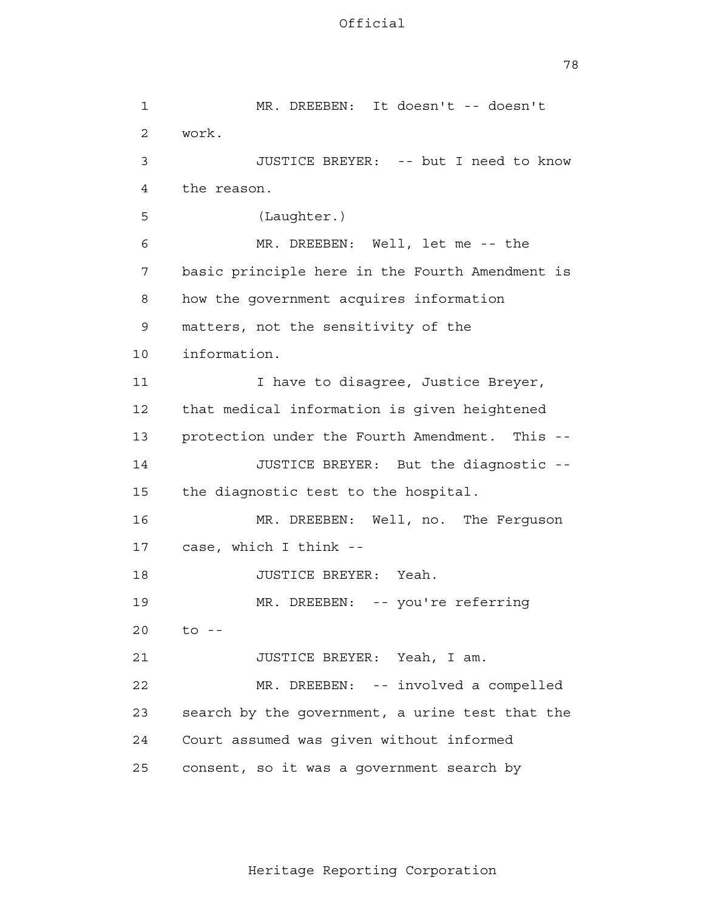78

 1 2 3 4 **5**  6 7 8 9 10 11 12 13 14 15 16 17 18 19 20 21 22 23 24 25 MR. DREEBEN: It doesn't -- doesn't work. JUSTICE BREYER: -- but I need to know the reason. (Laughter.) MR. DREEBEN: Well, let me -- the basic principle here in the Fourth Amendment is how the government acquires information matters, not the sensitivity of the information. I have to disagree, Justice Breyer, that medical information is given heightened protection under the Fourth Amendment. This - JUSTICE BREYER: But the diagnostic the diagnostic test to the hospital. MR. DREEBEN: Well, no. The Ferguson case, which I think - JUSTICE BREYER: Yeah. MR. DREEBEN: -- you're referring  $to$   $-$ JUSTICE BREYER: Yeah, I am. MR. DREEBEN: -- involved a compelled search by the government, a urine test that the Court assumed was given without informed consent, so it was a government search by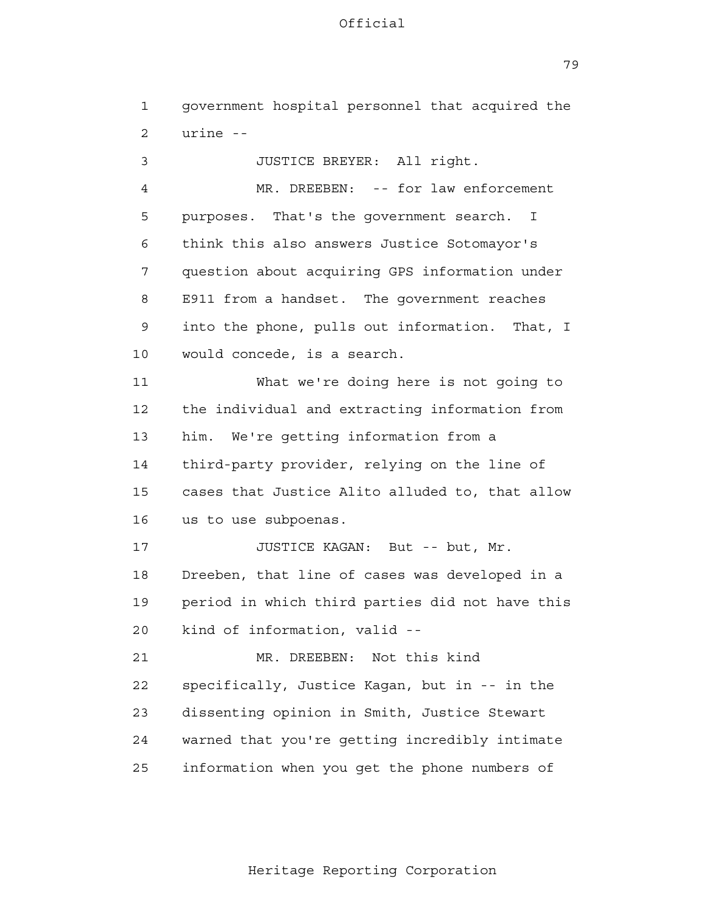79

| $\mathbf 1$    | government hospital personnel that acquired the         |
|----------------|---------------------------------------------------------|
| 2              | urine --                                                |
| 3              | JUSTICE BREYER: All right.                              |
| $\overline{4}$ | MR. DREEBEN: -- for law enforcement                     |
| 5              | purposes. That's the government search.<br>$\mathbf{I}$ |
| 6              | think this also answers Justice Sotomayor's             |
| 7              | question about acquiring GPS information under          |
| 8              | E911 from a handset. The government reaches             |
| 9              | into the phone, pulls out information.<br>That, I       |
| 10             | would concede, is a search.                             |
| 11             | What we're doing here is not going to                   |
| 12             | the individual and extracting information from          |
| 13             | We're getting information from a<br>him.                |
| 14             | third-party provider, relying on the line of            |
| 15             | cases that Justice Alito alluded to, that allow         |
| 16             | us to use subpoenas.                                    |
| 17             | JUSTICE KAGAN: But -- but, Mr.                          |
| 18             | Dreeben, that line of cases was developed in a          |
| 19             | period in which third parties did not have this         |
| 20             | kind of information, valid --                           |
| 21             | Not this kind<br>MR. DREEBEN:                           |
| 22             | specifically, Justice Kagan, but in -- in the           |
| 23             | dissenting opinion in Smith, Justice Stewart            |
| 24             | warned that you're getting incredibly intimate          |
| 25             | information when you get the phone numbers of           |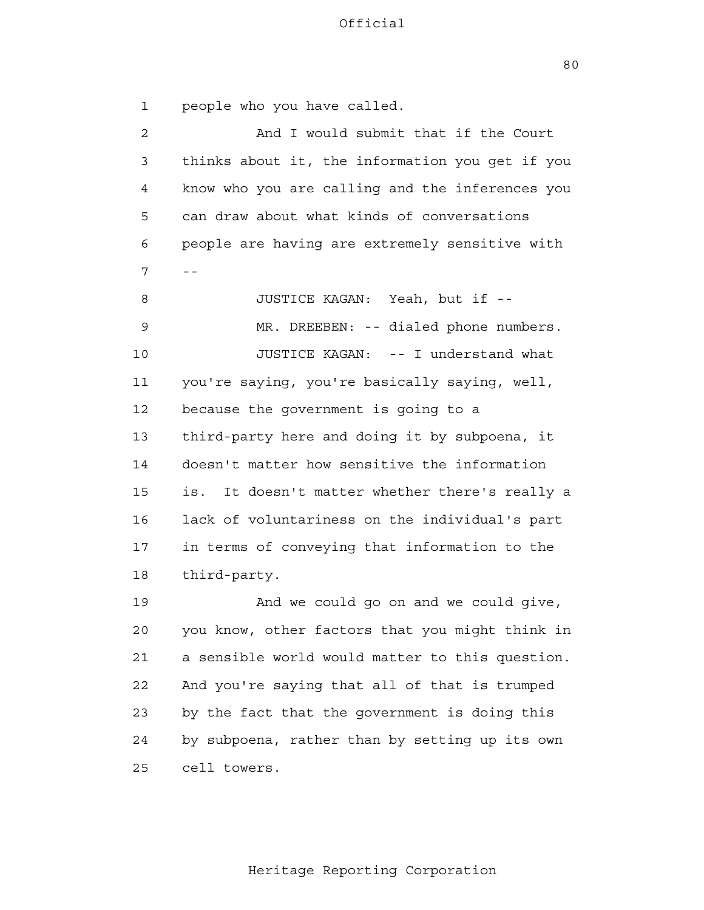80

 1 2 3 4 **5**  6  $7 - -$  8 9 10 11 12 13 14 15 16 17 18 19 20 21 22 23 24 <u>25</u> people who you have called. And I would submit that if the Court thinks about it, the information you get if you know who you are calling and the inferences you can draw about what kinds of conversations people are having are extremely sensitive with JUSTICE KAGAN: Yeah, but if - MR. DREEBEN: -- dialed phone numbers. JUSTICE KAGAN: -- I understand what you're saying, you're basically saying, well, because the government is going to a third-party here and doing it by subpoena, it doesn't matter how sensitive the information is. It doesn't matter whether there's really a lack of voluntariness on the individual's part in terms of conveying that information to the third-party. And we could go on and we could give, you know, other factors that you might think in a sensible world would matter to this question. And you're saying that all of that is trumped by the fact that the government is doing this by subpoena, rather than by setting up its own cell towers.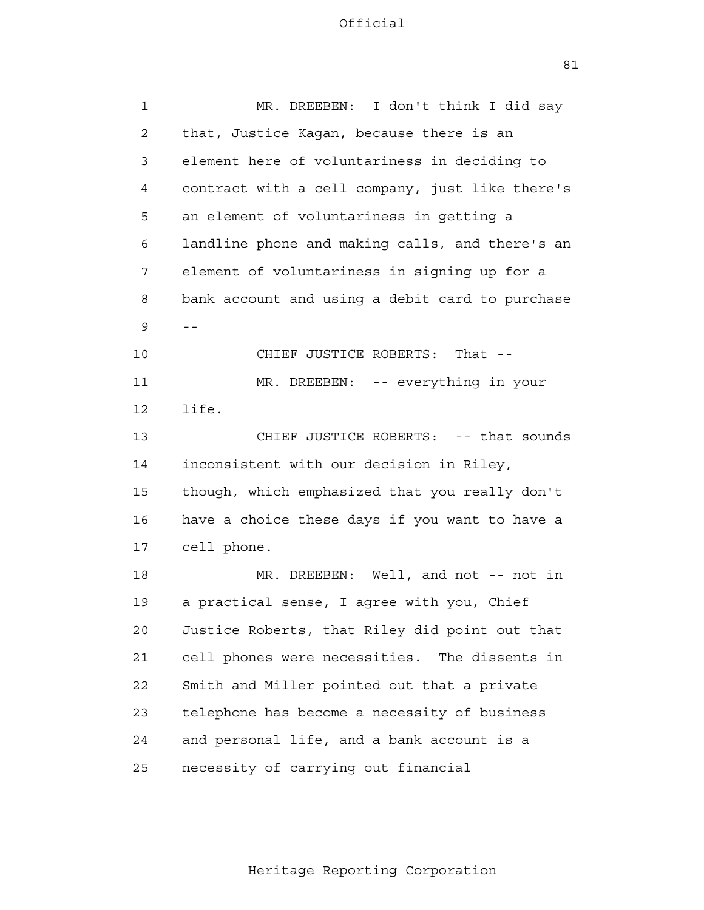| $\mathbf 1$    | I don't think I did say<br>MR. DREEBEN:         |
|----------------|-------------------------------------------------|
| $\overline{2}$ | that, Justice Kagan, because there is an        |
| 3              | element here of voluntariness in deciding to    |
| 4              | contract with a cell company, just like there's |
| 5              | an element of voluntariness in getting a        |
| 6              | landline phone and making calls, and there's an |
| 7              | element of voluntariness in signing up for a    |
| 8              | bank account and using a debit card to purchase |
| 9              | $- -$                                           |
| 10             | CHIEF JUSTICE ROBERTS:<br>That $-$              |
| 11             | MR. DREEBEN: -- everything in your              |
| 12             | life.                                           |
| 13             | CHIEF JUSTICE ROBERTS: -- that sounds           |
| 14             | inconsistent with our decision in Riley,        |
| 15             | though, which emphasized that you really don't  |
| 16             | have a choice these days if you want to have a  |
| 17             | cell phone.                                     |
| 18             | MR. DREEBEN: Well, and not -- not in            |
| 19             | a practical sense, I agree with you, Chief      |
| 20             | Justice Roberts, that Riley did point out that  |
| 21             | cell phones were necessities. The dissents in   |
| 22             | Smith and Miller pointed out that a private     |
| 23             | telephone has become a necessity of business    |
| 24             | and personal life, and a bank account is a      |
| 25             | necessity of carrying out financial             |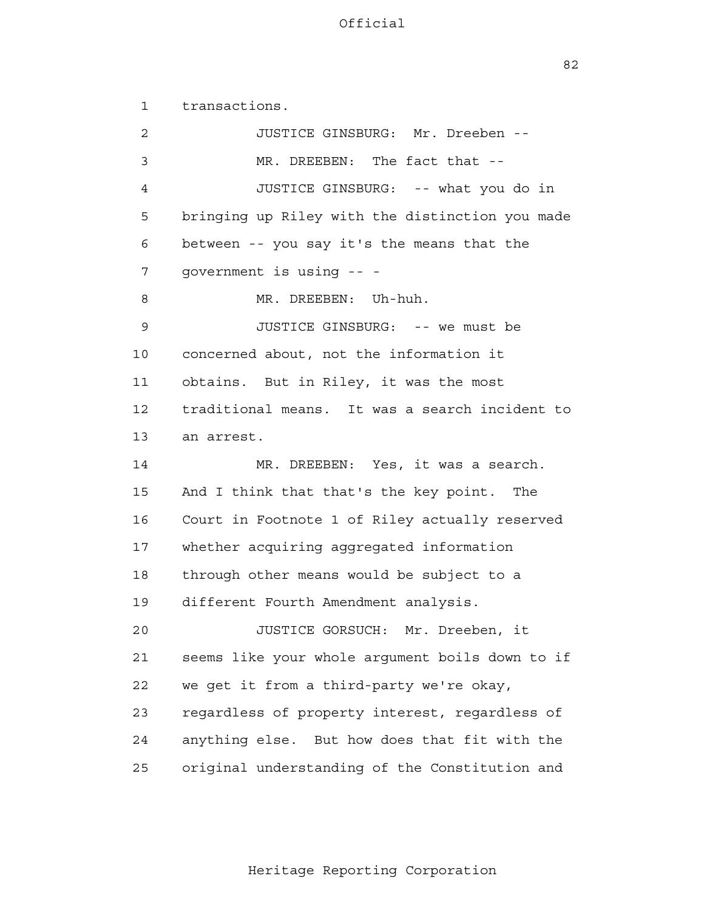82

 1 2 3 4 **5**  6 7 8 9 10 11 12 13 14 15 16 17 18 19 20 21 22 23 24 25 transactions. JUSTICE GINSBURG: Mr. Dreeben - MR. DREEBEN: The fact that --JUSTICE GINSBURG: -- what you do in bringing up Riley with the distinction you made between -- you say it's the means that the government is using -- MR. DREEBEN: Uh-huh. JUSTICE GINSBURG: -- we must be concerned about, not the information it obtains. But in Riley, it was the most traditional means. It was a search incident to an arrest. MR. DREEBEN: Yes, it was a search. And I think that that's the key point. The Court in Footnote 1 of Riley actually reserved whether acquiring aggregated information through other means would be subject to a different Fourth Amendment analysis. JUSTICE GORSUCH: Mr. Dreeben, it seems like your whole argument boils down to if we get it from a third-party we're okay, regardless of property interest, regardless of anything else. But how does that fit with the original understanding of the Constitution and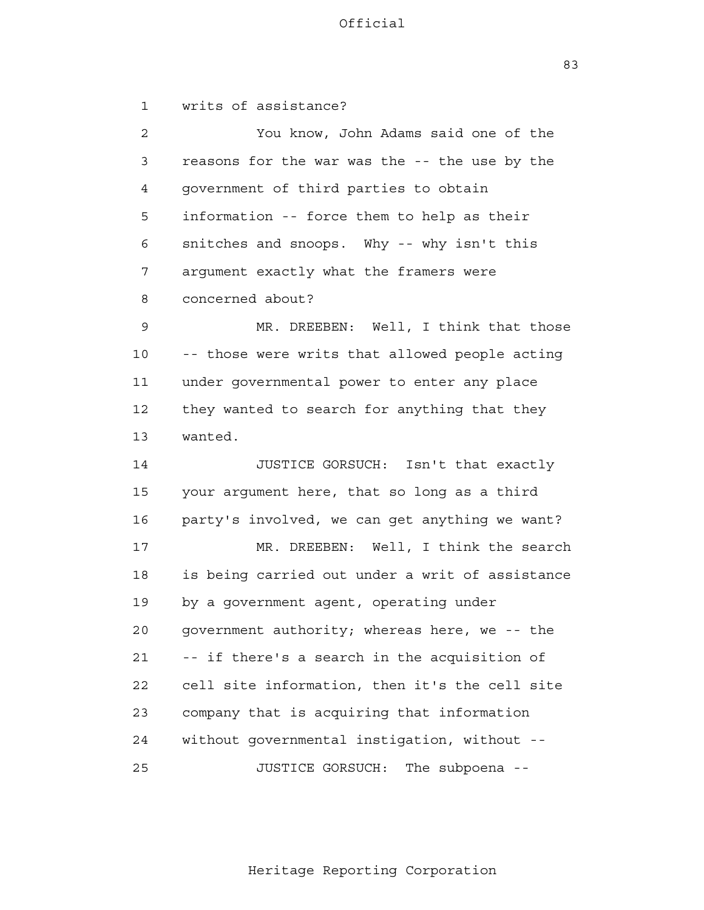writs of assistance?

 1 2 3 4 **5**  6 7 8 9 10 11 12 13 14 15 16 17 18 19 20 21 22 23 24 25 You know, John Adams said one of the reasons for the war was the -- the use by the government of third parties to obtain information -- force them to help as their snitches and snoops. Why -- why isn't this argument exactly what the framers were concerned about? MR. DREEBEN: Well, I think that those -- those were writs that allowed people acting under governmental power to enter any place they wanted to search for anything that they wanted. JUSTICE GORSUCH: Isn't that exactly your argument here, that so long as a third party's involved, we can get anything we want? MR. DREEBEN: Well, I think the search is being carried out under a writ of assistance by a government agent, operating under government authority; whereas here, we -- the -- if there's a search in the acquisition of cell site information, then it's the cell site company that is acquiring that information without governmental instigation, without - JUSTICE GORSUCH: The subpoena -

83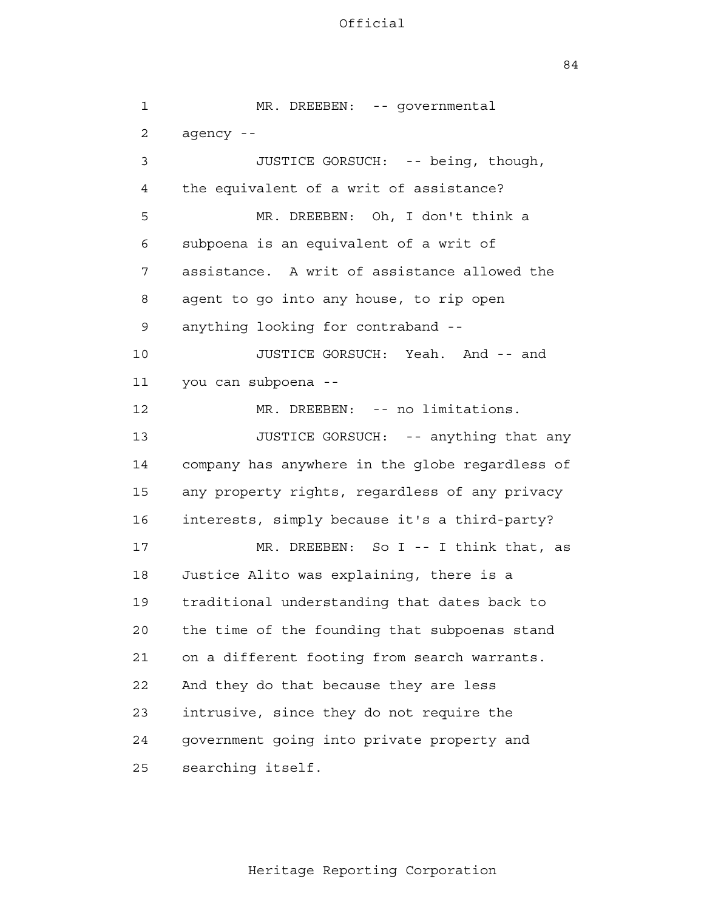84

| $\mathbf{1}$   | MR. DREEBEN: -- governmental                    |
|----------------|-------------------------------------------------|
| $\overline{2}$ | agency --                                       |
| 3              | JUSTICE GORSUCH: -- being, though,              |
| 4              | the equivalent of a writ of assistance?         |
| 5              | MR. DREEBEN: Oh, I don't think a                |
| 6              | subpoena is an equivalent of a writ of          |
| 7              | assistance. A writ of assistance allowed the    |
| 8              | agent to go into any house, to rip open         |
| 9              | anything looking for contraband --              |
| 10             | JUSTICE GORSUCH: Yeah. And -- and               |
| 11             | you can subpoena --                             |
| 12             | MR. DREEBEN: -- no limitations.                 |
| 13             | JUSTICE GORSUCH: -- anything that any           |
| 14             | company has anywhere in the globe regardless of |
| 15             | any property rights, regardless of any privacy  |
| 16             | interests, simply because it's a third-party?   |
| 17             | MR. DREEBEN: So I -- I think that, as           |
| 18             | Justice Alito was explaining, there is a        |
| 19             | traditional understanding that dates back to    |
| 20             | the time of the founding that subpoenas stand   |
| 21             | on a different footing from search warrants.    |
| 22             | And they do that because they are less          |
| 23             | intrusive, since they do not require the        |
| 24             | government going into private property and      |
| 25             | searching itself.                               |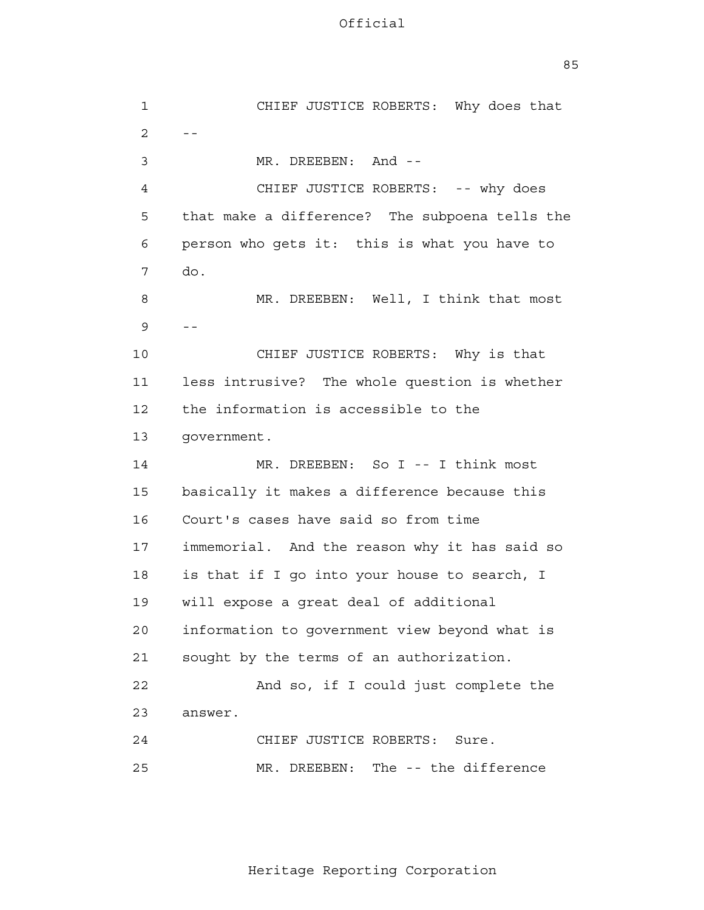<u>85 and 2001 and 2001 and 2001 and 2001 and 2001 and 2001 and 2001 and 2001 and 2001 and 2001 and 2001 and 200</u>

| 1              | CHIEF JUSTICE ROBERTS: Why does that           |
|----------------|------------------------------------------------|
| $\overline{2}$ | $- -$                                          |
| 3              | MR. DREEBEN: And --                            |
| 4              | CHIEF JUSTICE ROBERTS: -- why does             |
| 5              | that make a difference? The subpoena tells the |
| 6              | person who gets it: this is what you have to   |
| 7              | do.                                            |
| 8              | MR. DREEBEN: Well, I think that most           |
| 9              | $- -$                                          |
| 10             | CHIEF JUSTICE ROBERTS: Why is that             |
| 11             | less intrusive? The whole question is whether  |
| 12             | the information is accessible to the           |
| 13             | government.                                    |
| 14             | MR. DREEBEN: So I -- I think most              |
| 15             | basically it makes a difference because this   |
| 16             | Court's cases have said so from time           |
| 17             | immemorial. And the reason why it has said so  |
| 18             | is that if I go into your house to search, I   |
| 19             | will expose a great deal of additional         |
| 20             | information to government view beyond what is  |
| 21             | sought by the terms of an authorization.       |
| 22             | And so, if I could just complete the           |
| 23             | answer.                                        |
| 24             | CHIEF JUSTICE ROBERTS:<br>Sure.                |
| 25             | The -- the difference<br>MR. DREEBEN:          |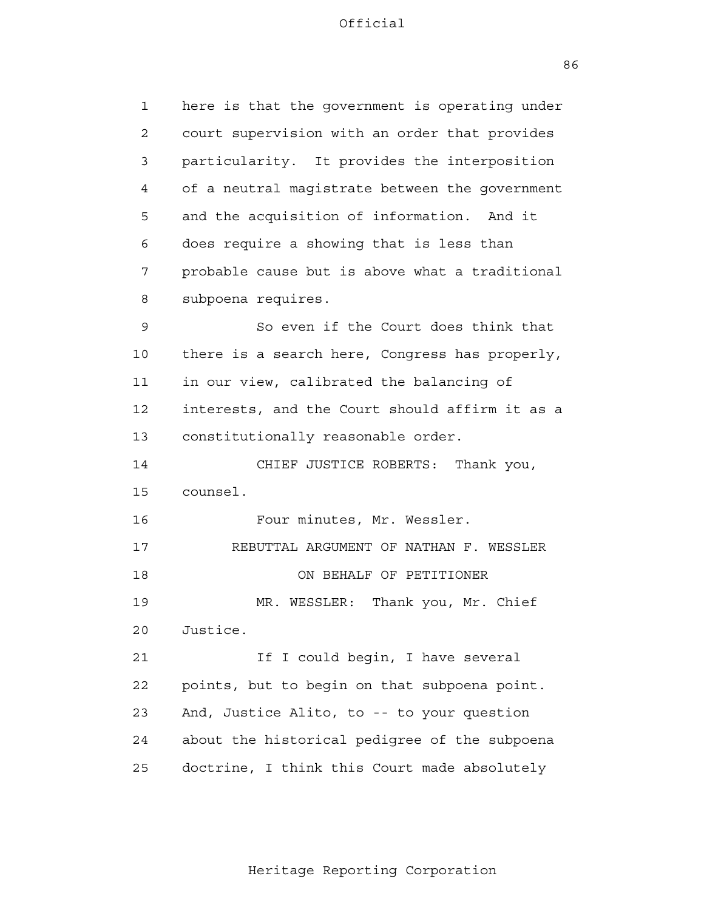2

3

4

**5** 

6

7

8

9

10

11

12

13

14

15

16

17

18

19

20

21

23

24

**22** 

here is that the government is operating under court supervision with an order that provides particularity. It provides the interposition of a neutral magistrate between the government and the acquisition of information. And it does require a showing that is less than probable cause but is above what a traditional subpoena requires. So even if the Court does think that there is a search here, Congress has properly, in our view, calibrated the balancing of interests, and the Court should affirm it as a constitutionally reasonable order. CHIEF JUSTICE ROBERTS: Thank you, counsel. Four minutes, Mr. Wessler. REBUTTAL ARGUMENT OF NATHAN F. WESSLER ON BEHALF OF PETITIONER MR. WESSLER: Thank you, Mr. Chief Justice. If I could begin, I have several points, but to begin on that subpoena point. And, Justice Alito, to -- to your question about the historical pedigree of the subpoena

 25 doctrine, I think this Court made absolutely

86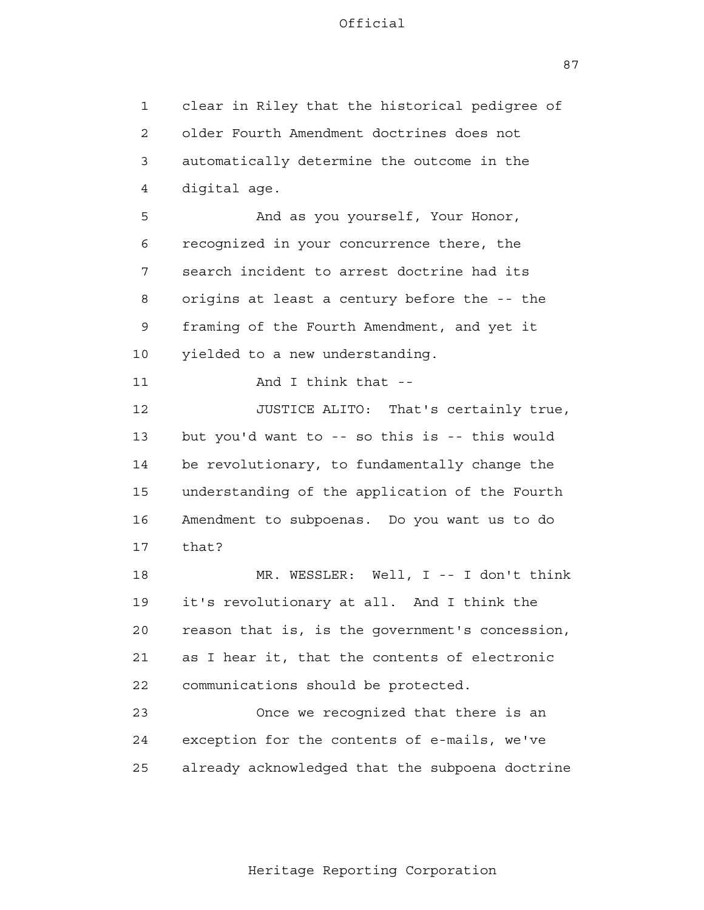1 2 3 4 **5**  6 7 8 9 10 11 12 13 14 15 16 17 18 19 20 21 22 23 24 25 clear in Riley that the historical pedigree of older Fourth Amendment doctrines does not automatically determine the outcome in the digital age. And as you yourself, Your Honor, recognized in your concurrence there, the search incident to arrest doctrine had its origins at least a century before the -- the framing of the Fourth Amendment, and yet it yielded to a new understanding. And I think that - JUSTICE ALITO: That's certainly true, but you'd want to -- so this is -- this would be revolutionary, to fundamentally change the understanding of the application of the Fourth Amendment to subpoenas. Do you want us to do that? MR. WESSLER: Well, I -- I don't think it's revolutionary at all. And I think the reason that is, is the government's concession, as I hear it, that the contents of electronic communications should be protected. Once we recognized that there is an exception for the contents of e-mails, we've already acknowledged that the subpoena doctrine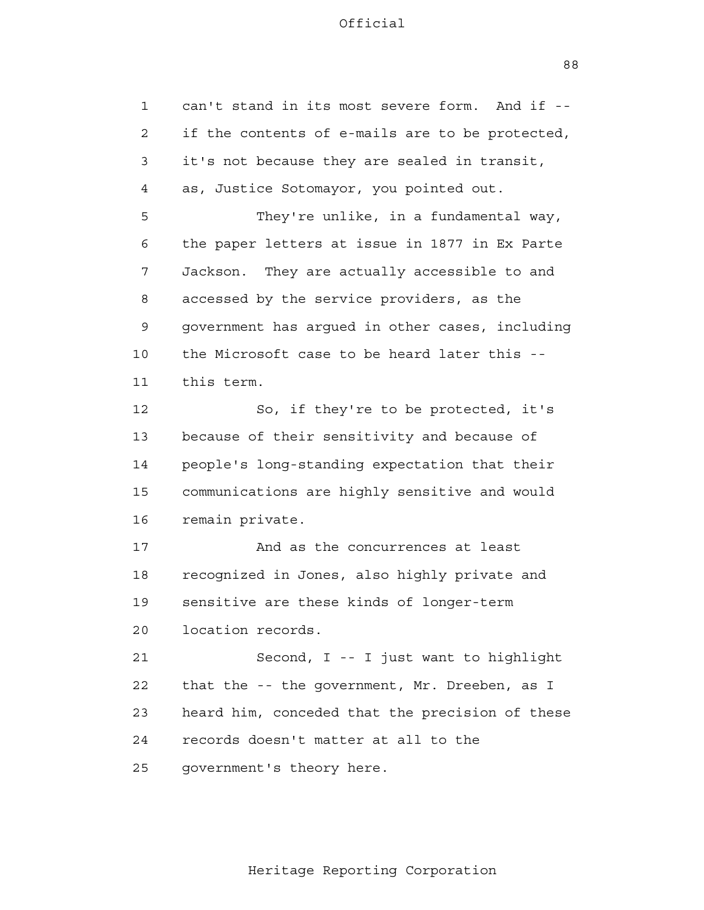1 2 3 4 **5**  6 7 8 9 10 11 12 13 14 15 16 17 18 19 20 21 **22**  23 24 25 can't stand in its most severe form. And if if the contents of e-mails are to be protected, it's not because they are sealed in transit, as, Justice Sotomayor, you pointed out. They're unlike, in a fundamental way, the paper letters at issue in 1877 in Ex Parte Jackson. They are actually accessible to and accessed by the service providers, as the government has argued in other cases, including the Microsoft case to be heard later this this term. So, if they're to be protected, it's because of their sensitivity and because of people's long-standing expectation that their communications are highly sensitive and would remain private. And as the concurrences at least recognized in Jones, also highly private and sensitive are these kinds of longer-term location records. Second, I -- I just want to highlight that the -- the government, Mr. Dreeben, as I heard him, conceded that the precision of these records doesn't matter at all to the government's theory here.

88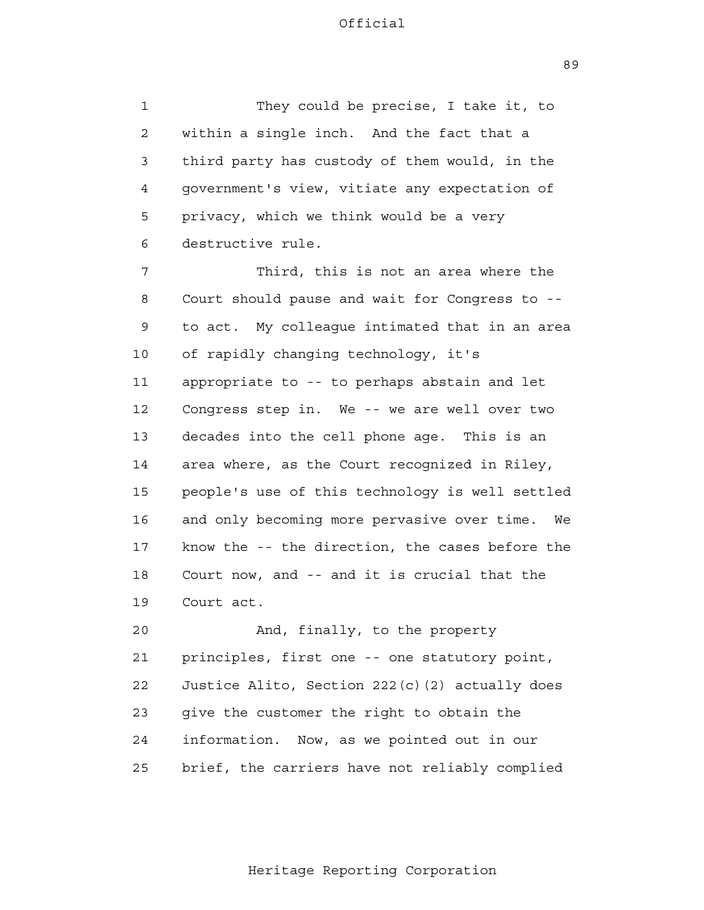1 2 3 4 **5**  6 They could be precise, I take it, to within a single inch. And the fact that a third party has custody of them would, in the government's view, vitiate any expectation of privacy, which we think would be a very destructive rule.

 7 8 9 10 11 12 13 14 15 16 17 18 19 Third, this is not an area where the Court should pause and wait for Congress to to act. My colleague intimated that in an area of rapidly changing technology, it's appropriate to -- to perhaps abstain and let Congress step in. We -- we are well over two decades into the cell phone age. This is an area where, as the Court recognized in Riley, people's use of this technology is well settled and only becoming more pervasive over time. We know the -- the direction, the cases before the Court now, and -- and it is crucial that the Court act.

> 20 21 22 23 24 25 And, finally, to the property principles, first one -- one statutory point, Justice Alito, Section 222(c)(2) actually does give the customer the right to obtain the information. Now, as we pointed out in our brief, the carriers have not reliably complied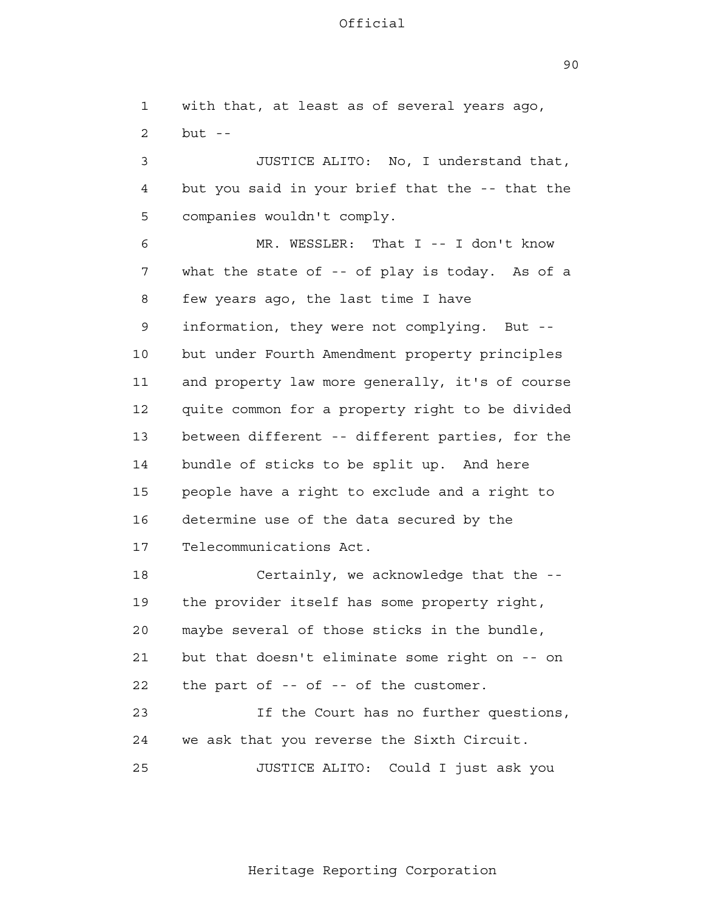90

 1 2 3 4 **5**  6 7 8 9 10 11 12 13 14 15 16 17 18 19 20 21 22 23 24 25 with that, at least as of several years ago, but  $-$ JUSTICE ALITO: No, I understand that, but you said in your brief that the -- that the companies wouldn't comply. MR. WESSLER: That I -- I don't know what the state of -- of play is today. As of a few years ago, the last time I have information, they were not complying. But but under Fourth Amendment property principles and property law more generally, it's of course quite common for a property right to be divided between different -- different parties, for the bundle of sticks to be split up. And here people have a right to exclude and a right to determine use of the data secured by the Telecommunications Act. Certainly, we acknowledge that the the provider itself has some property right, maybe several of those sticks in the bundle, but that doesn't eliminate some right on -- on the part of -- of -- of the customer. If the Court has no further questions, we ask that you reverse the Sixth Circuit. JUSTICE ALITO: Could I just ask you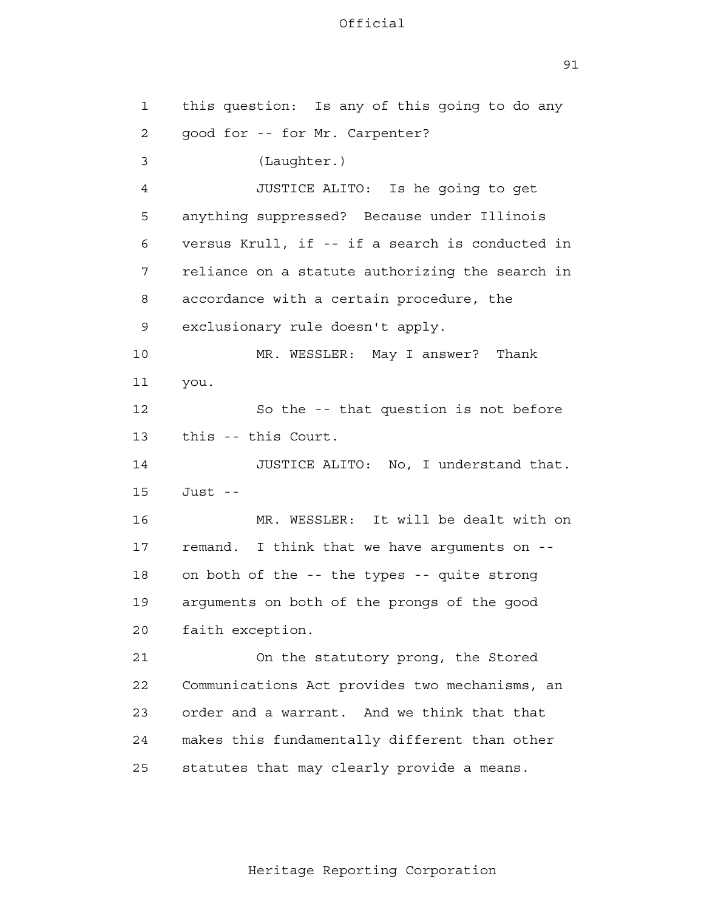| 1  | this question: Is any of this going to do any   |
|----|-------------------------------------------------|
| 2  | good for -- for Mr. Carpenter?                  |
| 3  | (Laughter.)                                     |
| 4  | JUSTICE ALITO: Is he going to get               |
| 5  | anything suppressed? Because under Illinois     |
| 6  | versus Krull, if -- if a search is conducted in |
| 7  | reliance on a statute authorizing the search in |
| 8  | accordance with a certain procedure, the        |
| 9  | exclusionary rule doesn't apply.                |
| 10 | MR. WESSLER: May I answer?<br>Thank             |
| 11 | you.                                            |
| 12 | So the -- that question is not before           |
| 13 | this -- this Court.                             |
| 14 | JUSTICE ALITO: No, I understand that.           |
| 15 | Just --                                         |
| 16 | MR. WESSLER: It will be dealt with on           |
| 17 | remand. I think that we have arguments on --    |
| 18 | on both of the -- the types -- quite strong     |
| 19 | arguments on both of the prongs of the good     |
| 20 | faith exception.                                |
| 21 | On the statutory prong, the Stored              |
| 22 | Communications Act provides two mechanisms, an  |
| 23 | order and a warrant. And we think that that     |
| 24 | makes this fundamentally different than other   |
| 25 | statutes that may clearly provide a means.      |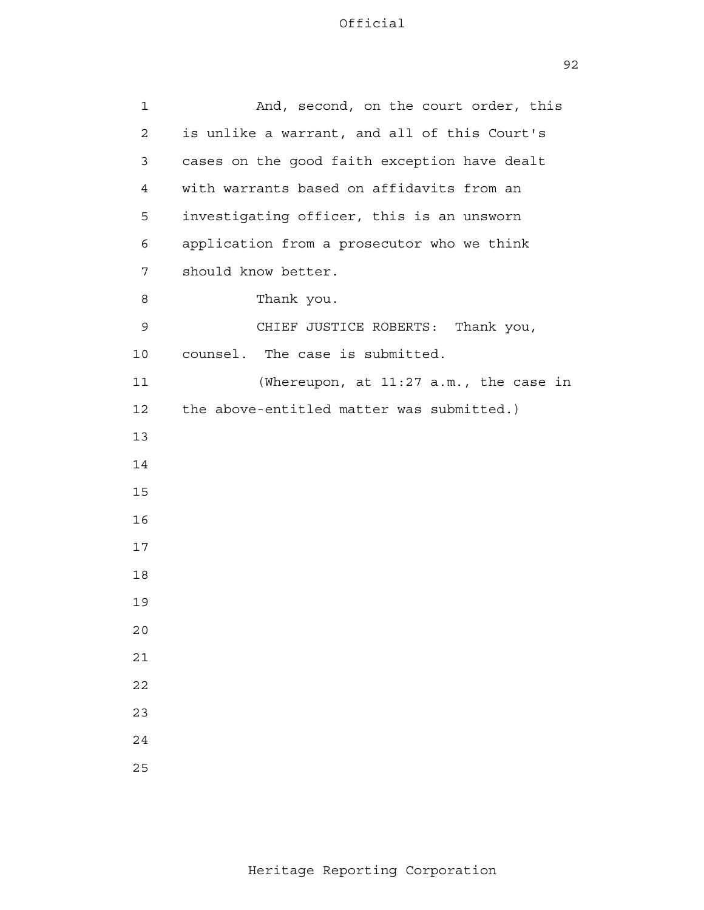| $\mathbf 1$    | And, second, on the court order, this        |
|----------------|----------------------------------------------|
| $\overline{a}$ | is unlike a warrant, and all of this Court's |
|                |                                              |
| 3              | cases on the good faith exception have dealt |
| 4              | with warrants based on affidavits from an    |
| 5              | investigating officer, this is an unsworn    |
| 6              | application from a prosecutor who we think   |
| 7              | should know better.                          |
| 8              | Thank you.                                   |
| 9              | CHIEF JUSTICE ROBERTS:<br>Thank you,         |
| 10             | counsel. The case is submitted.              |
| 11             | (Whereupon, at 11:27 a.m., the case in       |
| 12             | the above-entitled matter was submitted.)    |
| 13             |                                              |
| 14             |                                              |
| 15             |                                              |
| 16             |                                              |
| 17             |                                              |
| 18             |                                              |
| 19             |                                              |
| 20             |                                              |
| $2\,1$         |                                              |
| 22             |                                              |
| 23             |                                              |
| 24             |                                              |
| 25             |                                              |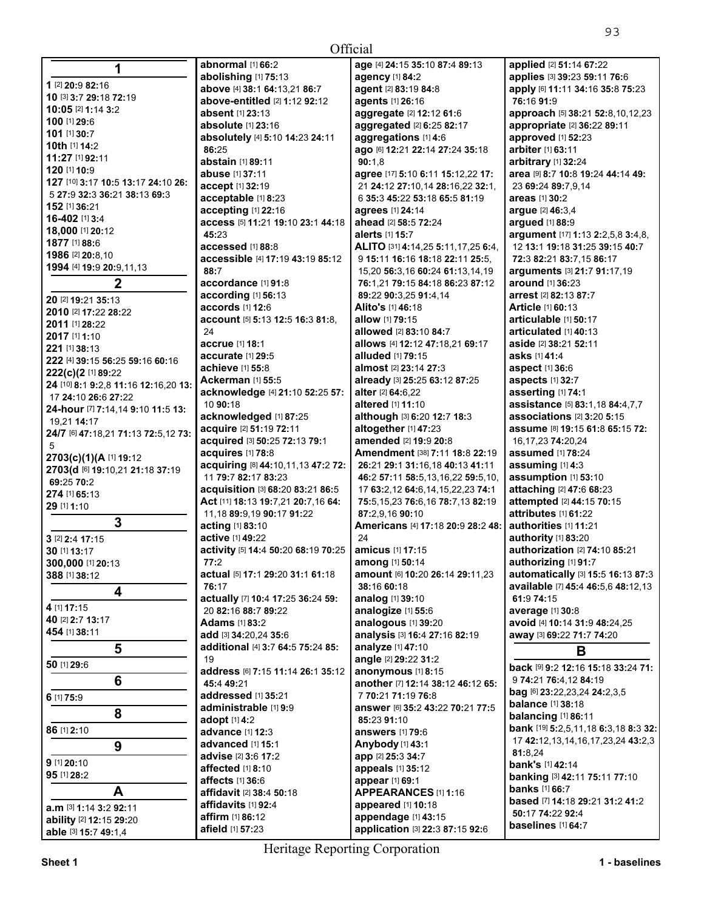|                                         |                                                                   | ソン                                                   |
|-----------------------------------------|-------------------------------------------------------------------|------------------------------------------------------|
|                                         | Official                                                          |                                                      |
| abnormal [1] 66:2                       | age [4] 24:15 35:10 87:4 89:13                                    | applied [2] 51:14 67:22                              |
| abolishing [1] 75:13                    | agency [1] 84:2                                                   | applies [3] 39:23 59:11 76:6                         |
| above [4] 38:1 64:13,21 86:7            | agent [2] 83:19 84:8                                              | apply [6] 11:11 34:16 35:8 75:23                     |
| above-entitled [2] 1:12 92:12           | agents [1] 26:16                                                  | 76:16 91:9                                           |
| <b>absent</b> [1] 23:13                 | aggregate [2] 12:12 61:6                                          | approach [5] 38:21 52:8,10,12,23                     |
| <b>absolute</b> [1] 23:16               | aggregated [2] 6:25 82:17                                         | appropriate [2] 36:22 89:11                          |
| absolutely [4] 5:10 14:23 24:11         | aggregations [1] 4:6                                              | approved [1] 52:23                                   |
| 86:25                                   | ago [6] 12:21 22:14 27:24 35:18                                   | arbiter [1] 63:11                                    |
| abstain [1] 89:11                       | 90:1.8                                                            | arbitrary [1] 32:24                                  |
| abuse [1] 37:11                         | agree [17] 5:10 6:11 15:12,22 17:                                 | area [9] 8:7 10:8 19:24 44:14 49:                    |
|                                         |                                                                   |                                                      |
| accept [1] 32:19<br>acceptable [1] 8:23 | 21 24:12 27:10,14 28:16,22 32:1,<br>6 35:3 45:22 53:18 65:5 81:19 | 23 69:24 89:7,9,14                                   |
|                                         |                                                                   | areas [1] 30:2                                       |
| accepting [1] 22:16                     | agrees [1] 24:14                                                  | argue [2] 46:3,4                                     |
| access [5] 11:21 19:10 23:1 44:18       | ahead [2] 58:5 72:24                                              | argued [1] 88:9                                      |
| 45:23                                   | alerts [1] 15:7                                                   | argument [17] 1:13 2:2,5,8 3:4,8,                    |
| accessed [1] 88:8                       | ALITO [31] 4:14,25 5:11,17,25 6:4,                                | 12 13:1 19:18 31:25 39:15 40:7                       |
| accessible [4] 17:19 43:19 85:12        | 9 15:11 16:16 18:18 22:11 25:5.                                   | 72:3 82:21 83:7,15 86:17                             |
| 88:7                                    | 15,20 56:3,16 60:24 61:13,14,19                                   | arguments [3] 21:7 91:17,19                          |
| accordance [1] 91:8                     | 76:1,21 79:15 84:18 86:23 87:12                                   | <b>around</b> [1] 36:23                              |
| according [1] 56:13                     | 89:22 90:3,25 91:4,14                                             | <b>arrest</b> [2] 82:13 87:7                         |
| accords [1] 12:6                        | Alito's [1] 46:18                                                 | <b>Article [1] 60:13</b>                             |
| account [5] 5:13 12:5 16:3 81:8.        | allow [1] 79:15                                                   | articulable [1] 50:17                                |
| 24                                      | allowed [2] 83:10 84:7                                            | articulated [1] 40:13                                |
| accrue [1] 18:1                         | allows [4] 12:12 47:18,21 69:17                                   | aside [2] 38:21 52:11                                |
| accurate [1] 29:5                       | <b>alluded</b> [1] 79:15                                          | asks [1] 41:4                                        |
| achieve [1] 55:8                        | almost [2] 23:14 27:3                                             | aspect [1] 36:6                                      |
| <b>Ackerman [1] 55:5</b>                | already [3] 25:25 63:12 87:25                                     | aspects [1] 32:7                                     |
| acknowledge [4] 21:10 52:25 57:         | alter [2] 64:6,22                                                 | asserting [1] 74:1                                   |
| 10 90:18                                | altered [1] 11:10                                                 | assistance [5] 83:1,18 84:4,7,7                      |
| acknowledged [1] 87:25                  | although [3] 6:20 12:7 18:3                                       | associations [2] 3:20 5:15                           |
| acquire [2] 51:19 72:11                 | altogether [1] 47:23                                              | <b>assume</b> [8] <b>19:15 61:8 65:15 72:</b>        |
| acquired [3] 50:25 72:13 79:1           | amended [2] 19:9 20:8                                             | 16, 17, 23 74: 20, 24                                |
| acquires [1] 78:8                       | Amendment [38] 7:11 18:8 22:19                                    | assumed [1] 78:24                                    |
| acquiring [8] 44:10,11,13 47:2 72:      | 26:21 29:1 31:16,18 40:13 41:11                                   | assuming [1] 4:3                                     |
| 11 79:7 82:17 83:23                     | 46:2 57:11 58:5,13,16,22 59:5,10,                                 | assumption [1] 53:10                                 |
| acquisition [3] 68:20 83:21 86:5        | 17 63:2,12 64:6,14,15,22,23 74:1                                  | attaching [2] 47:6 68:23                             |
| Act [11] 18:13 19:7,21 20:7,16 64:      | 75:5, 15, 23 76:6, 16 78:7, 13 82:19                              | attempted [2] 44:15 70:15                            |
| 11,18 89:9,19 90:17 91:22               | 87:2,9,16 90:10                                                   | attributes [1] 61:22                                 |
| acting [1] 83:10                        | Americans [4] 17:18 20:9 28:2 48:                                 | authorities [1] 11:21                                |
| active [1] 49:22                        | 24                                                                | authority [1] 83:20                                  |
| activity [5] 14:4 50:20 68:19 70:25     | <b>amicus</b> [1] 17:15                                           | <b>authorization</b> [2] <b>74:</b> 10 <b>85:</b> 21 |
| 77:2                                    | among [1] 50:14                                                   | authorizing [1] 91:7                                 |
| actual [5] 17:1 29:20 31:1 61:18        | amount [6] 10:20 26:14 29:11,23                                   | automatically [3] 15:5 16:13 87:3                    |
| 76:17                                   | 38:16 60:18                                                       | available [7] 45:4 46:5,6 48:12,13                   |
| actually [7] 10:4 17:25 36:24 59:       | analog [1] 39:10                                                  | 61:9 74:15                                           |
| 20 82:16 88:7 89:22                     | analogize [1] 55:6                                                | average [1] 30:8                                     |
| <b>Adams</b> [1] 83:2                   | analogous [1] 39:20                                               | avoid [4] 10:14 31:9 48:24,25                        |
| add [3] 34:20,24 35:6                   | analysis [3] 16:4 27:16 82:19                                     | away [3] 69:22 71:7 74:20                            |
| additional [4] 3:7 64:5 75:24 85:       | analyze [1] 47:10                                                 | В                                                    |
| 19                                      | angle [2] 29:22 31:2                                              |                                                      |
| address [6] 7:15 11:14 26:1 35:12       | anonymous [1] 8:15                                                | back ା9 9:2 12:16 15:18 33:24 71:                    |
| 45:4 49:21                              | another [7] 12:14 38:12 46:12 65:                                 | 9 74:21 76:4,12 84:19                                |
| addressed [1] 35:21                     | 7 70:21 71:19 76:8                                                | bag [6] 23:22,23,24 24:2,3,5                         |
| administrable [1] 9:9                   | answer [6] 35:2 43:22 70:21 77:5                                  | <b>balance</b> [1] 38:18                             |
| adopt [1] 4:2                           | 85:23 91:10                                                       | balancing [1] 86:11                                  |
| advance [1] 12:3                        | <b>answers</b> [1] 79:6                                           | bank [19] 5:2,5,11,18 6:3,18 8:3 32:                 |
| advanced [1] 15:1                       | Anybody [1] 43:1                                                  | 17 42:12, 13, 14, 16, 17, 23, 24 43: 2, 3            |
| advise [2] 3:6 17:2                     | app [2] 25:3 34:7                                                 | 81:8,24                                              |
| affoctod $119.10$                       | annoale $[1]$ 25 $(1)$                                            | <b>bank's [1] 42:14</b>                              |

**1 1** [2] **20:**9 **82:**16 **10** [3] **3:**7 **29:**18 **72:**19 **10:05** [2] **1:**14 **3:**2 **100** [1] **29:**6 **101** [1] **30:**7 **10th** [1] **14:**2 **11:27** [1] **92:**11 **120** [1] **10:**9 **127** [10] **3:**17 **10:**5 **13:**17 **24:**10 **26:**  5 **27:**9 **32:**3 **36:**21 **38:**13 **69:**3 **152** [1] **36:**21 **16-402** [1] **3:**4 **18,000** [1] **20:**12 **1877** [1] **88:**6 **1986** [2] **20:**8,10 **1994** [4] **19:**9 **20:**9,11,13 **2 20** [2] **19:**21 **35:**13 **2010** [2] **17:**22 **28:**22 **2011** [1] **28:**22 **2017** [1] **1:**10 **221** [1] **38:**13 **222** [4] **39:**15 **56:**25 **59:**16 **60:**16 **222(c)(2** [1] **89:**22 **24** [10] **8:**1 **9:**2,8 **11:**16 **12:**16,20 **13:**  17 **24:**10 **26:**6 **27:**22 **24-hour** [7] **7:**14,14 **9:**10 **11:**5 **13:**  19,21 **14:**17 **24/7** [6] **47:**18,21 **71:**13 **72:**5,12 **73:**  5 **2703(c)(1)(A** [1] **19:**12 **2703(d** [6] **19:**10,21 **21:**18 **37:**19 **69:**25 **70:**2 **274** [1] **65:**13 **29** [1] **1:**10 **3 3** [2] **2:**4 **17:**15 **30** [1] **13:**17 **300,000** [1] **20:**13 **388** [1] **38:**12 **4 4** [1] **17:**15 **40** [2] **2:**7 **13:**17 **454** [1] **38:**11 **5 50** [1] **29:**6 **6 6** [1] **75:**9 **8 86** [1] **2:**10 **9 9** [1] **20:**10 **95** [1] **28:**2 **A** 

**affected** [1] **8:**10 **affects** [1] **36:**6 **affidavit** [2] **38:**4 **50:**18 **affidavits** [1] **92:**4 **affirm** [1] **86:**12 **afield** [1] **57:**23

Heritage Reporting Corporation

**appeals** [1] **35:**12 **appear** [1] **69:**1

**APPEARANCES** [1] **1:**16 **appeared** [1] **10:**18 **appendage** [1] **43:**15

**application** [3] **22:**3 **87:**15 **92:**6

**banking** [3] **42:**11 **75:**11 **77:**10

**based** [7] **14:**18 **29:**21 **31:**2 **41:**2

**banks** [1] **66:**7

**50:**17 **74:**22 **92:**4 **baselines** [1] **64:**7

**a.m** [3] **1:**14 **3:**2 **92:**11 **ability** [2] **12:**15 **29:**20 **able** [3] **15:**7 **49:**1,4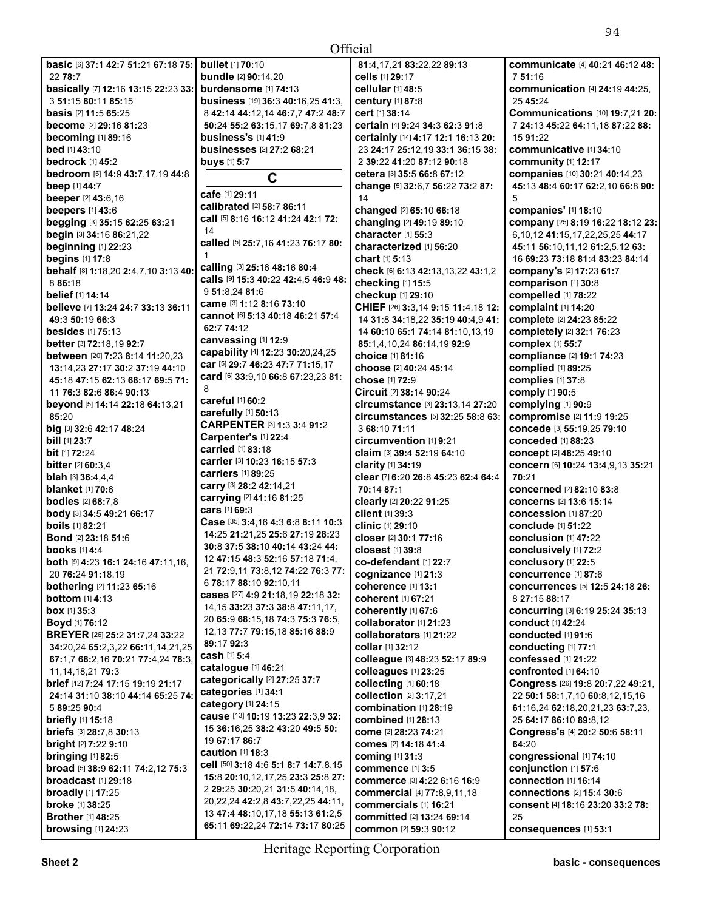| <b>basic</b> [6] 37:1 42:7 51:21 67:18 75:         | bull            |
|----------------------------------------------------|-----------------|
| 22 78:7                                            | bun             |
| basically [7] 12:16 13:15 22:23 33:                | burc            |
| 3 51:15 80:11 85:15                                | busi            |
| basis [2] 11:5 65:25                               | 842             |
| become [2] 29:16 81:23                             | 50:2            |
| becoming [1] 89:16                                 | busi            |
| <b>bed</b> [1] 43:10                               | busi            |
| <b>bedrock</b> [1] 45:2                            | buy:            |
| bedroom [5] 14:9 43:7,17,19 44:8                   |                 |
| beep [1] 44:7                                      | cafe            |
| beeper [2] 43:6,16<br>beepers [1] 43:6             | calit           |
| begging [3] 35:15 62:25 63:21                      | call            |
| begin [3] 34:16 86:21,22                           | 14              |
| beginning [1] 22:23                                | calle           |
| begins [1] 17:8                                    | 1               |
| behalf [8] 1:18,20 2:4,7,10 3:13 40:               | calli           |
| 8 86:18                                            | calls           |
| <b>belief</b> [1] <b>14:</b> 14                    | 951             |
| believe [7] 13:24 24:7 33:13 36:11                 | cam             |
| 49:3 50:19 66:3                                    | canr            |
| <b>besides</b> [1] 75:13                           | 62:7            |
| better [3] 72:18,19 92:7                           | cany            |
| between [20] 7:23 8:14 11:20,23                    | capa            |
| 13:14,23 27:17 30:2 37:19 44:10                    | car [           |
| 45:18 47:15 62:13 68:17 69:5 71:                   | card            |
| 11 76:3 82:6 86:4 90:13                            | 8               |
| beyond [5] 14:14 22:18 64:13.21                    | care            |
| 85:20                                              | care            |
| big [3] 32:6 42:17 48:24                           | <b>CAR</b>      |
| <b>bill</b> [1] <b>23:</b> 7                       | Carr            |
| <b>bit</b> [1] <b>72:24</b>                        | carr            |
| <b>bitter</b> [2] 60:3.4                           | carr            |
| blah [3] 36:4,4,4                                  | carr            |
| <b>blanket</b> [1] 70:6                            | carr            |
| <b>bodies</b> [2] 68:7,8                           | carr            |
| body [3] 34:5 49:21 66:17                          | cars            |
| boils [1] 82:21                                    | Cas             |
| Bond [2] 23:18 51:6                                | 14:2            |
| <b>books</b> [1] 4:4                               | 30:8            |
|                                                    |                 |
| <b>both [9] 4:23 16:1 24:16 47:11,16</b>           | 12 <sub>4</sub> |
| 20 76:24 91:18,19                                  | 217             |
| <b>bothering</b> [2] 11:23 65:16                   | 6 78            |
| <b>bottom</b> [1] <b>4:</b> 13                     | case            |
| box [1] 35:3                                       | 14,1            |
| Boyd [1] 76:12                                     | 20 6            |
| BREYER [26] 25:2 31:7,24 33:22                     | 12,1            |
| 34:20,24 65:2,3,22 66:11,14,21,25                  | 89:1            |
| 67:1,7 68:2,16 70:21 77:4,24 78:3,                 | cash            |
| 11, 14, 18, 21 79: 3                               | cata            |
| brief [12] 7:24 17:15 19:19 21:17                  | cate<br>cate    |
| 24:14 31:10 38:10 44:14 65:25 74:                  | cate            |
| 5 89:25 90:4                                       | caus            |
| briefly [1] 15:18                                  | 153             |
| briefs [3] 28:7,8 30:13                            | 196             |
| <b>bright</b> [2] 7:22 9:10                        | caut            |
| bringing $[1]$ 82:5                                | cell            |
| broad [5] 38:9 62:11 74:2,12 75:3                  | 15:8            |
| <b>broadcast</b> [1] <b>29:</b> 18                 | 2 29            |
| broadly [1] 17:25                                  | 20,2            |
| <b>broke</b> [1] 38:25<br><b>Brother</b> [1] 48:25 | 134             |

**bullet** [1] **70:**10 **bundle** [2] **90:**14,20 **burdensome** [1] **74:**13 **business** [19] **36:**3 **40:**16,25 **41:**3, 8 **42:**14 **44:**12,14 **46:**7,7 **47:**2 **48:**7 **50:**24 **55:**2 **63:**15,17 **69:**7,8 **81:**23 **business's** [1] **41:**9 **businesses** [2] **27:**2 **68:**21 **buys** [1] **5:**7 **C cafe** [1] **29:**11 **calibrated** [2] **58:**7 **86:**11 **call** [5] **8:**16 **16:**12 **41:**24 **42:**1 **72: called** [5] **25:**7,16 **41:**23 **76:**17 **80: calling** [3] **25:**16 **48:**16 **80:**4 **calls** [9] **15:**3 **40:**22 **42:**4,5 **46:**9 **48:**  9 **51:**8,24 **81:**6 **came** [3] **1:**12 **8:**16 **73:**10 **cannot** [6] **5:**13 **40:**18 **46:**21 **57:**4 **62:**7 **74:**12 **canvassing** [1] **12:**9 **capability** [4] **12:**23 **30:**20,24,25 **car** [5] **29:**7 **46:**23 **47:**7 **71:**15,17 **card** [6] **33:**9,10 **66:**8 **67:**23,23 **81: careful** [1] **60:**2 **carefully** [1] **50:**13 **CARPENTER** [3] **1:**3 **3:**4 **91:**2 **Carpenter's** [1] **22:**4 **carried** [1] **83:**18 **carrier** [3] **10:**23 **16:**15 **57:**3 **carriers** [1] **89:**25 **carry** [3] **28:**2 **42:**14,21 **carrying** [2] **41:**16 **81:**25 **cars** [1] **69:**3 **Case** [35] **3:**4,16 **4:**3 **6:**8 **8:**11 **10:**3 **14:**25 **21:**21,25 **25:**6 **27:**19 **28:**23 **30:**8 **37:**5 **38:**10 **40:**14 **43:**24 **44:**  12 **47:**15 **48:**3 **52:**16 **57:**18 **71:**4, 21 **72:**9,11 **73:**8,12 **74:**22 **76:**3 **77:**  6 **78:**17 **88:**10 **92:**10,11 **cases** [27] **4:**9 **21:**18,19 **22:**18 **32:**  14,15 **33:**23 **37:**3 **38:**8 **47:**11,17, 20 **65:**9 **68:**15,18 **74:**3 **75:**3 **76:**5, 12,13 **77:**7 **79:**15,18 **85:**16 **88:**9 **89:**17 **92:**3 **cash** [1] **5:**4 **catalogue** [1] **46:**21 **categorically** [2] **27:**25 **37:**7 **categories** [1] **34:**1 **category** [1] **24:**15 **cause** [13] **10:**19 **13:**23 **22:**3,9 **32:**  15 **36:**16,25 **38:**2 **43:**20 **49:**5 **50:**  19 **67:**17 **86:**7 **caution** [1] **18:**3 **cell** [50] **3:**18 **4:**6 **5:**1 **8:**7 **14:**7,8,15 **15:**8 **20:**10,12,17,25 **23:**3 **25:**8 **27:**  2 **29:**25 **30:**20,21 **31:**5 **40:**14,18, 20,22,24 **42:**2,8 **43:**7,22,25 **44:**11, 13 **47:**4 **48:**10,17,18 **55:**13 **61:**2,5 **65:**11 **69:**22,24 **72:**14 **73:**17 **80:**25

**All Contracts 81:**4,17,21 **83:**22,22 **89:**13 **cells** [1] **29:**17 **cellular** [1] **48:**5 **century** [1] **87:**8 **cert** [1] **38:**14 **certain** [4] **9:**24 **34:**3 **62:**3 **91:**8 **certainly** [14] **4:**17 **12:**1 **16:**13 **20:**  23 **24:**17 **25:**12,19 **33:**1 **36:**15 **38:**  2 **39:**22 **41:**20 **87:**12 **90:**18 **cetera** [3] **35:**5 **66:**8 **67:**12 **change** [5] **32:**6,7 **56:**22 **73:**2 **87:**  14 **changed** [2] **65:**10 **66:**18 **changing** [2] **49:**19 **89:**10 **character** [1] **55:**3 **characterized** [1] **56:**20 **chart** [1] **5:**13 **check** [6] **6:**13 **42:**13,13,22 **43:**1,2 **checking** [1] **15:**5 **checkup** [1] **29:**10 **CHIEF** [26] **3:**3,14 **9:**15 **11:**4,18 **12:**  14 **31:**8 **34:**18,22 **35:**19 **40:**4,9 **41:**  14 **60:**10 **65:**1 **74:**14 **81:**10,13,19 **85:**1,4,10,24 **86:**14,19 **92:**9 **choice** [1] **81:**16 **choose** [2] **40:**24 **45:**14 **chose** [1] **72:**9 **Circuit** [2] **38:**14 **90:**24 **circumstance** [3] **23:**13,14 **27:**20 **circumstances** [5] **32:**25 **58:**8 **63:**  3 **68:**10 **71:**11 **circumvention** [1] **9:**21 **claim** [3] **39:**4 **52:**19 **64:**10 **clarity** [1] **34:**19 **clear** [7] **6:**20 **26:**8 **45:**23 **62:**4 **64:**4 **70:**14 **87:**1 **clearly** [2] **20:**22 **91:**25 **client** [1] **39:**3 **clinic** [1] **29:**10 **closer** [2] **30:**1 **77:**16 **closest** [1] **39:**8 **co-defendant** [1] **22:**7 **cognizance** [1] **21:**3 **coherence** [1] **13:**1 **coherent** [1] **67:**21 **coherently** [1] **67:**6 **collaborator** [1] **21:**23 **collaborators** [1] **21:**22 **collar** [1] **32:**12 **colleague** [3] **48:**23 **52:**17 **89:**9 **colleagues** [1] **23:**25 **collecting** [1] **60:**18 **collection** [2] **3:**17,21 **combination** [1] **28:**19 **combined** [1] **28:**13 **come** [2] **28:**23 **74:**21 **comes** [2] **14:**18 **41:**4 **coming** [1] **31:**3 **commence** [1] **3:**5 **commerce** [3] **4:**22 **6:**16 **16:**9 **commercial** [4] **77:**8,9,11,18 **commercials** [1] **16:**21 **committed** [2] **13:**24 **69:**14 **common** [2] **59:**3 **90:**12

**communicate** [4] **40:**21 **46:**12 **48:**  7 **51:**16 **communication** [4] **24:**19 **44:**25, 25 **45:**24 **Communications** [10] **19:**7,21 **20:**  7 **24:**13 **45:**22 **64:**11,18 **87:**22 **88:**  15 **91:**22 **communicative** [1] **34:**10 **community** [1] **12:**17 **companies** [10] **30:**21 **40:**14,23 **45:**13 **48:**4 **60:**17 **62:**2,10 **66:**8 **90:**  5 **companies'** [1] **18:**10 **company** [25] **8:**19 **16:**22 **18:**12 **23:**  6,10,12 **41:**15,17,22,25,25 **44:**17 **45:**11 **56:**10,11,12 **61:**2,5,12 **63:**  16 **69:**23 **73:**18 **81:**4 **83:**23 **84:**14 **company's** [2] **17:**23 **61:**7 **comparison** [1] **30:**8 **compelled** [1] **78:**22 **complaint** [1] **14:**20 **complete** [2] **24:**23 **85:**22 **completely** [2] **32:**1 **76:**23 **complex** [1] **55:**7 **compliance** [2] **19:**1 **74:**23 **complied** [1] **89:**25 **complies** [1] **37:**8 **comply** [1] **90:**5 **complying** [1] **90:**9 **compromise** [2] **11:**9 **19:**25 **concede** [3] **55:**19,25 **79:**10 **conceded** [1] **88:**23 **concept** [2] **48:**25 **49:**10 **concern** [6] **10:**24 **13:**4,9,13 **35:**21 **70:**21 **concerned** [2] **82:**10 **83:**8 **concerns** [2] **13:**6 **15:**14 **concession** [1] **87:**20 **conclude** [1] **51:**22 **conclusion** [1] **47:**22 **conclusively** [1] **72:**2 **conclusory** [1] **22:**5 **concurrence** [1] **87:**6 **concurrences** [5] **12:**5 **24:**18 **26:**  8 **27:**15 **88:**17 **concurring** [3] **6:**19 **25:**24 **35:**13 **conduct** [1] **42:**24 **conducted** [1] **91:**6 **conducting** [1] **77:**1 **confessed** [1] **21:**22 **confronted** [1] **64:**10 **Congress** [26] **19:**8 **20:**7,22 **49:**21, 22 **50:**1 **58:**1,7,10 **60:**8,12,15,16 **61:**16,24 **62:**18,20,21,23 **63:**7,23, 25 **64:**17 **86:**10 **89:**8,12 **Congress's** [4] **20:**2 **50:**6 **58:**11 **64:**20 **congressional** [1] **74:**10 **conjunction** [1] **57:**6 **connection** [1] **16:**14 **connections** [2] **15:**4 **30:**6 **consent** [4] **18:**16 **23:**20 **33:**2 **78:**  25 **consequences** [1] **53:**1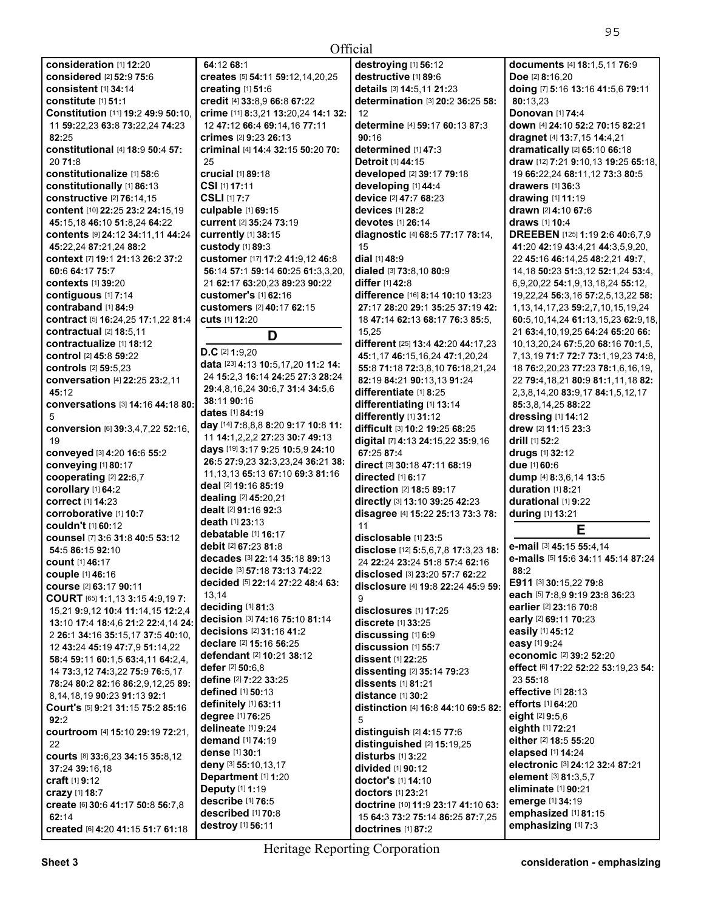15 **dial** [1] **48:**9

15,25

**90:**16

**All Contracts** 

**destroying** [1] **56:**12 **destructive** [1] **89:**6 **details** [3] **14:**5,11 **21:**23

**determined** [1] **47:**3 **Detroit** [1] **44:**15

**developing** [1] **44:**4 **device** [2] **47:**7 **68:**23 **devices** [1] **28:**2 **devotes** [1] **26:**14

**dialed** [3] **73:**8,10 **80:**9 **differ** [1] **42:**8

**differentiate** [1] **8:**25

**differently** [1] **31:**12

**67:**25 **87:**4

11

 $\alpha$ 

5

**directed** [1] **6:**17 **direction** [2] **18:**5 **89:**17

**disclosable** [1] **23:**5

**disclosures** [1] **17:**25 **discrete** [1] **33:**25 **discussing** [1] **6:**9 **discussion** [1] **55:**7 **dissent** [1] **22:**25

**dissenting** [2] **35:**14 **79:**23 **dissents** [1] **81:**21 **distance** [1] **30:**2

**distinction** [4] **16:**8 **44:**10 **69:**5 **82:** 

**disclose** [12] **5:**5,6,7,8 **17:**3,23 **18:**  24 **22:**24 **23:**24 **51:**8 **57:**4 **62:**16 **disclosed** [3] **23:**20 **57:**7 **62:**22 **disclosure** [4] **19:**8 **22:**24 **45:**9 **59:** 

| <b>consideration</b> [1] 12:20                 | 64         |
|------------------------------------------------|------------|
| considered [2] 52:9 75:6                       | <b>cro</b> |
| consistent [1] 34:14                           | cr         |
| constitute [1] 51:1                            | <b>cro</b> |
| Constitution [11] 19:2 49:9 50:10,             | cri        |
| 11 59:22,23 63:8 73:22,24 74:23                | 12         |
|                                                |            |
| 82:25                                          | cri        |
| <b>constitutional</b> [4] 18:9 50:4 57:        | cri        |
| 20 71:8                                        | 25         |
| <b>constitutionalize</b> [1] 58:6              | cr         |
| constitutionally [1] 86:13                     | СS         |
| constructive [2] 76:14.15                      | СS         |
| content [10] 22:25 23:2 24:15.19               | cu         |
| 45:15,18 46:10 51:8,24 64:22                   | cu         |
| contents [9] 24:12 34:11,11 44:24              |            |
|                                                | cu         |
| 45:22,24 87:21,24 88:2                         | cu         |
| context [7] 19:1 21:13 26:2 37:2               | cu         |
| 60:6 64:17 75:7                                | 56         |
| <b>contexts</b> [1] 39:20                      | 21         |
| contiguous [1] 7:14                            | cu         |
| contraband [1] 84:9                            | cu         |
| contract [5] 16:24,25 17:1,22 81:4             | cu         |
| <b>contractual</b> [2] <b>18:</b> 5,11         |            |
|                                                |            |
| contractualize [1] 18:12                       | D.         |
| <b>control</b> [2] 45:8 59:22                  |            |
| <b>controls</b> [2] 59:5.23                    | da         |
| conversation [4] 22:25 23:2,11                 | 24         |
| 45:12                                          | 29         |
| conversations [3] 14:16 44:18 80:              | 38         |
| 5                                              | da         |
| <b>conversion</b> [6] 39:3,4,7,22 52:16,       | da         |
|                                                | 11         |
| 19                                             | da         |
| conveyed [3] 4:20 16:6 55:2                    | 26         |
| conveying [1] 80:17                            |            |
| cooperating [2] 22:6,7                         | 11         |
| corollary [1] 64:2                             | de         |
| correct [1] 14:23                              | de         |
| corroborative [1] 10:7                         | de         |
| <b>couldn't</b> [1] 60:12                      | de         |
| counsel [7] 3:6 31:8 40:5 53:12                | de         |
|                                                | de         |
| 54:5 86:15 92:10                               | de         |
| <b>count</b> [1] 46:17                         |            |
| <b>couple</b> [1] 46:16                        | de         |
| <b>course</b> [2] 63:17 90:11                  | de         |
| COURT [65] 1:1,13 3:15 4:9,19 7:               | 13         |
| 15,21 9:9,12 10:4 11:14,15 12:2,4              | de         |
| 13:10 17:4 18:4,6 21:2 22:4,14 24:             | de         |
|                                                | de         |
| 2 26:1 34:16 35:15,17 37:5 40:10,              | de         |
| 12 43:24 45:19 47:7,9 51:14,22                 | de         |
| 58:4 59:11 60:1,5 63:4,11 64:2,4,              | de         |
| 14 73:3,12 74:3,22 75:9 76:5,17                |            |
| 78:24 80:2 82:16 86:2,9,12,25 89:              | de         |
| 8,14,18,19 90:23 91:13 92:1                    | de         |
| Court's [5] 9:21 31:15 75:2 85:16              | de         |
| 92:2                                           | de         |
| <b>courtroom</b> [4] <b>15:10 29:19 72:21,</b> | de         |
|                                                | de         |
| 22                                             | de         |
| Courts [8] 33:6,23 34:15 35:8,12               | de         |
| <b>37:24 39:16,18</b>                          |            |
| <b>craft</b> [1] 9:12                          | De         |
| crazy [1] 18:7                                 | De         |
| <b>create</b> [6] 30:6 41:17 50:8 56:7,8       | de         |
| 62:14                                          | de         |
| <b>created</b> [6] 4:20 41:15 51:7 61:18       | de         |
|                                                |            |

11 **14:**1,2,2,2 **27:**23 **30:**7 **49:**13 **days** [19] **3:**17 **9:**25 **10:**5,9 **24:**10 **26:**5 **27:**9,23 **32:**3,23,24 **36:**21 **38:**  11,13,13 **65:**13 **67:**10 **69:**3 **81:**16 **deal** [2] **19:**16 **85:**19 **dealing** [2] **45:**20,21 **dealt** [2] **91:**16 **92:**3 **death** [1] **23:**13 **debatable** [1] **16:**17 **debit** [2] **67:**23 **81:**8 **decades** [3] **22:**14 **35:**18 **89:**13 **decide** [3] **57:**18 **73:**13 **74:**22 **decided** [5] **22:**14 **27:**22 **48:**4 **63:**   $.14$ **deciding** [1] **81:**3 **decision** [3] **74:**16 **75:**10 **81:**14 **decisions** [2] **31:**16 **41:**2 **declare** [2] **15:**16 **56:**25 **defendant** [2] **10:**21 **38:**12 **defer** [2] **50:**6,8 **define** [2] **7:**22 **33:**25 **defined** [1] **50:**13 **definitely** [1] **63:**11 **degree** [1] **76:**25 **delineate** [1] **9:**24 **demand** [1] **74:**19 **dense** [1] **30:**1 **deny** [3] **55:**10,13,17 **Department** [1] **1:**20 **Deputy** [1] **1:**19 **describe** [1] **76:**5 **described** [1] **70:**8 **destroy** [1] **56:**11

**determination** [3] **20:**2 **36:**25 **58: determine** [4] **59:**17 **60:**13 **87:**3 **developed** [2] **39:**17 **79:**18 **diagnostic** [4] **68:**5 **77:**17 **78:**14, **difference** [16] **8:**14 **10:**10 **13:**23 **27:**17 **28:**20 **29:**1 **35:**25 **37:**19 **42:**  18 **47:**14 **62:**13 **68:**17 **76:**3 **85:**5, **different** [25] **13:**4 **42:**20 **44:**17,23 **45:**1,17 **46:**15,16,24 **47:**1,20,24 **55:**8 **71:**18 **72:**3,8,10 **76:**18,21,24 **82:**19 **84:**21 **90:**13,13 **91:**24 **differentiating** [1] **13:**14 **difficult** [3] **10:**2 **19:**25 **68:**25 **digital** [7] **4:**13 **24:**15,22 **35:**9,16 **direct** [3] **30:**18 **47:**11 **68:**19 **directly** [3] **13:**10 **39:**25 **42:**23 **disagree** [4] **15:**22 **25:**13 **73:**3 **78: documents** [4] **18:**1,5,11 **76:**9 **Doe** [2] **8:**16,20 **doing** [7] **5:**16 **13:**16 **41:**5,6 **79:**11 **80:**13,23 **Donovan** [1] **74:**4 **down** [4] **24:**10 **52:**2 **70:**15 **82:**21 **dragnet** [4] **13:**7,15 **14:**4,21 **dramatically** [2] **65:**10 **66:**18 **draw** [12] **7:**21 **9:**10,13 **19:**25 **65:**18, 19 **66:**22,24 **68:**11,12 **73:**3 **80:**5 **drawers** [1] **36:**3 **drawing** [1] **11:**19 **drawn** [2] **4:**10 **67:**6 **draws** [1] **10:**4 **DREEBEN** [125] **1:**19 **2:**6 **40:**6,7,9 **41:**20 **42:**19 **43:**4,21 **44:**3,5,9,20, 22 **45:**16 **46:**14,25 **48:**2,21 **49:**7, 14,18 **50:**23 **51:**3,12 **52:**1,24 **53:**4, 6,9,20,22 **54:**1,9,13,18,24 **55:**12, 19,22,24 **56:**3,16 **57:**2,5,13,22 **58:**  1,13,14,17,23 **59:**2,7,10,15,19,24 **60:**5,10,14,24 **61:**13,15,23 **62:**9,18, 21 **63:**4,10,19,25 **64:**24 **65:**20 **66:**  10,13,20,24 **67:**5,20 **68:**16 **70:**1,5, 7,13,19 **71:**7 **72:**7 **73:**1,19,23 **74:**8, 18 **76:**2,20,23 **77:**23 **78:**1,6,16,19, 22 **79:**4,18,21 **80:**9 **81:**1,11,18 **82:**  2,3,8,14,20 **83:**9,17 **84:**1,5,12,17 **85:**3,8,14,25 **88:**22 **dressing** [1] **14:**12 **drew** [2] **11:**15 **23:**3 **drill** [1] **52:**2 **drugs** [1] **32:**12 **due** [1] **60:**6 **dump** [4] **8:**3,6,14 **13:**5 **duration** [1] **8:**21 **durational** [1] **9:**22 **during** [1] **13:**21 **E** 

## **e-mail** [3] **45:**15 **55:**4,14

**e-mails** [5] **15:**6 **34:**11 **45:**14 **87:**24 **88:**2 **E911** [3] **30:**15,22 **79:**8 **each** [5] **7:**8,9 **9:**19 **23:**8 **36:**23 **earlier** [2] **23:**16 **70:**8 **early** [2] **69:**11 **70:**23 **easily** [1] **45:**12 **easy** [1] **9:**24 **economic** [2] **39:**2 **52:**20 **effect** [6] **17:**22 **52:**22 **53:**19,23 **54:**  23 **55:**18 **effective** [1] **28:**13 **efforts** [1] **64:**20 **eight** [2] **9:**5,6 **eighth** [1] **72:**21 **either** [2] **18:**5 **55:**20 **elapsed** [1] **14:**24 **electronic** [3] **24:**12 **32:**4 **87:**21 **element** [3] **81:**3,5,7 **eliminate** [1] **90:**21 **emerge** [1] **34:**19 **emphasized** [1] **81:**15 **emphasizing** [1] **7:**3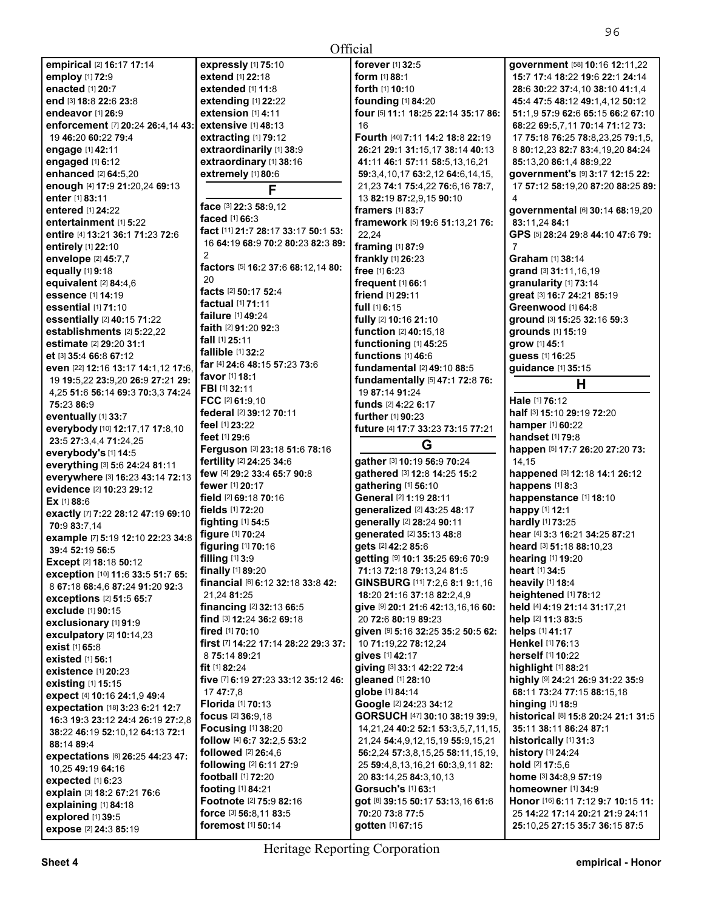| <del></del><br>expected [1] 6:23<br>explain [3] 18:2 67:21 76:6<br>explaining [1] 84:18<br><b>explored</b> [1] 39:5<br>expose [2] 24:3 85:19 | <b>football</b> [1] <b>72:20</b><br><b>footing</b> [1] 84:21<br><b>Footnote</b> [2] 75:9 82:16<br>force [3] 56:8.11 83:5<br>foremost [1] 50:14 | 20 83:14.25 84:3.10.13<br>Gorsuch's [1] 63:1<br>got [8] 39:15 50:17 53:13.16 61:6<br>70:20 73:8 77:5<br><b>gotten</b> [1] <b>67:</b> 15 | home [3] 34:8.9 57:19<br>homeowner [1] 34:9<br>Honor [16] 6:11 7:12 9:7 10:15 11:<br>25 14:22 17:14 20:21 21:9 24:11<br>25:10.25 27:15 35:7 36:15 87:5 |  |
|----------------------------------------------------------------------------------------------------------------------------------------------|------------------------------------------------------------------------------------------------------------------------------------------------|-----------------------------------------------------------------------------------------------------------------------------------------|--------------------------------------------------------------------------------------------------------------------------------------------------------|--|
| <b>Heritage Reporting Corporation</b>                                                                                                        |                                                                                                                                                |                                                                                                                                         |                                                                                                                                                        |  |

**All Contracts** 

**empirical** [2] **16:**17 **17:**14 **expressly** [1] **75:**10 **forever** [1] **32:**5 **government** [58] **10:**16 **12:**11,22 **employ** [1] **72:**9 **extend** [1] **22:**18 **form** [1] **88:**1 **15:**7 **17:**4 **18:**22 **19:**6 **22:**1 **24:**14 **enacted** [1] **20:**7 **extended** [1] **11:**8 **forth** [1] **10:**10 **28:**6 **30:**22 **37:**4,10 **38:**10 **41:**1,4 **end** [3] **18:**8 **22:**6 **23:**8 **extending** [1] **22:**22 **founding** [1] **84:**20 **45:**4 **47:**5 **48:**12 **49:**1,4,12 **50:**12 **extension** [1] **4:11 four** [5] **11:1 18:25 22:14 35:17 86: 51:1,9 57:9 62:6 65:15 66:2 67:1**<br>**68:22 69:5.7.11 70:14 71:12 73: enforcement** [7] **20:24 26:4,14 43:** extensive [1] **48:13**  $\begin{bmatrix} 16 \end{bmatrix}$  **68:20 60:22 79:4 extracting [1] 79:12 Fourth** [40] **7:11 14:2 18:8 22:19** 19 **46:**20 **60:**22 **79:**4 **extracting** [1] **79:**12 **Fourth** [40] **7:**11 **14:**2 **18:**8 **22:**19 17 **75:**18 **76:**25 **78:**8,23,25 **79:**1,5, **engage** [1] **42:**11 **extraordinarily** [1] **38:**9 **26:**21 **29:**1 **31:**15,17 **38:**14 **40:**13 8 **80:**12,23 **82:**7 **83:**4,19,20 **84:**24 **engaged** [1] **6:**12 **extraordinary** [1] **38:**16 **41:**11 **46:**1 **57:**11 **58:**5,13,16,21 **85:**13,20 **86:**1,4 **88:**9,22 **enhanced** [2] **64:**5,20 **extremely** [1] **80:**6 **59:**3,4,10,17 **63:**2,12 **64:**6,14,15, **government's** [9] **3:**17 **12:**15 **22: enough** [4] **17:**9 **21:**20,24 **69:**<sup>13</sup>**F** 21,23 **74:**1 **75:**4,22 **76:**6,16 **78:**7, 17 **57:**12 **58:**19,20 **87:**20 **88:**25 **89: enter** [1] **83:11 enter i1] 83:11 entered [1] 24:22 face** [3] **22:3 58:**9,12 **framers** [1] **83:7 entered** [1] **24:**22 **face** [3] **22:**3 **58:**9,12 **framers** [1] **83:**7 **governmental** [6] **30:**14 **68:**19,20 **entertainment** [1] **5:**22 **faced** [1] **66:**3 **framework** [5] **19:**6 **51:**13,21 **76: 83:**11,24 **84:**<sup>1</sup> entire [4] 13:21 36:1 71:23 72:6  $\begin{bmatrix} 6 & 11 & 21 & 7 & 28 & 17 & 33 & 17 & 50 & 1 & 53 \\ 16 & 64 & 19 & 68 & 9 & 70 & 2 & 80 & 23 & 89 \\ 16 & 64 & 19 & 68 & 9 & 70 & 2 & 80 & 23 & 89 \end{bmatrix}$   $\begin{bmatrix} 22 & 24 & 29 & 53 & 17 & 15 & 15 & 15 & 15 & 15 & 15 & 15 & 1$ **e 16 64:19 68:9 70:2 80:23 82:3 89: <b>framing** [1] **87:9 18:10** 7<br>**e 1 64:19 68:9 70:2 80:23 67 61:11 16:23 67 61:14 67 61:14 61:14 61:14 61:14 61:14 61:14 61:14 61:14 61:14 61:14 61:14 envelope**  $[2]$  **45:7,7 frankly**  $[1]$  **<b>frankly**  $[1]$  **26:23 discript in the sum of the sum of the sum of the sum of the sum of the sum of the sum of the sum of the sum of the sum of the sum of the sum of the sum of t equally**  $[1]$  **9:18 factors**  $[5]$  **16:2 37:**6 **68:12,14 80: free**  $[1]$  **6:23**<br>**equivalent**  $[2]$  **34:4,6 free**  $[1]$  **66:1 equivalent** [2] **84:**4,6 20 **frequent** [1] **66:**1 **granularity** [1] **73:**<sup>14</sup> **essence** [1] **14:**19 **facts** [2] **50:**17 **52:**4 **friend** [1] **29:**11 **great** [3] **16:**7 **24:**21 **85:**<sup>19</sup> **essential** [1] **71:**10 **factual** [1] **71:**11 **full** [1] **6:**15 **Greenwood** [1] **64:**<sup>8</sup> **essentially** [2] **40:**15 **71:**22 **failure** [1] **49:**24 **fully** [2] **10:**16 **21:**10 **ground** [3] **15:**25 **32:**16 **59:**<sup>3</sup> **establishments** [2] **5:**22,22 **faith** [2] **91:**20 **92:**3 **function** [2] **40:**15,18 **grounds** [1] **15:**<sup>19</sup> **estimate** [2] **29:**20 **31:**1 **fall** [1] **25:**11 **functioning** [1] **45:**25 **grow** [1] **45:**<sup>1</sup> **et** [3] **35:**4 **66:**8 **67:**12 **fallible** [1] **32:**2 **functions** [1] **46:**6 **guess** [1] **16:**<sup>25</sup> **even** [22] **12:**16 **13:**17 **14:**1,12 **17:**6, **far** [4] **24:**6 **48:**15 **57:**23 **73:**6 **fundamental** [2] **49:**10 **88:**5 **guidance** [1] **35:**<sup>15</sup> **FBI** [1] **18:**1<br> **FBI** [1] **32:11 fundamentally** [5] 47:1 72:8 76:  $\begin{bmatrix} 1 & 0 & 0 \\ 0 & 0 & 0 \\ 0 & 0 & 0 \\ 0 & 0 & 0 \end{bmatrix}$ **FCC**  $[2]$  **61:**9,10 **funds**  $[2]$  **4:22 6:17 Hale**  $[1]$  **76:12 funds**  $[2]$  **4:22 6:17 Hale**  $[1]$  **76:12 html funds**  $[2]$  **4:22 6:17 html funds**  $[2]$  **4:22 6:17 html funds**  $[3]$  **fs:10 2 eventually** [1] **33:7 federal** [2] **39:12 70:11 further** [1] **90:23 half** [3] **half** [3] **15:10 29:19 72:20 half everybody** [10] **12:17**,17 **17:**8,10 **feel** [1] **23:22 http:** [1] **further** [1] **11:7 33:23 73 everybody** [10] **12:**17,17 **17:**8,10 **feel** [1] **23:**22 **future** [4] **17:**7 **33:**23 **73:**15 **77:**21 **hamper** [1] **60:**<sup>22</sup> **Ferguson** [3] 23:18 51:6 78:16 **G**<br>**fertility** [2] 24:25 34:6 **gather** [3] 10:19 56:9 70:24 **happen** [5] **17:**7 **26:**20 **27:**20 **73: everything** [3] **5:**6 **24:**24 **81:**11 **fertility** [2] **24:**25 **34:**6 **gather** [3] **10:**19 **56:**9 **70:**24 14,15 **everywhere** [3] **16:**23 **43:**14 **72:**13 **few** [4] **29:**2 **33:**4 **65:**7 **90:**8 **gathered** [3] **12:**8 **14:**25 **15:**2 **happened** [3] **12:**18 **14:**1 **26:**<sup>12</sup> **evidence** [2] **10:23 29:12 <b>fewer** [1] **20:17 <b>fewer** [1] **10:17 <b>fewer f** [2] **69:18 field** [2] **69:18 f** [2] **f** [2] **f field** [2] **f** [2] **f** [2] **f** [2] **f** [2] **f** [2] **f** [2] **f** [2] **f** [2] **f** [2] **f** [2] **Ex** [1] **88:**6 **field** [2] **69:**18 **70:**16 **General** [2] **1:**19 **28:**11 **happenstance** [1] **18:**<sup>10</sup> **exactly** [7] **7:**22 **28:**12 **47:**19 **69:**10 **fields** [1] **72:**20 **generalized** [2] **43:**25 **48:**17 **happy** [1] **12:**<sup>1</sup> **70:**9 **83:**7,14 **fighting** [1] **54:**5 **generally** [2] **28:**24 **90:**11 **hardly** [1] **73:**<sup>25</sup> **example** [7] **5:**19 **12:**10 **22:**23 **34:**8 **figure** [1] **70:**24 **generated** [2] **35:**13 **48:**8 **hear** [4] **3:**3 **16:**21 **34:**25 **87:**<sup>21</sup> **53 figuring** [1] **70:**16 **figuring** [1] **58:**10,23 **filling** [1] **51:18 <b>68:**10,23 **filling** [1] **19:20 filling** [1] **19:20 Except** [2] **18:**18 **50:**12 **filling** [1] **3:**9 **getting** [9] **10:**1 **35:**25 **69:**6 **70:**9 **hearing** [1] **19:**<sup>20</sup> **exception** [10] **11:**6 **33:**5 **51:**7 **65: finally** [1] **89:**20 **71:**13 **72:**18 **79:**13,24 **81:**5 **heart** [1] **34:**<sup>5</sup> <sup>8</sup>**67:**18 **68:**4,6 **87:**24 **91:**20 **92:**3 **financial** [6] **6:**12 **32:**18 **33:**8 **42: GINSBURG** [11] **7:**2,6 **8:**1 **9:**1,16 **heavily** [1] **18:**<sup>4</sup> **exceptions** [2] **51:**5 **65:**7 21,24 **81:**25 **18:**20 **21:**16 **37:**18 **82:**2,4,9 **heightened** [1] **78:**<sup>12</sup> **exclude** [1] **90:**15 **financing** [2] **32:**13 **66:**5 **give** [9] **20:**1 **21:**6 **42:**13,16,16 **60: held** [4] **4:**19 **21:**14 **31:**17,21 **exclusionary** [1] **91:**9 **find** [3] **12:**24 **36:**2 **69:**18 20 **72:**6 **80:**19 **89:**23 **help** [2] **11:**3 **83:**<sup>5</sup> **exculpatory** [2] **10:**14,23 **fired** [1] **70:**10 **given** [9] **5:**16 **32:**25 **35:**2 **50:**5 **62: helps** [1] **41:**<sup>17</sup> **exist** [1] **65:**8 **first** [7] **14:**22 **17:**14 **28:**22 **29:**3 **37:** 10 **71:**19,22 **78:**12,24 **Henkel** [1] **76:**<sup>13</sup> **existed** [1] **56:**1 8 **75:**14 **89:**21 **gives** [1] **42:**17 **herself** [1] **10:**<sup>22</sup> **existence** [1] **20:**23 **fit** [1] **82:**24 **giving** [3] **33:**1 **42:**22 **72:**4 **highlight** [1] **88:**<sup>21</sup> **existing** [1] **15:**15 **five** [7] **6:**19 **27:**23 **33:**12 **35:**12 **46: gleaned** [1] **28:**10 **highly** [9] **24:**21 **26:**9 **31:**22 **35:**<sup>9</sup> **expect** [4] **10:**16 **24:**1,9 **49:**4 17 **47:**7,8 **globe** [1] **84:**14 **68:**11 **73:**24 **77:**15 **88:**15,18 **expectation** [18] **3:**23 **6:**21 **12:**7 **Florida** [1] **70:**13 **Google** [2] **24:**23 **34:**12 **hinging** [1] **18:**<sup>9</sup> 16:3 19:3 23:12 24:4 26:19 27:2,8 10CUS [2] 36:9,18<br>28:22 14:21.24 40:2 52:1 53:3.5.7.11.15, 35:11 38:11 36:24 37:1 **38:**22 **46:**19 **52:**10,12 **64:**13 **72:**1 **Focusing** [1] **38:**20 14,21,24 **40:**2 **52:**1 **53:**3,5,7,11,15, **35:**11 **38:**11 **86:**24 **87:**<sup>1</sup>

**88:14 89:4 follow [4] <b>6:7 32:**2,5 **53:2** 21,24 **54:**4,9,12,15,19 **55:**9,15,21 **historically** [1] **3**<br>**88:14.89:4 followed** [2] **26:**4.6 **followed** [2] **26:4.6 followed** [2] **76:2.24 followed** [3] **66:2.24 57: expectations** [6] **26:**25 **44:**23 **47: followed** [2] **26:**4,6 **56:**2,24 **57:**3,8,15,25 **58:**11,15,19, **history** [1] **24:**<sup>24</sup> 10,25 **49:19 64:16 following** [2] **6:11 27:9** 25 **59:**4,8,13,16,21 **60:**3,9,11 **82: hold by football** [1] **72:**20 20 **83:14.25 <b>84:**3,10.13

19 **19:**5,22 **23:**9,20 **26:**9 **27:**21 **29:**  4,25 **51:**6 **56:**14 **69:**3 **70:**3,3 **74:**24

**23:**5 **27:**3,4,4 **71:**24,25 **everybody's** [1] **14:**5

**favor** [1] **18:**1

**feet** [1] **29:**6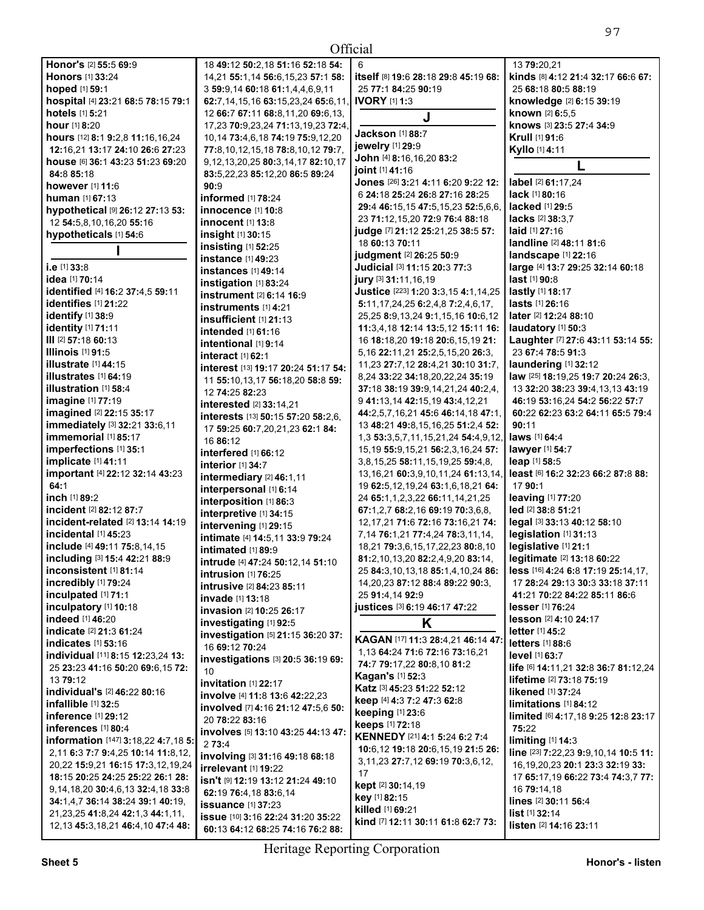| Official                                                  |                                                                                        |                                                                                  |                                      |
|-----------------------------------------------------------|----------------------------------------------------------------------------------------|----------------------------------------------------------------------------------|--------------------------------------|
| Honor's [2] 55:5 69:9                                     | 18 49:12 50:2,18 51:16 52:18 54:                                                       | 6                                                                                | 13 79:20,21                          |
| <b>Honors</b> [1] 33:24                                   | 14,21 55:1,14 56:6,15,23 57:1 58:                                                      | itself [8] 19:6 28:18 29:8 45:19 68:                                             | kinds [8] 4:12 21:4 32:17 66:6 67:   |
| hoped [1] 59:1                                            | 3 59:9,14 60:18 61:1,4,4,6,9,11                                                        | 25 77:1 84:25 90:19                                                              | 25 68:18 80:5 88:19                  |
| hospital [4] 23:21 68:5 78:15 79:1                        | 62:7, 14, 15, 16 63: 15, 23, 24 65: 6, 11,                                             | <b>IVORY</b> [1] 1:3                                                             | knowledge [2] 6:15 39:19             |
| hotels [1] 5:21                                           | 12 66:7 67:11 68:8,11,20 69:6,13,                                                      | J                                                                                | known [2] 6:5.5                      |
| hour [1] 8:20                                             | 17,23 70:9,23,24 71:13,19,23 72:4,                                                     |                                                                                  | knows [3] 23:5 27:4 34:9             |
| hours [12] 8:1 9:2,8 11:16,16,24                          | 10,14 73:4,6,18 74:19 75:9,12,20                                                       | Jackson [1] 88:7                                                                 | Krull [1] 91:6                       |
| 12:16,21 13:17 24:10 26:6 27:23                           | 77:8,10,12,15,18 78:8,10,12 79:7,                                                      | jewelry [1] 29:9                                                                 | Kyllo [1] 4:11                       |
| house [6] 36:1 43:23 51:23 69:20                          | 9,12,13,20,25 80:3,14,17 82:10,17                                                      | John [4] 8:16,16,20 83:2                                                         |                                      |
| 84:8 85:18                                                | 83:5,22,23 85:12,20 86:5 89:24                                                         | joint [1] 41:16                                                                  |                                      |
| however [1] 11:6                                          | 90:9                                                                                   | Jones [26] 3:21 4:11 6:20 9:22 12:                                               | label [2] 61:17,24                   |
| <b>human</b> [1] <b>67:13</b>                             | informed [1] 78:24                                                                     | 6 24:18 25:24 26:8 27:16 28:25                                                   | lack [1] 80:16                       |
| hypothetical [9] 26:12 27:13 53:                          | <b>innocence</b> [1] 10:8                                                              | 29:4 46:15,15 47:5,15,23 52:5,6,6,                                               | lacked [1] 29:5                      |
| 12 54:5,8,10,16,20 55:16                                  | <b>innocent</b> [1] 13:8                                                               | 23 71:12, 15, 20 72: 9 76: 4 88: 18                                              | lacks [2] 38:3.7                     |
| hypotheticals [1] 54:6                                    | insight $[1]$ 30:15                                                                    | judge [7] 21:12 25:21,25 38:5 57:                                                | laid [1] 27:16                       |
|                                                           | insisting $[1]$ 52:25                                                                  | 18 60:13 70:11                                                                   | landline [2] 48:11 81:6              |
|                                                           | instance [1] 49:23                                                                     | judgment [2] 26:25 50:9                                                          | <b>landscape</b> [1] 22:16           |
| i.e [1] 33:8                                              | <b>instances</b> [1] 49:14                                                             | Judicial [3] 11:15 20:3 77:3                                                     | large [4] 13:7 29:25 32:14 60:18     |
| idea [1] 70:14                                            | instigation [1] 83:24                                                                  | jury [3] 31:11, 16, 19                                                           | $last$ [1] 90:8                      |
| identified [4] 16:2 37:4,5 59:11                          | instrument [2] 6:14 16:9                                                               | Justice [223] 1:20 3:3,15 4:1,14,25                                              | <b>lastly</b> [1] 18:17              |
| identifies [1] 21:22                                      | instruments [1] 4:21                                                                   | $5:11,17,24,25$ 6:2,4,8 7:2,4,6,17,                                              | <b>lasts</b> [1] <b>26:1</b> 6       |
| identify [1] 38:9                                         | insufficient [1] 21:13                                                                 | 25,25 <b>8:</b> 9,13,24 <b>9:</b> 1,15,16 <b>10:</b> 6,12                        | <b>later</b> [2] <b>12:24 88:10</b>  |
| identity [1] 71:11                                        | intended [1] 61:16                                                                     | 11:3,4,18 12:14 13:5,12 15:11 16:                                                | laudatory $[1]$ 50:3                 |
| III [2] 57:18 60:13                                       | intentional [1] 9:14                                                                   | 16 18:18,20 19:18 20:6,15,19 21:                                                 | Laughter [7] 27:6 43:11 53:14 55:    |
| <b>Illinois</b> [1] 91:5                                  | interact [1] 62:1                                                                      | 5,16 22:11,21 25:2,5,15,20 26:3,                                                 | 23 67:4 78:5 91:3                    |
| illustrate $[1]$ 44:15                                    | interest [13] 19:17 20:24 51:17 54:                                                    | 11,23 27:7,12 28:4,21 30:10 31:7,                                                | laundering [1] 32:12                 |
| illustrates [1] 64:19                                     | 11 55:10,13,17 56:18,20 58:8 59:                                                       | 8,24 33:22 34:18,20,22,24 35:19                                                  | law [25] 18:19,25 19:7 20:24 26:3,   |
| illustration [1] 58:4                                     | 12 74:25 82:23                                                                         | 37:18 38:19 39:9,14,21,24 40:2,4,                                                | 13 32:20 38:23 39:4,13,13 43:19      |
| imagine [1] 77:19                                         | interested [2] 33:14,21                                                                | 9 41:13,14 42:15,19 43:4,12,21                                                   | 46:19 53:16,24 54:2 56:22 57:7       |
| imagined [2] 22:15 35:17<br>immediately [3] 32:21 33:6,11 | interests [13] 50:15 57:20 58:2,6,                                                     | 44:2,5,7,16,21 45:6 46:14,18 47:1,                                               | 60:22 62:23 63:2 64:11 65:5 79:4     |
| immemorial [1] 85:17                                      | 17 59:25 60:7,20,21,23 62:1 84:                                                        | 13 48:21 49:8,15,16,25 51:2,4 52:                                                | 90:11                                |
| imperfections [1] 35:1                                    | 16 86:12                                                                               | 1,3 53:3,5,7,11,15,21,24 54:4,9,12,<br>15, 19 55: 9, 15, 21 56: 2, 3, 16, 24 57: | laws [1] 64:4<br>lawyer [1] 54:7     |
| implicate [1] 41:11                                       | interfered [1] 66:12                                                                   | 3,8,15,25 58:11,15,19,25 59:4,8,                                                 | <b>leap</b> [1] <b>58:5</b>          |
| important [4] 22:12 32:14 43:23                           | interior [1] 34:7                                                                      | 13, 16, 21 60: 3, 9, 10, 11, 24 61: 13, 14,                                      | least [6] 16:2 32:23 66:2 87:8 88:   |
| 64:1                                                      | intermediary [2] 46:1,11                                                               | 19 62:5, 12, 19, 24 63:1, 6, 18, 21 64:                                          | 17 90:1                              |
| inch [1] 89:2                                             | interpersonal [1] 6:14                                                                 | 24 65:1,1,2,3,22 66:11,14,21,25                                                  | leaving [1] 77:20                    |
| incident [2] 82:12 87:7                                   | interposition [1] 86:3                                                                 | 67:1,2,7 68:2,16 69:19 70:3,6,8,                                                 | led [2] 38:8 51:21                   |
| incident-related [2] 13:14 14:19                          | interpretive [1] 34:15                                                                 | 12, 17, 21 71: 6 72: 16 73: 16, 21 74:                                           | legal [3] 33:13 40:12 58:10          |
| incidental [1] 45:23                                      | intervening [1] 29:15                                                                  | 7, 14 76: 1, 21 77: 4, 24 78: 3, 11, 14,                                         | legislation [1] 31:13                |
| include [4] 49:11 75:8,14,15                              | intimate [4] 14:5,11 33:9 79:24                                                        | 18,21 79:3,6,15,17,22,23 80:8,10                                                 | legislative [1] 21:1                 |
| including [3] 15:4 42:21 88:9                             | intimated [1] 89:9                                                                     | 81:2,10,13,20 82:2,4,9,20 83:14,                                                 | legitimate [2] 13:18 60:22           |
| inconsistent [1] 81:14                                    | <b>intrude</b> [4] <b>47:</b> 24 <b>50:</b> 12,14 <b>51:</b> 10<br>intrusion [1] 76:25 | 25 84:3.10.13.18 85:1.4.10.24 86:                                                | less [16] 4:24 6:8 17:19 25:14,17,   |
| incredibly [1] 79:24                                      | intrusive [2] 84:23 85:11                                                              | 14, 20, 23 87: 12 88: 4 89: 22 90: 3.                                            | 17 28:24 29:13 30:3 33:18 37:11      |
| inculpated [1] 71:1                                       | <b>invade</b> [1] <b>13:18</b>                                                         | 25 91:4,14 92:9                                                                  | 41:21 70:22 84:22 85:11 86:6         |
| inculpatory [1] 10:18                                     | invasion [2] 10:25 26:17                                                               | justices [3] 6:19 46:17 47:22                                                    | <b>lesser</b> [1] 76:24              |
| indeed [1] 46:20                                          | investigating [1] 92:5                                                                 | K                                                                                | <b>lesson</b> [2] <b>4:10 24:17</b>  |
| indicate [2] 21:3 61:24                                   | investigation [5] 21:15 36:20 37:                                                      |                                                                                  | <b>letter</b> [1] <b>45:2</b>        |
| <b>indicates</b> [1] 53:16                                | 16 69:12 70:24                                                                         | KAGAN [17] 11:3 28:4,21 46:14 47:                                                | <b>letters</b> [1] 88:6              |
| individual [11] 8:15 12:23,24 13:                         | investigations [3] 20:5 36:19 69:                                                      | 1,13 64:24 71:6 72:16 73:16,21                                                   | level [1] 63:7                       |
| 25 23:23 41:16 50:20 69:6,15 72:                          | 10                                                                                     | 74:7 79:17,22 80:8,10 81:2                                                       | life [6] 14:11,21 32:8 36:7 81:12,24 |
| 13 79:12                                                  | invitation [1] 22:17                                                                   | <b>Kagan's [1] 52:3</b>                                                          | lifetime [2] 73:18 75:19             |
| individual's [2] 46:22 80:16                              | involve [4] 11:8 13:6 42:22,23                                                         | Katz [3] 45:23 51:22 52:12                                                       | likened [1] 37:24                    |
| infallible [1] 32:5                                       | involved [7] 4:16 21:12 47:5,6 50:                                                     | keep [4] 4:3 7:2 47:3 62:8                                                       | limitations [1] 84:12                |
| inference [1] 29:12                                       | 20 78:22 83:16                                                                         | keeping [1] 23:6                                                                 | limited [6] 4:17,18 9:25 12:8 23:17  |
| inferences [1] 80:4                                       | involves [5] 13:10 43:25 44:13 47:                                                     | keeps [1] 72:18                                                                  | 75:22                                |
| information [147] 3:18,22 4:7,18 5:                       | 2 73:4                                                                                 | KENNEDY [21] 4:1 5:24 6:2 7:4                                                    | limiting $[1]$ 14:3                  |
| 2,11 6:3 7:7 9:4,25 10:14 11:8,12,                        | involving [3] 31:16 49:18 68:18                                                        | 10:6,12 19:18 20:6,15,19 21:5 26:                                                | line [23] 7:22,23 9:9,10,14 10:5 11: |
| 20,22 15:9,21 16:15 17:3,12,19,24                         | irrelevant [1] 19:22                                                                   | 3, 11, 23 27: 7, 12 69: 19 70: 3, 6, 12,<br>17                                   | 16, 19, 20, 23 20:1 23:3 32: 19 33:  |
| 18:15 20:25 24:25 25:22 26:1 28:                          | isn't [9] 12:19 13:12 21:24 49:10                                                      | kept [2] 30:14,19                                                                | 17 65:17,19 66:22 73:4 74:3,7 77:    |
| 9, 14, 18, 20 30: 4, 6, 13 32: 4, 18 33: 8                | 62:19 76:4,18 83:6,14                                                                  | key [1] 82:15                                                                    | 16 79:14,18                          |
| 34:1,4,7 36:14 38:24 39:1 40:19,                          | <b>issuance</b> [1] 37:23                                                              | killed [1] 69:21                                                                 | lines [2] 30:11 56:4                 |
| 21, 23, 25 41: 8, 24 42: 1, 3 44: 1, 11,                  | issue [10] 3:16 22:24 31:20 35:22                                                      | kind [7] 12:11 30:11 61:8 62:7 73:                                               | list [1] 32:14                       |
| 12, 13 45: 3, 18, 21 46: 4, 10 47: 4 48:                  | 60:13 64:12 68:25 74:16 76:2 88:                                                       |                                                                                  | listen [2] 14:16 23:11               |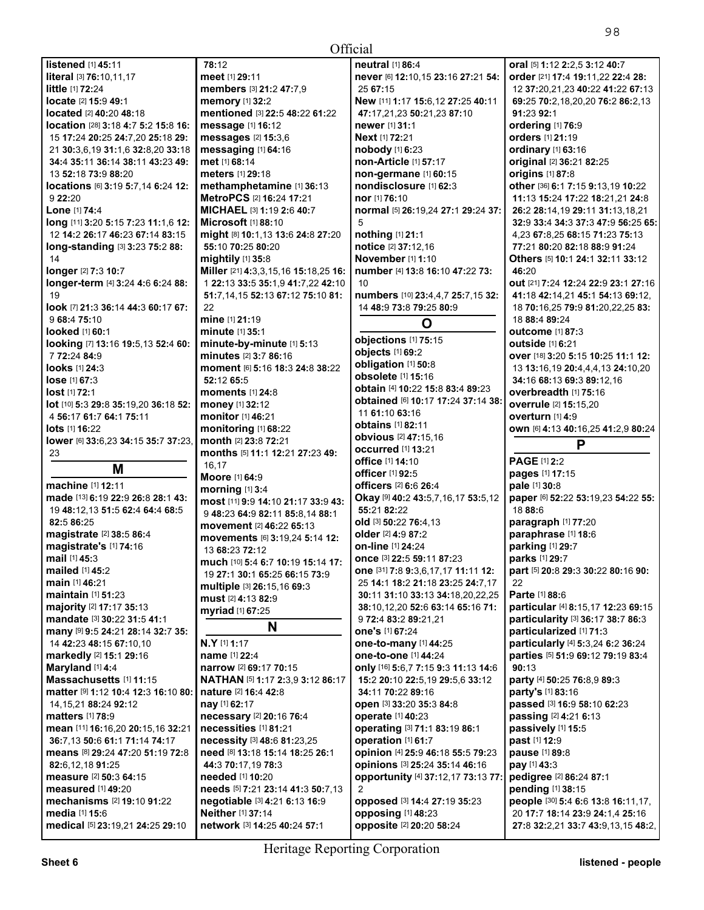| listened [1] 45:11                                           | 78:12                                             |
|--------------------------------------------------------------|---------------------------------------------------|
| literal [3] 76:10.11.17                                      | meet [1] 29:11                                    |
| little [1] 72:24                                             | members [3] 21:2 47:7,9                           |
| locate [2] 15:9 49:1                                         | memory [1] 32:2                                   |
| located [2] 40:20 48:18                                      | mentioned [3] 22:5 48:22                          |
| location [28] 3:18 4:7 5:2 15:8 16:                          | message [1] 16:12                                 |
| 15 17:24 20:25 24:7,20 25:18 29:                             | messages [2] 15:3,6                               |
| 21 30:3,6,19 31:1,6 32:8,20 33:18                            | messaging [1] 64:16                               |
| 34:4 35:11 36:14 38:11 43:23 49:                             | met [1] 68:14                                     |
| 13 52:18 73:9 88:20                                          | <b>meters</b> [1] <b>29:1</b> 8                   |
| locations [6] 3:19 5:7,14 6:24 12:                           | methamphetamine [1] 3                             |
| 9 22:20                                                      | MetroPCS [2] 16:24 17:2                           |
| Lone [1] 74:4                                                | MICHAEL [3] 1:19 2:6 40                           |
| long [11] 3:20 5:15 7:23 11:1,6 12:                          | <b>Microsoft</b> [1] 88:10                        |
| 12 14:2 26:17 46:23 67:14 83:15                              | might [8] 10:1,13 13:6 24                         |
| long-standing [3] 3:23 75:2 88:                              | 55:10 70:25 80:20                                 |
| 14                                                           | mightily [1] 35:8                                 |
| longer [2] 7:3 10:7                                          | Miller [21] 4:3,3,15,16 15:                       |
| longer-term [4] 3:24 4:6 6:24 88:                            | 1 22:13 33:5 35:1,9 41:7,                         |
| 19                                                           | 51:7,14,15 52:13 67:12 7                          |
| look [7] 21:3 36:14 44:3 60:17 67:                           | 22                                                |
| 9 68:4 75:10                                                 | mine [1] 21:19                                    |
| <b>looked</b> [1] 60:1                                       | minute [1] 35:1                                   |
| looking [7] 13:16 19:5,13 52:4 60:                           | minute-by-minute [1] 5:                           |
| 7 72:24 84:9                                                 | minutes [2] 3:7 86:16                             |
| looks [1] 24:3                                               | moment [6] 5:16 18:3 24:                          |
| lose [1] 67:3                                                | 52:12 65:5                                        |
| lost [1] 72:1                                                | moments [1] 24:8                                  |
| lot [10] 5:3 29:8 35:19,20 36:18 52:                         | money [1] 32:12                                   |
| 4 56:17 61:7 64:1 75:11                                      | monitor [1] 46:21                                 |
| <b>lots</b> [1] <b>16:22</b>                                 | monitoring [1] 68:22                              |
| lower [6] 33:6,23 34:15 35:7 37:23,                          | month [2] 23:8 72:21                              |
| 23                                                           | months [5] 11:1 12:21 27                          |
| М                                                            | 16,17                                             |
|                                                              | Moore [1] 64:9                                    |
| machine [1] 12:11                                            | morning [1] 3:4                                   |
| made [13] 6:19 22:9 26:8 28:1 43:                            | most [11] 9:9 14:10 21:17                         |
| 19 48:12,13 51:5 62:4 64:4 68:5                              | 948:23 64:9 82:11 85:8.                           |
| 82:5 86:25                                                   | movement [2] 46:22 65:1                           |
| magistrate [2] 38:5 86:4                                     | movements [6] 3:19,24 5                           |
| magistrate's [1] 74:16<br>mail [1] 45:3                      | 13 68:23 72:12                                    |
| mailed $[1]$ 45.2                                            | much [10] 5:4 6:7 10:19 1                         |
|                                                              | 19 <b>27:1 30:1 65:25 66:1</b> 5                  |
| <b>main</b> [1] 46:21<br>maintain [1] 51:23                  | multiple [3] 26:15,16 69:3                        |
|                                                              | must [2] 4:13 82:9                                |
| majority [2] 17:17 35:13<br>mandate [3] 30:22 31:5 41:1      | myriad [1] 67:25                                  |
|                                                              | N                                                 |
| many [9] 9:5 24:21 28:14 32:7 35:<br>14 42:23 48:15 67:10.10 | N.Y [1] 1:17                                      |
|                                                              |                                                   |
| markedly [2] 15:1 29:16<br>Maryland [1] 4:4                  | <b>name</b> [1] 22:4                              |
| Massachusetts [1] 11:15                                      | narrow [2] 69:17 70:15<br>NATHAN [5] 1:17 2:3,9 3 |
| matter [9] 1:12 10:4 12:3 16:10 80:                          | nature [2] 16:4 42:8                              |
| 14, 15, 21 88: 24 92: 12                                     |                                                   |
|                                                              |                                                   |
|                                                              | nay [1] 62:17                                     |
| <b>matters</b> [1] 78:9<br>mean [11] 16:16 20 20:15 16 32:21 | necessary [2] 20:16 76:4<br>necessities [1] 81:21 |

**memory** [1] **32:**2 **mentioned** [3] **22:**5 **48:**22 **61:**22 **message** [1] **16:**12 **messages** [2] **15:**3,6 **messaging** [1] **64:**16 **met** [1] **68:**14 **meters** [1] **29:**18 **methamphetamine** [1] **36:**13 **MetroPCS** [2] **16:**24 **17:**21 **MICHAEL** [3] **1:**19 **2:**6 **40:**7 **Microsoft** [1] **88:**10 **might** [8] **10:**1,13 **13:**6 **24:**8 **27:**20 **55:**10 **70:**25 **80:**20 **mightily** [1] **35:**8 **Miller** [21] **4:**3,3,15,16 **15:**18,25 **16:**  1 **22:**13 **33:**5 **35:**1,9 **41:**7,22 **42:**10 **51:**7,14,15 **52:**13 **67:**12 **75:**10 **81:**  22 **mine** [1] **21:**19 **minute** [1] **35:**1 **minute-by-minute** [1] **5:**13 **minutes** [2] **3:**7 **86:**16 **moment** [6] **5:**16 **18:**3 **24:**8 **38:**22 **52:**12 **65:**5 **moments** [1] **24:**8 **money** [1] **32:**12 **monitor** [1] **46:**21 **monitoring** [1] **68:**22 **month** [2] **23:**8 **72:**21 **months** [5] **11:**1 **12:**21 **27:**23 **49:**  16,17 **Moore** [1] **64:**9 **morning** [1] **3:**4 **most** [11] **9:**9 **14:**10 **21:**17 **33:**9 **43:**  9 **48:**23 **64:**9 **82:**11 **85:**8,14 **88:**1 **movement** [2] **46:**22 **65:**13 **movements** [6] **3:**19,24 **5:**14 **12:**  13 **68:**23 **72:**12 **much** [10] **5:**4 **6:**7 **10:**19 **15:**14 **17:**  19 **27:**1 **30:**1 **65:**25 **66:**15 **73:**9 **multiple** [3] **26:**15,16 **69:**3 **must** [2] **4:**13 **82:**9 **myriad** [1] **67:**25 **N N.Y** [1] **1:**17 **name** [1] **22:**4 **narrow** [2] **69:**17 **70:**15 **NATHAN** [5] **1:**17 **2:**3,9 **3:**12 **86:**17 **nature** [2] **16:**4 **42:**8 **nay** [1] **62:**17 **necessary** [2] **20:**16 **76:**4 **necessities** [1] **81:**21 **necessity** [3] **48:**6 **81:**23,25 **need** [8] **13:**18 **15:**14 **18:**25 **26:**1 **44:**3 **70:**17,19 **78:**3 **needed** [1] **10:**20 **needs** [5] **7:**21 **23:**14 **41:**3 **50:**7,13 **negotiable** [3] **4:**21 **6:**13 **16:**9 **Neither** [1] **37:**14 **network** [3] **14:**25 **40:**24 **57:**1

| cıal                                      |                                     |
|-------------------------------------------|-------------------------------------|
| neutral [1] 86:4                          | oral [5] 1:12 2:2.5 3:12 40:7       |
| never [6] 12:10,15 23:16 27:21 54:        | order [21] 17:4 19:11,22 22:4 28:   |
| 25 67:15                                  | 12 37:20,21,23 40:22 41:22 67:13    |
| New [11] 1:17 15:6,12 27:25 40:11         | 69:25 70:2,18,20,20 76:2 86:2,13    |
| 47:17,21,23 50:21,23 87:10                | 91:23 92:1                          |
| newer [1] 31:1                            | ordering [1] 76:9                   |
| Next [1] 72:21                            | orders [1] 21:19                    |
| nobody [1] 6:23                           | <b>ordinary</b> [1] 63:16           |
| non-Article [1] 57:17                     | original [2] 36:21 82:25            |
| non-germane [1] 60:15                     | origins [1] 87:8                    |
| nondisclosure [1] 62:3                    | other [36] 6:1 7:15 9:13,19 10:22   |
| nor [1] 76:10                             | 11:13 15:24 17:22 18:21.21 24:8     |
| normal [5] 26:19,24 27:1 29:24 37:        | 26:2 28:14,19 29:11 31:13,18,21     |
| 5                                         | 32:9 33:4 34:3 37:3 47:9 56:25 65   |
| nothing [1] 21:1                          | 4,23 67:8,25 68:15 71:23 75:13      |
| notice [2] 37:12,16                       | 77:21 80:20 82:18 88:9 91:24        |
| November [1] 1:10                         | Others [5] 10:1 24:1 32:11 33:12    |
| number [4] 13:8 16:10 47:22 73:           | 46:20                               |
| -10                                       | out [21] 7:24 12:24 22:9 23:1 27:16 |
| numbers [10] 23:4,4,7 25:7,15 32:         | 41:18 42:14,21 45:1 54:13 69:12,    |
| 14 48:9 73:8 79:25 80:9                   | 18 70:16,25 79:9 81:20,22,25 83:    |
|                                           | 18 88:4 89:24                       |
| O                                         | outcome [1] 87:3                    |
| objections [1] 75:15                      | outside [1] 6:21                    |
| objects [1] 69:2                          | Over [18] 3:20 5:15 10:25 11:1 12:  |
| obligation [1] 50:8                       | 13 13:16.19 20:4.4.4.13 24:10.20    |
| obsolete [1] 15:16                        | 34:16 68:13 69:3 89:12.16           |
| obtain [4] 10:22 15:8 83:4 89:23          | overbreadth [1] 75:16               |
| obtained [6] 10:17 17:24 37:14 38:        | overrule [2] 15:15,20               |
| 11 61:10 63:16                            | overturn [1] 4:9                    |
| <b>obtains</b> [1] 82:11                  | OWN [6] 4:13 40:16,25 41:2,9 80:24  |
| obvious [2] 47:15,16                      | P                                   |
| <b>occurred</b> [1] 13:21                 |                                     |
| <b>office</b> [1] <b>14:</b> 10           | <b>PAGE [1] 2:2</b>                 |
| <b>officer</b> [1] 92:5                   | pages [1] 17:15                     |
| <b>officers</b> [2] 6:6 26:4              | pale [1] 30:8                       |
| Okay [9] 40:2 43:5,7,16,17 53:5,12        | paper [6] 52:22 53:19,23 54:22 55   |
| 55:21 82:22                               | 1888:6                              |
| old [3] 50:22 76:4,13                     | paragraph [1] 77:20                 |
| <b>older</b> [2] <b>4:</b> 9 <b>87:</b> 2 | paraphrase [1] 18:6                 |
| <b>on-line</b> [1] <b>24:</b> 24          | parking [1] 29:7                    |
| Once [3] 22:5 59:11 87:23                 | parks [1] 29:7                      |
| one [31] 7:8 9:3,6,17,17 11:11 12:        | part [5] 20:8 29:3 30:22 80:16 90:  |
| 25 14:1 18:2 21:18 23:25 24:7,17          | 22                                  |
| 30:11 31:10 33:13 34:18,20,22,25          | <b>Parte [1] 88:6</b>               |
| 38:10,12,20 52:6 63:14 65:16 71:          | particular [4] 8:15,17 12:23 69:15  |
| 9 72:4 83:2 89:21,21                      | particularity [3] 36:17 38:7 86:3   |
| one's [1] 67:24                           | particularized [1] 71:3             |
| one-to-many [1] 44:25                     | particularly [4] 5:3,24 6:2 36:24   |
| one-to-one [1] 44:24                      | parties [5] 51:9 69:12 79:19 83:4   |
| only [16] 5:6,7 7:15 9:3 11:13 14:6       | 90:13                               |
| 15:2 20:10 22:5.19 29:5.6 33:12           | party [4] 50:25 76:8,9 89:3         |
| 34:11 70:22 89:16                         | party's [1] 83:16                   |
| Open [3] 33:20 35:3 84:8                  | passed [3] 16:9 58:10 62:23         |
| <b>operate</b> [1] 40:23                  | passing [2] 4:21 6:13               |
| <b>operating [3] 71:1 83:19 86:1</b>      | passively [1] 15:5                  |
| operation [1] 61:7                        | past [1] 12:9                       |
| opinion [4] 25:9 46:18 55:5 79:23         | pause [1] 89:8                      |
| Opinions [3] 25:24 35:14 46:16            | pay [1] 43:3                        |
| opportunity [4] 37:12,17 73:13 77:        | pedigree [2] 86:24 87:1             |
| 2                                         | pending [1] 38:15                   |
| opposed [3] 14:4 27:19 35:23              | people [30] 5:4 6:6 13:8 16:11,17,  |
| opposing [1] 48:23                        | 20 17:7 18:14 23:9 24:1,4 25:16     |

98

**opposite** [2] **20:**20 **58:**24

**27:**8 **32:**2,21 **33:**7 **43:**9,13,15 **48:**2,

**36:**7,13 **50:**6 **61:**1 **71:**14 **74:**17 **means** [8] **29:**24 **47:**20 **51:**19 **72:**8

**mechanisms** [2] **19:**10 **91:**22

**medical** [5] **23:**19,21 **24:**25 **29:**10

**82:**6,12,18 **91:**25 **measure** [2] **50:**3 **64:**15 **measured** [1] **49:**20

**media** [1] **15:**6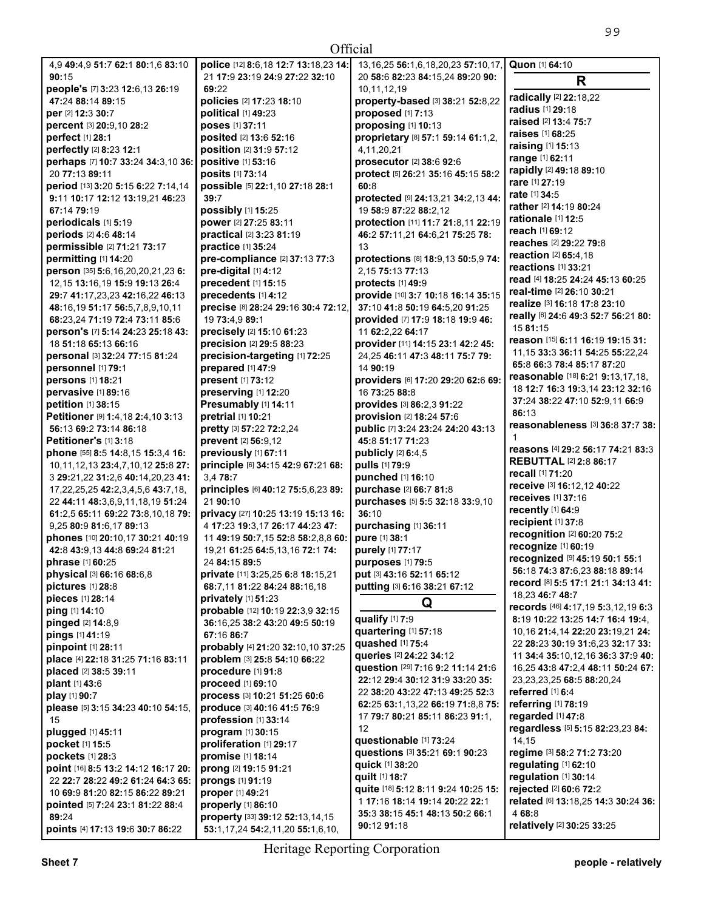| Official                                             |                                                    |                                                                      |                                                                        |  |
|------------------------------------------------------|----------------------------------------------------|----------------------------------------------------------------------|------------------------------------------------------------------------|--|
| 4,9 49:4,9 51:7 62:1 80:1,6 83:10                    | police [12] 8:6,18 12:7 13:18,23 14:               | 13, 16, 25 56: 1, 6, 18, 20, 23 57: 10, 17,                          | Quon [1] 64:10                                                         |  |
| 90:15                                                | 21 17:9 23:19 24:9 27:22 32:10                     | 20 58:6 82:23 84:15,24 89:20 90:                                     | R                                                                      |  |
| people's [7] 3:23 12:6,13 26:19                      | 69:22                                              | 10,11,12,19                                                          |                                                                        |  |
| 47:24 88:14 89:15                                    | policies [2] 17:23 18:10                           | property-based [3] 38:21 52:8,22                                     | radically [2] 22:18,22                                                 |  |
| per [2] 12:3 30:7                                    | <b>political</b> [1] 49:23                         | proposed [1] 7:13                                                    | radius [1] 29:18                                                       |  |
| percent [3] 20:9,10 28:2                             | poses [1] 37:11                                    | proposing [1] 10:13                                                  | raised [2] 13:4 75:7                                                   |  |
| perfect [1] 28:1                                     | posited [2] 13:6 52:16                             | proprietary [8] 57:1 59:14 61:1,2,                                   | <b>raises</b> [1] 68:25                                                |  |
| perfectly [2] 8:23 12:1                              | position [2] 31:9 57:12                            | 4,11,20,21                                                           | <b>raising</b> [1] <b>15:13</b>                                        |  |
| perhaps [7] 10:7 33:24 34:3,10 36:                   | positive [1] 53:16                                 | prosecutor [2] 38:6 92:6                                             | range [1] 62:11                                                        |  |
| 20 77:13 89:11                                       | posits [1] 73:14                                   | protect [5] 26:21 35:16 45:15 58:2                                   | rapidly [2] 49:18 89:10<br>rare [1] 27:19                              |  |
| period [13] 3:20 5:15 6:22 7:14,14                   | possible [5] 22:1,10 27:18 28:1                    | 60:8                                                                 |                                                                        |  |
| 9:11 10:17 12:12 13:19,21 46:23                      | 39:7                                               | protected [9] 24:13,21 34:2,13 44:                                   | rate [1] 34:5<br>rather [2] 14:19 80:24                                |  |
| 67:14 79:19                                          | possibly [1] 15:25                                 | 19 58:9 87:22 88:2,12                                                | rationale [1] 12:5                                                     |  |
| periodicals [1] 5:19                                 | power [2] 27:25 83:11                              | protection [11] 11:7 21:8,11 22:19                                   | reach [1] 69:12                                                        |  |
| periods [2] 4:6 48:14                                | practical [2] 3:23 81:19                           | 46:2 57:11,21 64:6,21 75:25 78:                                      | reaches [2] 29:22 79:8                                                 |  |
| permissible [2] 71:21 73:17                          | practice [1] 35:24                                 | 13                                                                   | <b>reaction</b> [2] 65:4,18                                            |  |
| permitting [1] 14:20                                 | pre-compliance [2] 37:13 77:3                      | protections [8] 18:9,13 50:5,9 74:                                   | reactions [1] 33:21                                                    |  |
| person [35] 5:6,16,20,20,21,23 6:                    | pre-digital [1] 4:12                               | 2.15 75:13 77:13                                                     | read [4] 18:25 24:24 45:13 60:25                                       |  |
| 12, 15 13: 16, 19 15: 9 19: 13 26: 4                 | precedent [1] 15:15                                | protects [1] 49:9                                                    | real-time [2] 26:10 30:21                                              |  |
| 29:7 41:17,23,23 42:16,22 46:13                      | precedents [1] 4:12                                | provide [10] 3:7 10:18 16:14 35:15                                   | realize [3] 16:18 17:8 23:10                                           |  |
| 48:16,19 51:17 56:5,7,8,9,10,11                      | precise [8] 28:24 29:16 30:4 72:12.                | 37:10 41:8 50:19 64:5,20 91:25                                       | really [6] 24:6 49:3 52:7 56:21 80:                                    |  |
| 68:23.24 71:19 72:4 73:11 85:6                       | 19 73:4,9 89:1                                     | provided [7] 17:9 18:18 19:9 46:                                     | 15 81:15                                                               |  |
| person's [7] 5:14 24:23 25:18 43:                    | precisely [2] 15:10 61:23                          | 11 62:2,22 64:17                                                     | reason [15] 6:11 16:19 19:15 31:                                       |  |
| 18 51:18 65:13 66:16                                 | precision [2] 29:5 88:23                           | provider [11] 14:15 23:1 42:2 45:<br>24.25 46:11 47:3 48:11 75:7 79: | 11, 15 33:3 36:11 54:25 55:22, 24                                      |  |
| personal [3] 32:24 77:15 81:24<br>personnel [1] 79:1 | precision-targeting [1] 72:25<br>prepared [1] 47:9 | 14 90:19                                                             | 65:8 66:3 78:4 85:17 87:20                                             |  |
| persons [1] 18:21                                    | present [1] 73:12                                  | providers [6] 17:20 29:20 62:6 69:                                   | reasonable [18] 6:21 9:13,17,18,                                       |  |
| pervasive [1] 89:16                                  | preserving [1] 12:20                               | 16 73:25 88:8                                                        | 18 12:7 16:3 19:3,14 23:12 32:16                                       |  |
| petition [1] 38:15                                   | Presumably [1] 14:11                               | provides [3] 86:2,3 91:22                                            | 37:24 38:22 47:10 52:9,11 66:9                                         |  |
| Petitioner [9] 1:4,18 2:4,10 3:13                    | pretrial [1] 10:21                                 | provision [2] 18:24 57:6                                             | 86:13                                                                  |  |
| 56:13 69:2 73:14 86:18                               | pretty [3] 57:22 72:2,24                           | public [7] 3:24 23:24 24:20 43:13                                    | reasonableness [3] 36:8 37:7 38:                                       |  |
| Petitioner's [1] 3:18                                | prevent [2] 56:9,12                                | 45:8 51:17 71:23                                                     |                                                                        |  |
| phone [55] 8:5 14:8,15 15:3,4 16:                    | previously [1] 67:11                               | publicly [2] 6:4,5                                                   | reasons [4] 29:2 56:17 74:21 83:3                                      |  |
| 10, 11, 12, 13 23: 4, 7, 10, 12 25: 8 27:            | principle [6] 34:15 42:9 67:21 68:                 | pulls [1] 79:9                                                       | <b>REBUTTAL [2] 2:8 86:17</b>                                          |  |
| 3 29:21,22 31:2,6 40:14,20,23 41:                    | 3.4 78:7                                           | punched [1] 16:10                                                    | recall [1] 71:20                                                       |  |
| 17, 22, 25, 25 42: 2, 3, 4, 5, 6 43: 7, 18,          | principles [6] 40:12 75:5,6,23 89:                 | purchase [2] 66:7 81:8                                               | receive [3] 16:12,12 40:22                                             |  |
| 22 44:11 48:3.6.9.11.18.19 51:24                     | 21 90:10                                           | purchases [5] 5:5 32:18 33:9,10                                      | receives [1] 37:16                                                     |  |
| 61:2,5 65:11 69:22 73:8,10,18 79:                    | privacy [27] 10:25 13:19 15:13 16:                 | 36:10                                                                | recently [1] 64:9                                                      |  |
| 9,25 80:9 81:6,17 89:13                              | 4 17:23 19:3,17 26:17 44:23 47:                    | purchasing [1] 36:11                                                 | recipient [1] 37:8                                                     |  |
| phones [10] 20:10,17 30:21 40:19                     | 11 49:19 50:7,15 52:8 58:2,8,8 60:                 | pure [1] 38:1                                                        | recognition [2] 60:20 75:2                                             |  |
| 42:8 43:9,13 44:8 69:24 81:21                        | 19,21 61:25 64:5,13,16 72:1 74:                    | purely [1] 77:17                                                     | recognize [1] 60:19                                                    |  |
| <b>phrase</b> [1] <b>60:</b> 25                      | 24 84:15 89:5                                      | purposes $[1]$ 79:5                                                  | recognized [9] 45:19 50:1 55:1                                         |  |
| physical [3] 66:16 68:6,8                            | private [11] 3:25,25 6:8 18:15,21                  | put [3] 43:16 52:11 65:12                                            | 56:18 74:3 87:6,23 88:18 89:14                                         |  |
| pictures [1] 28:8                                    | 68:7,11 81:22 84:24 88:16,18                       | putting [3] 6:16 38:21 67:12                                         | record [8] 5:5 17:1 21:1 34:13 41:<br>18.23 46:7 48:7                  |  |
| pieces [1] 28:14                                     | privately $[1]$ 51:23                              | Q                                                                    |                                                                        |  |
| ping [1] 14:10                                       | probable [12] 10:19 22:3,9 32:15                   | qualify [1] 7:9                                                      | records [46] 4:17,19 5:3,12,19 6:3<br>8:19 10:22 13:25 14:7 16:4 19:4, |  |
| pinged [2] 14:8,9                                    | 36:16,25 38:2 43:20 49:5 50:19                     | quartering [1] 57:18                                                 | 10,16 21:4,14 22:20 23:19,21 24:                                       |  |
| pings [1] 41:19                                      | 67:16 86:7                                         | quashed [1] 75:4                                                     | 22 28:23 30:19 31:6,23 32:17 33:                                       |  |
| pinpoint [1] 28:11                                   | probably [4] 21:20 32:10,10 37:25                  | queries [2] 24:22 34:12                                              | 11 34:4 35:10,12,16 36:3 37:9 40:                                      |  |
| place [4] 22:18 31:25 71:16 83:11                    | problem [3] 25:8 54:10 66:22                       | question [29] 7:16 9:2 11:14 21:6                                    | 16,25 43:8 47:2,4 48:11 50:24 67:                                      |  |
| placed [2] 38:5 39:11                                | procedure [1] 91:8                                 | 22:12 29:4 30:12 31:9 33:20 35:                                      | 23, 23, 23, 25 68: 5 88: 20, 24                                        |  |
| plant [1] 43:6                                       | proceed [1] 69:10                                  | 22 38:20 43:22 47:13 49:25 52:3                                      | referred [1] 6:4                                                       |  |
| play [1] 90:7                                        | process [3] 10:21 51:25 60:6                       | 62:25 63:1,13,22 66:19 71:8,8 75:                                    | referring [1] 78:19                                                    |  |
| please [5] 3:15 34:23 40:10 54:15,                   | produce [3] 40:16 41:5 76:9                        | 17 79:7 80:21 85:11 86:23 91:1,                                      | regarded [1] 47:8                                                      |  |
| 15<br>plugged [1] 45:11                              | profession [1] 33:14<br>program [1] 30:15          | 12                                                                   | regardless [5] 5:15 82:23,23 84:                                       |  |
| pocket [1] 15:5                                      | proliferation [1] 29:17                            | questionable [1] 73:24                                               | 14, 15                                                                 |  |
| pockets [1] 28:3                                     | promise [1] 18:14                                  | questions [3] 35:21 69:1 90:23                                       | regime [3] 58:2 71:2 73:20                                             |  |
| point [16] 8:5 13:2 14:12 16:17 20:                  | prong [2] 19:15 91:21                              | quick [1] 38:20                                                      | regulating [1] 62:10                                                   |  |
| 22 22:7 28:22 49:2 61:24 64:3 65:                    | prongs [1] 91:19                                   | quilt [1] 18:7                                                       | regulation [1] 30:14                                                   |  |
| 10 69:9 81:20 82:15 86:22 89:21                      | proper [1] 49:21                                   | quite [18] 5:12 8:11 9:24 10:25 15:                                  | rejected [2] 60:6 72:2                                                 |  |
| pointed [5] 7:24 23:1 81:22 88:4                     | properly [1] 86:10                                 | 1 17:16 18:14 19:14 20:22 22:1                                       | related [6] 13:18,25 14:3 30:24 36:                                    |  |
| 89:24                                                | property [33] 39:12 52:13,14,15                    | 35:3 38:15 45:1 48:13 50:2 66:1                                      | 4 68:8                                                                 |  |
| points [4] 17:13 19:6 30:7 86:22                     | 53:1,17,24 54:2,11,20 55:1,6,10,                   | 90:12 91:18                                                          | relatively [2] 30:25 33:25                                             |  |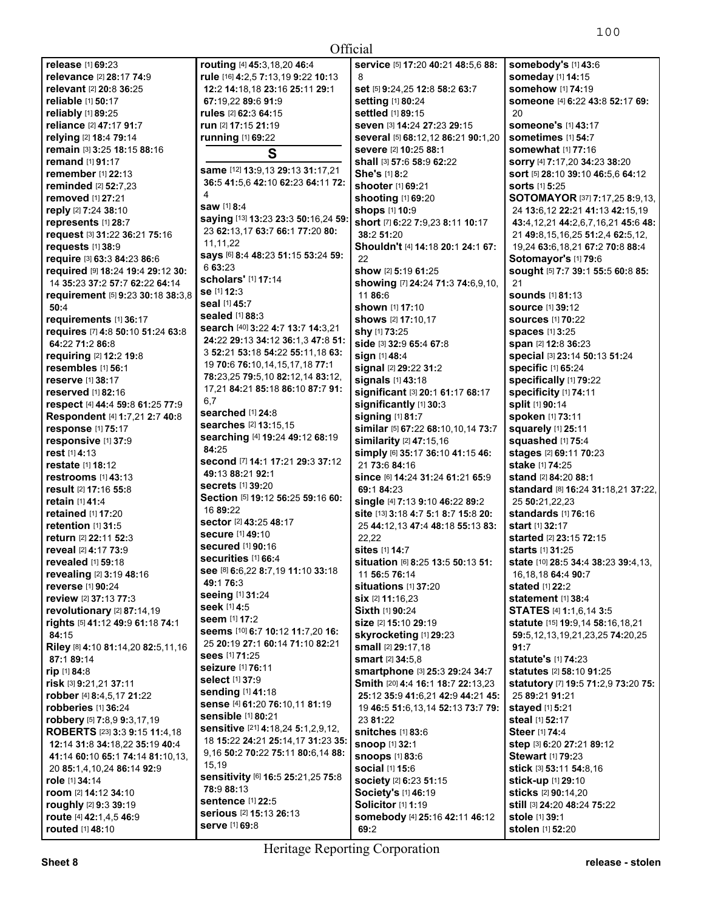| Official                                                 |                                                                     |                                                                         |                                                                    |
|----------------------------------------------------------|---------------------------------------------------------------------|-------------------------------------------------------------------------|--------------------------------------------------------------------|
| release [1] 69:23                                        | routing [4] 45:3,18,20 46:4                                         | Service [5] 17:20 40:21 48:5,6 88:                                      | somebody's [1] 43:6                                                |
| relevance [2] 28:17 74:9                                 | rule [16] 4:2,5 7:13,19 9:22 10:13                                  | 8                                                                       | someday [1] 14:15                                                  |
| relevant [2] 20:8 36:25                                  | 12:2 14:18,18 23:16 25:11 29:1                                      | set [5] 9:24,25 12:8 58:2 63:7                                          | somehow [1] 74:19                                                  |
| reliable [1] 50:17                                       | 67:19,22 89:6 91:9                                                  | setting [1] 80:24                                                       | someone [4] 6:22 43:8 52:17 69:                                    |
| reliably [1] 89:25                                       | rules [2] 62:3 64:15                                                | settled [1] 89:15                                                       | 20                                                                 |
| <b>reliance</b> [2] 47:17 91:7                           | run [2] 17:15 21:19                                                 | Seven [3] 14:24 27:23 29:15                                             | Someone's [1] 43:17                                                |
| relying [2] 18:4 79:14                                   | running [1] 69:22                                                   | several [5] 68:12,12 86:21 90:1,20                                      | Sometimes [1] 54:7                                                 |
| remain [3] 3:25 18:15 88:16                              | S                                                                   | severe [2] 10:25 88:1                                                   | somewhat [1] 77:16                                                 |
| <b>remand</b> [1] 91:17<br><b>remember</b> [1] 22:13     | same [12] 13:9,13 29:13 31:17,21                                    | shall [3] 57:6 58:9 62:22<br>She's [1] 8:2                              | sorry [4] 7:17,20 34:23 38:20<br>sort [5] 28:10 39:10 46:5,6 64:12 |
| reminded [2] 52:7,23                                     | 36:5 41:5,6 42:10 62:23 64:11 72:                                   | shooter [1] 69:21                                                       | <b>sorts</b> [1] <b>5:25</b>                                       |
| removed [1] 27:21                                        | 4                                                                   | shooting [1] 69:20                                                      | <b>SOTOMAYOR</b> [37] <b>7:17,25 8:9,13,</b>                       |
| reply [2] 7:24 38:10                                     | saw [1] 8:4                                                         | shops [1] 10:9                                                          | 24 13:6,12 22:21 41:13 42:15,19                                    |
| represents [1] 28:7                                      | saying [13] 13:23 23:3 50:16,24 59:                                 | short [7] 6:22 7:9,23 8:11 10:17                                        | 43:4,12,21 44:2,6,7,16,21 45:6 48:                                 |
| request [3] 31:22 36:21 75:16                            | 23 62:13,17 63:7 66:1 77:20 80:                                     | 38:2 51:20                                                              | 21 49:8,15,16,25 51:2,4 62:5,12,                                   |
| requests [1] 38:9                                        | 11,11,22                                                            | Shouldn't [4] 14:18 20:1 24:1 67:                                       | 19,24 63:6,18,21 67:2 70:8 88:4                                    |
| require [3] 63:3 84:23 86:6                              | Says [6] 8:4 48:23 51:15 53:24 59:                                  | 22                                                                      | Sotomayor's [1] 79:6                                               |
| required [9] 18:24 19:4 29:12 30:                        | 6 63:23                                                             | show [2] 5:19 61:25                                                     | sought [5] 7:7 39:1 55:5 60:8 85:                                  |
| 14 35:23 37:2 57:7 62:22 64:14                           | scholars' [1] 17:14<br>se [1] 12:3                                  | showing [7] 24:24 71:3 74:6,9,10,                                       | 21                                                                 |
| requirement [5] 9:23 30:18 38:3,8                        | seal [1] 45:7                                                       | 11 86:6                                                                 | <b>sounds</b> [1] 81:13                                            |
| 50:4                                                     | sealed [1] 88:3                                                     | shown [1] 17:10                                                         | <b>source</b> [1] 39:12                                            |
| requirements [1] 36:17                                   | search [40] 3:22 4:7 13:7 14:3,21                                   | <b>shows</b> [2] <b>17:10,17</b>                                        | <b>sources</b> [1] 70:22                                           |
| requires [7] 4:8 50:10 51:24 63:8                        | 24:22 29:13 34:12 36:1,3 47:8 51:                                   | shy [1] 73:25<br>side [3] 32:9 65:4 67:8                                | <b>spaces</b> [1] 3:25                                             |
| 64:22 71:2 86:8<br>requiring [2] 12:2 19:8               | 3 52:21 53:18 54:22 55:11.18 63:                                    | sign [1] 48:4                                                           | span [2] 12:8 36:23<br>special [3] 23:14 50:13 51:24               |
| resembles [1] 56:1                                       | 19 70:6 76:10,14,15,17,18 77:1                                      | signal [2] 29:22 31:2                                                   | <b>specific [1] 65:24</b>                                          |
| <b>reserve</b> [1] 38:17                                 | 78:23,25 79:5,10 82:12,14 83:12,                                    | signals [1] 43:18                                                       | specifically [1] 79:22                                             |
| <b>reserved</b> [1] <b>82:</b> 16                        | 17,21 84:21 85:18 86:10 87:7 91:                                    | significant [3] 20:1 61:17 68:17                                        | specificity [1] 74:11                                              |
| respect [4] 44:4 59:8 61:25 77:9                         | 6.7                                                                 | significantly [1] 30:3                                                  | split [1] 90:14                                                    |
| Respondent [4] 1:7,21 2:7 40:8                           | searched [1] 24:8                                                   | signing [1] 81:7                                                        | spoken [1] 73:11                                                   |
| response [1] 75:17                                       | searches [2] 13:15,15                                               | similar [5] 67:22 68:10,10,14 73:7                                      | squarely [1] 25:11                                                 |
| responsive [1] 37:9                                      | searching [4] 19:24 49:12 68:19                                     | similarity [2] 47:15,16                                                 | squashed [1] 75:4                                                  |
| rest [1] 4:13                                            | 84:25                                                               | simply [6] 35:17 36:10 41:15 46:                                        | stages [2] 69:11 70:23                                             |
| <b>restate</b> [1] 18:12                                 | second [7] 14:1 17:21 29:3 37:12<br>49:13 88:21 92:1                | 21 73:6 84:16                                                           | stake [1] 74:25                                                    |
| restrooms [1] 43:13                                      | <b>secrets</b> [1] 39:20                                            | since [6] 14:24 31:24 61:21 65:9                                        | <b>stand</b> [2] <b>84:20 88:1</b>                                 |
| result [2] 17:16 55:8                                    | Section [5] 19:12 56:25 59:16 60:                                   | 69:1 84:23                                                              | standard [8] 16:24 31:18,21 37:22,                                 |
| retain [1] 41:4                                          | 16 89:22                                                            | single [4] 7:13 9:10 46:22 89:2                                         | 25 50:21,22,23                                                     |
| <b>retained</b> [1] <b>17:20</b><br>retention $[1]$ 31:5 | sector [2] 43:25 48:17                                              | site [13] 3:18 4:7 5:1 8:7 15:8 20:<br>25 44:12,13 47:4 48:18 55:13 83: | <b>standards</b> [1] <b>76:1</b> 6<br>start [1] 32:17              |
| return [2] 22:11 52:3                                    | <b>secure</b> [1] 49:10                                             | 22,22                                                                   | started [2] 23:15 72:15                                            |
| reveal [2] 4:17 73:9                                     | <b>secured</b> [1] 90:16                                            | sites [1] 14:7                                                          | <b>starts</b> [1] <b>31:25</b>                                     |
| revealed [1] 59:18                                       | Securities [1] 66:4                                                 | situation [6] 8:25 13:5 50:13 51:                                       | state [10] 28:5 34:4 38:23 39:4,13,                                |
| revealing [2] 3:19 48:16                                 | See [8] 6:6,22 8:7,19 11:10 33:18                                   | 11 56:5 76:14                                                           | 16, 18, 18 64: 4 90: 7                                             |
| reverse [1] 90:24                                        | 49:1 76:3                                                           | <b>situations</b> [1] 37:20                                             | <b>stated</b> [1] 22:2                                             |
| review [2] 37:13 77:3                                    | seeing [1] 31:24                                                    | <b>six</b> [2] <b>11:</b> 16,23                                         | statement [1] 38:4                                                 |
| revolutionary $[2]$ 87:14,19                             | seek [1] 4:5                                                        | Sixth [1] 90:24                                                         | STATES [4] 1:1,6,14 3:5                                            |
| rights [5] 41:12 49:9 61:18 74:1                         | <b>seem</b> [1] 17:2                                                | size [2] 15:10 29:19                                                    | statute [15] 19:9,14 58:16,18,21                                   |
| 84:15                                                    | seems [10] 6:7 10:12 11:7,20 16:<br>25 20:19 27:1 60:14 71:10 82:21 | skyrocketing [1] 29:23                                                  | 59:5, 12, 13, 19, 21, 23, 25 74: 20, 25                            |
| Riley [8] 4:10 81:14,20 82:5,11,16                       | <b>sees</b> [1] 71:25                                               | small [2] 29:17,18                                                      | 91:7                                                               |
| 87:189:14                                                | <b>seizure</b> [1] 76:11                                            | <b>smart</b> [2] <b>34:</b> 5,8                                         | statute's [1] 74:23                                                |
| rip [1] 84:8                                             | <b>select</b> [1] 37:9                                              | smartphone [3] 25:3 29:24 34:7                                          | statutes [2] 58:10 91:25                                           |
| risk [3] 9:21,21 37:11<br>robber [4] 8:4,5,17 21:22      | sending [1] 41:18                                                   | Smith [20] 4:4 16:1 18:7 22:13,23<br>25:12 35:9 41:6.21 42:9 44:21 45:  | statutory [7] 19:5 71:2,9 73:20 75:<br>25 89:21 91:21              |
| robberies [1] 36:24                                      | sense [4] 61:20 76:10,11 81:19                                      | 19 46:5 51:6, 13, 14 52: 13 73: 7 79:                                   | stayed [1] 5:21                                                    |
| robbery [5] 7:8,9 9:3,17,19                              | sensible [1] 80:21                                                  | 23 81:22                                                                | <b>steal</b> [1] <b>52:17</b>                                      |
| <b>ROBERTS</b> [23] <b>3:3 9:15 11:4,18</b>              | sensitive [21] 4:18,24 5:1,2,9,12,                                  | <b>snitches</b> [1] 83:6                                                | <b>Steer</b> [1] <b>74:</b> 4                                      |
| 12:14 31:8 34:18,22 35:19 40:4                           | 18 15:22 24:21 25:14,17 31:23 35:                                   | <b>snoop</b> [1] 32:1                                                   | <b>step</b> [3] 6:20 27:21 89:12                                   |
| 41:14 60:10 65:1 74:14 81:10,13,                         | 9,16 50:2 70:22 75:11 80:6,14 88:                                   | <b>snoops [1] 83:6</b>                                                  | <b>Stewart</b> [1] 79:23                                           |
| 20 85:1,4,10,24 86:14 92:9                               | 15,19                                                               | <b>social [1] 15:6</b>                                                  | stick [3] 53:11 54:8,16                                            |
| role [1] 34:14                                           | sensitivity [6] 16:5 25:21,25 75:8                                  | <b>society</b> [2] 6:23 51:15                                           | <b>stick-up</b> [1] <b>29:10</b>                                   |
| room [2] 14:12 34:10                                     | 78:9 88:13                                                          | Society's [1] 46:19                                                     | sticks [2] 90:14,20                                                |
| roughly [2] 9:3 39:19                                    | <b>sentence [1] 22:5</b><br><b>serious</b> [2] <b>15:13 26:13</b>   | <b>Solicitor [1] 1:19</b>                                               | still [3] 24:20 48:24 75:22                                        |
| route [4] 42:1,4,5 46:9                                  | <b>serve [1] 69:8</b>                                               | somebody [4] 25:16 42:11 46:12                                          | <b>stole</b> [1] <b>39:1</b>                                       |
| routed [1] 48:10                                         |                                                                     | 69:2                                                                    | stolen [1] 52:20                                                   |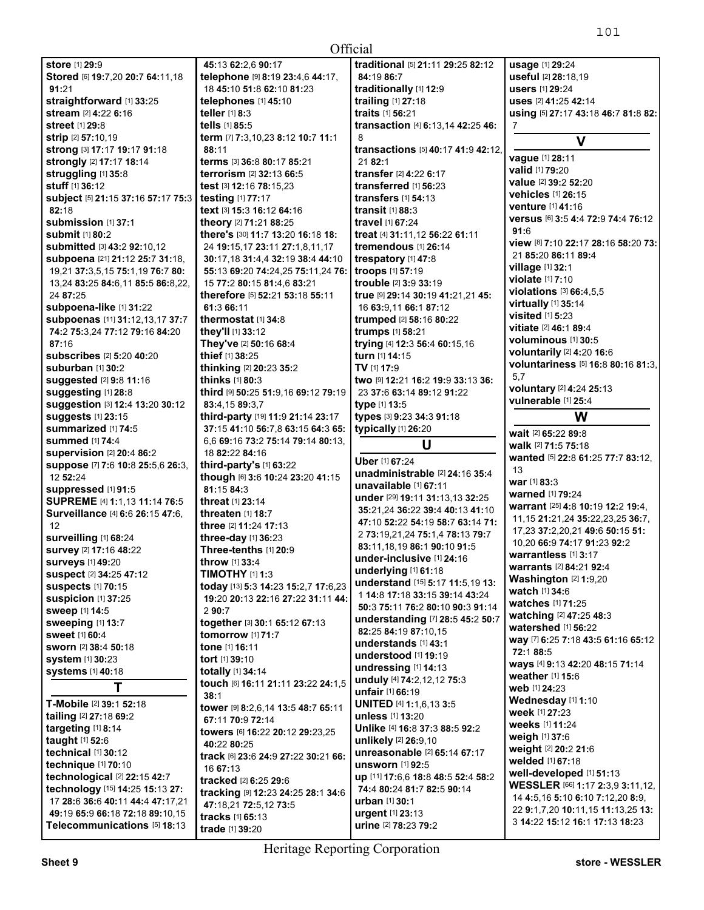| Official |  |
|----------|--|
|          |  |

| Official                                                        |                                     |                                          |                                                                                                         |
|-----------------------------------------------------------------|-------------------------------------|------------------------------------------|---------------------------------------------------------------------------------------------------------|
| store [1] 29:9                                                  | 45:13 62:2,6 90:17                  | traditional [5] 21:11 29:25 82:12        | usage [1] 29:24                                                                                         |
| Stored [6] 19:7,20 20:7 64:11,18                                | telephone [9] 8:19 23:4,6 44:17,    | 84:19 86:7                               | useful [2] 28:18.19                                                                                     |
| 91:21                                                           | 18 45:10 51:8 62:10 81:23           | traditionally [1] 12:9                   | users [1] 29:24                                                                                         |
| straightforward [1] 33:25                                       | telephones [1] 45:10                | trailing [1] 27:18                       | uses [2] 41:25 42:14                                                                                    |
| stream [2] 4:22 6:16                                            | teller [1] 8:3                      | traits [1] 56:21                         | using [5] 27:17 43:18 46:7 81:8 82:                                                                     |
| <b>street</b> [1] 29:8                                          | tells [1] 85:5                      | transaction [4] 6:13,14 42:25 46:        | 7                                                                                                       |
| <b>strip</b> [2] 57:10,19                                       | term [7] 7:3,10,23 8:12 10:7 11:1   | 8                                        | $\mathbf v$                                                                                             |
| strong [3] 17:17 19:17 91:18                                    | 88:11                               | transactions [5] 40:17 41:9 42:12,       |                                                                                                         |
| strongly [2] 17:17 18:14                                        | terms [3] 36:8 80:17 85:21          | 21 82:1                                  | vague [1] 28:11                                                                                         |
| struggling [1] 35:8                                             | terrorism [2] 32:13 66:5            | transfer [2] 4:22 6:17                   | valid [1] 79:20                                                                                         |
| stuff [1] 36:12                                                 | test [3] 12:16 78:15,23             | transferred [1] 56:23                    | value [2] 39:2 52:20                                                                                    |
| subject [5] 21:15 37:16 57:17 75:3                              | <b>testing</b> [1] 77:17            | transfers [1] 54:13                      | <b>vehicles</b> [1] 26:15                                                                               |
| 82:18                                                           | text [3] 15:3 16:12 64:16           | transit $[1]$ 88:3                       | <b>venture</b> [1] 41:16                                                                                |
| submission [1] 37:1                                             | theory [2] 71:21 88:25              | <b>travel</b> [1] <b>67:24</b>           | Versus [6] 3:5 4:4 72:9 74:4 76:12                                                                      |
| submit [1] 80:2                                                 | there's [30] 11:7 13:20 16:18 18:   | treat [4] 31:11,12 56:22 61:11           | 91:6                                                                                                    |
| <b>submitted</b> [3] 43:2 92:10,12                              | 24 19:15,17 23:11 27:1,8,11,17      | tremendous $[1]$ 26:14                   | view [8] 7:10 22:17 28:16 58:20 73:                                                                     |
| subpoena [21] 21:12 25:7 31:18,                                 | 30:17,18 31:4,4 32:19 38:4 44:10    | trespatory [1] 47:8                      | 21 85:20 86:11 89:4                                                                                     |
| 19,21 37:3,5,15 75:1,19 76:7 80:                                | 55:13 69:20 74:24,25 75:11,24 76:   | troops [1] 57:19                         | village [1] 32:1                                                                                        |
| 13,24 83:25 84:6,11 85:5 86:8,22,                               | 15 77:2 80:15 81:4,6 83:21          | trouble [2] 3:9 33:19                    | violate [1] 7:10                                                                                        |
| 24 87:25                                                        | therefore [5] 52:21 53:18 55:11     | true [9] 29:14 30:19 41:21,21 45:        | violations $[3] 66:4,5,5$                                                                               |
|                                                                 |                                     |                                          | virtually [1] 35:14                                                                                     |
| subpoena-like [1] 31:22                                         | 61:3 66:11                          | 16 63:9,11 66:1 87:12                    | visited [1] 5:23                                                                                        |
| subpoenas [11] 31:12,13,17 37:7                                 | thermostat [1] 34:8                 | trumped [2] 58:16 80:22                  | <b>vitiate</b> [2] <b>46:1 89:4</b>                                                                     |
| 74:2 75:3,24 77:12 79:16 84:20                                  | they'll [1] 33:12                   | trumps [1] 58:21                         | <b>voluminous</b> [1] 30:5                                                                              |
| 87:16                                                           | They've [2] 50:16 68:4              | trying [4] 12:3 56:4 60:15,16            | voluntarily [2] 4:20 16:6                                                                               |
| <b>subscribes</b> [2] 5:20 40:20                                | thief [1] 38:25                     | turn [1] 14:15                           | voluntariness [5] 16:8 80:16 81:3.                                                                      |
| suburban [1] 30:2                                               | thinking [2] 20:23 35:2             | TV [1] 17:9                              | 5.7                                                                                                     |
| suggested [2] 9:8 11:16                                         | thinks [1] 80:3                     | two [9] 12:21 16:2 19:9 33:13 36:        | voluntary [2] 4:24 25:13                                                                                |
| suggesting [1] 28:8                                             | third [9] 50:25 51:9,16 69:12 79:19 | 23 37:6 63:14 89:12 91:22                | vulnerable [1] 25:4                                                                                     |
| suggestion [3] 12:4 13:20 30:12                                 | 83:4,15 89:3,7                      | type [1] 13:5                            |                                                                                                         |
| suggests [1] 23:15                                              | third-party [19] 11:9 21:14 23:17   | types [3] 9:23 34:3 91:18                | W                                                                                                       |
| summarized [1] 74:5                                             | 37:15 41:10 56:7,8 63:15 64:3 65:   | typically [1] 26:20                      | wait [2] 65:22 89:8                                                                                     |
| <b>summed</b> [1] 74:4                                          | 6,6 69:16 73:2 75:14 79:14 80:13,   |                                          |                                                                                                         |
|                                                                 |                                     | U                                        | walk [2] 71:5 75:18                                                                                     |
| supervision [2] 20:4 86:2                                       | 18 82:22 84:16                      |                                          | wanted [5] 22:8 61:25 77:7 83:12,                                                                       |
| suppose [7] 7:6 10:8 25:5,6 26:3,                               | third-party's [1] 63:22             | Uber [1] 67:24                           | 13                                                                                                      |
| 12 52:24                                                        | though [6] 3:6 10:24 23:20 41:15    | unadministrable [2] 24:16 35:4           | war [1] 83:3                                                                                            |
| suppressed [1] 91:5                                             | 81:15 84:3                          | unavailable [1] 67:11                    | warned [1] 79:24                                                                                        |
| SUPREME [4] 1:1,13 11:14 76:5                                   | threat [1] 23:14                    | under [29] 19:11 31:13,13 32:25          | warrant [25] 4:8 10:19 12:2 19:4.                                                                       |
| Surveillance [4] 6:6 26:15 47:6,                                | <b>threaten</b> [1] <b>18:7</b>     | 35:21,24 36:22 39:4 40:13 41:10          | 11, 15 21: 21, 24 35: 22, 23, 25 36: 7,                                                                 |
| 12                                                              | three [2] 11:24 17:13               | 47:10 52:22 54:19 58:7 63:14 71:         |                                                                                                         |
| surveilling [1] 68:24                                           | three-day [1] 36:23                 | 2 73:19,21,24 75:1,4 78:13 79:7          | 17,23 37:2,20,21 49:6 50:15 51:<br>10,20 66:9 74:17 91:23 92:2                                          |
| survey [2] 17:16 48:22                                          | Three-tenths [1] 20:9               | 83:11,18,19 86:1 90:10 91:5              |                                                                                                         |
| <b>surveys</b> [1] 49:20                                        | throw [1] 33:4                      | under-inclusive [1] 24:16                | warrantless [1] 3:17<br>warrants [2] 84:21 92:4                                                         |
| suspect [2] 34:25 47:12                                         | TIMOTHY [1] 1:3                     | underlying [1] 61:18                     | <b>Washington</b> $[2]$ 1:9,20                                                                          |
| <b>suspects [1] 70:15</b>                                       | today [13] 5:3 14:23 15:2,7 17:6,23 | understand [15] 5:17 11:5,19 13:         | watch [1] 34:6                                                                                          |
| Suspicion [1] 37:25                                             | 19:20 20:13 22:16 27:22 31:11 44:   | 1 14:8 17:18 33:15 39:14 43:24           | watches [1] 71:25                                                                                       |
| sweep [1] 14:5                                                  | 290:7                               | 50:3 75:11 76:2 80:10 90:3 91:14         |                                                                                                         |
| sweeping [1] 13:7                                               | together [3] 30:1 65:12 67:13       | understanding [7] 28:5 45:2 50:7         | watching [2] 47:25 48:3<br><b>watershed</b> [1] <b>56:22</b>                                            |
| sweet [1] 60:4                                                  | tomorrow [1] 71:7                   | 82:25 84:19 87:10,15                     |                                                                                                         |
| <b>sworn [2] 38:4 50:18</b>                                     | tone [1] 16:11                      | understands [1] 43:1                     | way [7] 6:25 7:18 43:5 61:16 65:12                                                                      |
| system [1] 30:23                                                | tort [1] 39:10                      | understood [1] 19:19                     | 72:1 88:5                                                                                               |
| <b>systems</b> [1] 40:18                                        | totally [1] 34:14                   | undressing [1] 14:13                     | ways [4] 9:13 42:20 48:15 71:14<br>weather [1] 15:6                                                     |
|                                                                 | touch [6] 16:11 21:11 23:22 24:1,5  | unduly [4] 74:2,12,12 75:3               | web [1] 24:23                                                                                           |
| Τ                                                               | 38:1                                | unfair [1] 66:19                         |                                                                                                         |
| T-Mobile [2] 39:1 52:18                                         | tower [9] 8:2,6,14 13:5 48:7 65:11  | UNITED [4] 1:1,6,13 3:5                  | Wednesday [1] 1:10                                                                                      |
| tailing [2] 27:18 69:2                                          | 67:11 70:9 72:14                    | unless [1] 13:20                         | week [1] 27:23                                                                                          |
| targeting [1] 8:14                                              | towers [6] 16:22 20:12 29:23,25     | Unlike [4] 16:8 37:3 88:5 92:2           | weeks [1] 11:24                                                                                         |
| taught [1] 52:6                                                 | 40:22 80:25                         | unlikely [2] 26:9,10                     | weigh [1] 37:6                                                                                          |
| technical [1] 30:12                                             | track [6] 23:6 24:9 27:22 30:21 66: | unreasonable [2] 65:14 67:17             | weight [2] 20:2 21:6                                                                                    |
| <b>technique</b> [1] 70:10                                      | 16 67:13                            | unsworn [1] 92:5                         | welded [1] 67:18                                                                                        |
| technological $[2]$ 22:15 42:7                                  | tracked [2] 6:25 29:6               | up [11] 17:6,6 18:8 48:5 52:4 58:2       | well-developed [1] 51:13                                                                                |
| technology [15] 14:25 15:13 27:                                 | tracking [9] 12:23 24:25 28:1 34:6  | 74:4 80:24 81:7 82:5 90:14               |                                                                                                         |
| 17 28:6 36:6 40:11 44:4 47:17,21                                | 47:18,21 72:5,12 73:5               | urban [1] 30:1                           | 14 4:5, 16 5:10 6:10 7:12, 20 8:9,                                                                      |
| 49:19 65:9 66:18 72:18 89:10,15<br>Telecommunications [5] 18:13 | tracks [1] 65:13<br>trade [1] 39:20 | urgent [1] 23:13<br>urine [2] 78:23 79:2 | WESSLER [66] 1:17 2:3,9 3:11,12,<br>22 9:1,7,20 10:11,15 11:13,25 13:<br>3 14:22 15:12 16:1 17:13 18:23 |